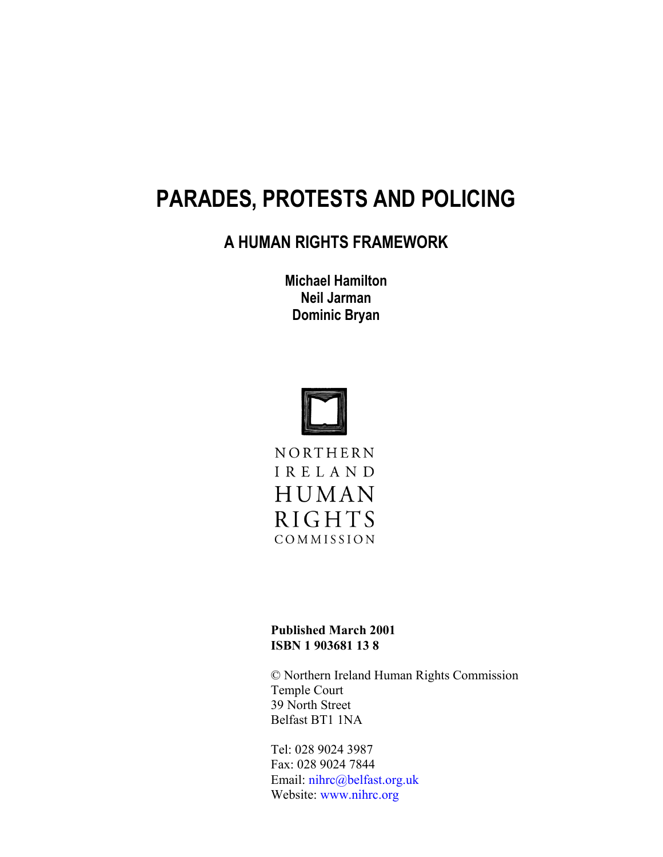# **PARADES, PROTESTS AND POLICING**

# **A HUMAN RIGHTS FRAMEWORK**

**Michael Hamilton Neil Jarman Dominic Bryan**



**Published March 2001 ISBN 1 903681 13 8**

© Northern Ireland Human Rights Commission Temple Court 39 North Street Belfast BT1 1NA

Tel: 028 9024 3987 Fax: 028 9024 7844 Email: nihrc@belfast.org.uk Website: www.nihrc.org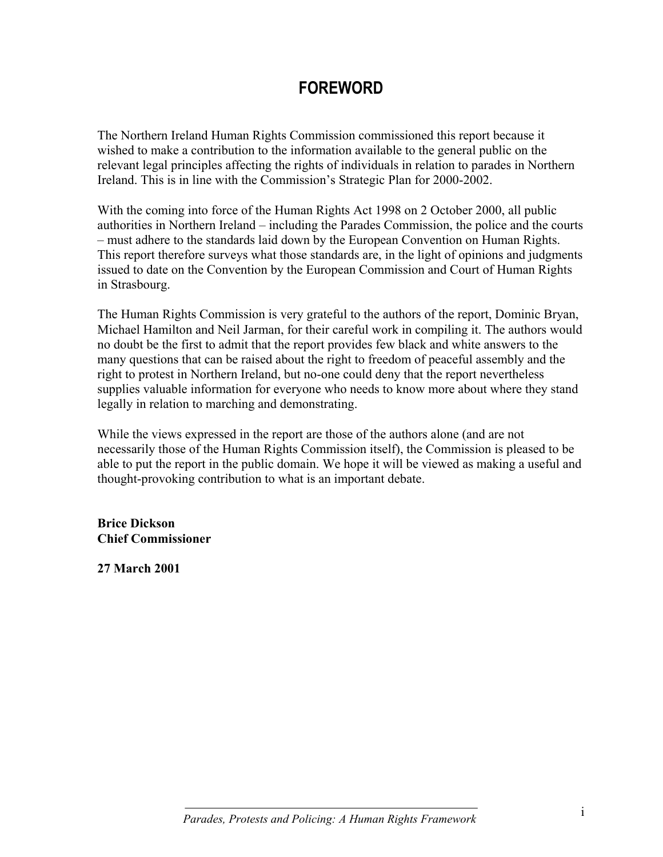# **FOREWORD**

The Northern Ireland Human Rights Commission commissioned this report because it wished to make a contribution to the information available to the general public on the relevant legal principles affecting the rights of individuals in relation to parades in Northern Ireland. This is in line with the Commission's Strategic Plan for 2000-2002.

With the coming into force of the Human Rights Act 1998 on 2 October 2000, all public authorities in Northern Ireland – including the Parades Commission, the police and the courts – must adhere to the standards laid down by the European Convention on Human Rights. This report therefore surveys what those standards are, in the light of opinions and judgments issued to date on the Convention by the European Commission and Court of Human Rights in Strasbourg.

The Human Rights Commission is very grateful to the authors of the report, Dominic Bryan, Michael Hamilton and Neil Jarman, for their careful work in compiling it. The authors would no doubt be the first to admit that the report provides few black and white answers to the many questions that can be raised about the right to freedom of peaceful assembly and the right to protest in Northern Ireland, but no-one could deny that the report nevertheless supplies valuable information for everyone who needs to know more about where they stand legally in relation to marching and demonstrating.

While the views expressed in the report are those of the authors alone (and are not necessarily those of the Human Rights Commission itself), the Commission is pleased to be able to put the report in the public domain. We hope it will be viewed as making a useful and thought-provoking contribution to what is an important debate.

**Brice Dickson Chief Commissioner**

**27 March 2001**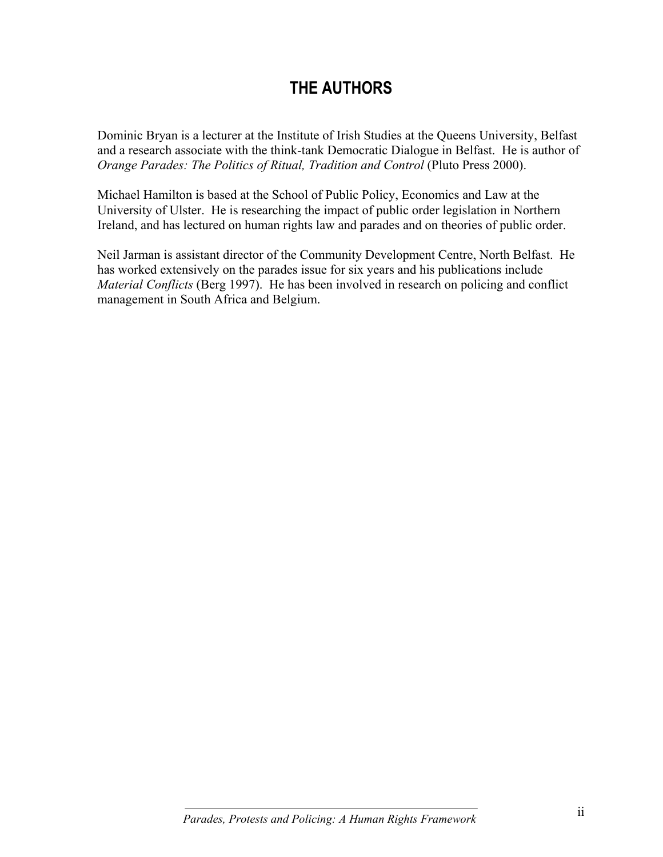# **THE AUTHORS**

Dominic Bryan is a lecturer at the Institute of Irish Studies at the Queens University, Belfast and a research associate with the think-tank Democratic Dialogue in Belfast. He is author of *Orange Parades: The Politics of Ritual, Tradition and Control* (Pluto Press 2000).

Michael Hamilton is based at the School of Public Policy, Economics and Law at the University of Ulster. He is researching the impact of public order legislation in Northern Ireland, and has lectured on human rights law and parades and on theories of public order.

Neil Jarman is assistant director of the Community Development Centre, North Belfast. He has worked extensively on the parades issue for six years and his publications include *Material Conflicts* (Berg 1997). He has been involved in research on policing and conflict management in South Africa and Belgium.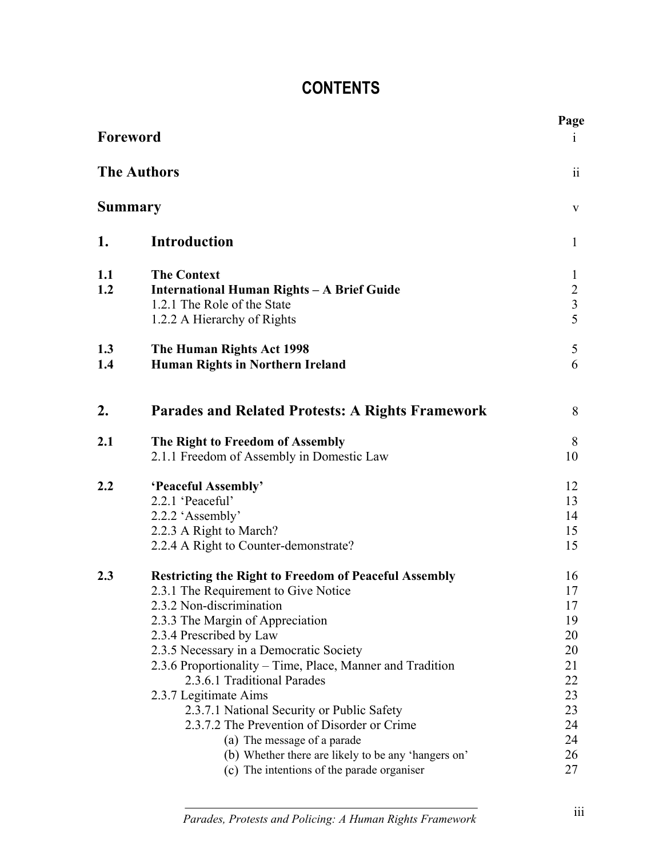# **CONTENTS**

| Foreword<br><b>The Authors</b><br><b>Summary</b> |                                                                                                                                                                                                                                                                                                                                                                                                                                                                                                                                                                                                  | Page<br>$\mathbf{1}$                                                             |
|--------------------------------------------------|--------------------------------------------------------------------------------------------------------------------------------------------------------------------------------------------------------------------------------------------------------------------------------------------------------------------------------------------------------------------------------------------------------------------------------------------------------------------------------------------------------------------------------------------------------------------------------------------------|----------------------------------------------------------------------------------|
|                                                  |                                                                                                                                                                                                                                                                                                                                                                                                                                                                                                                                                                                                  | ii<br>$\bf V$                                                                    |
|                                                  |                                                                                                                                                                                                                                                                                                                                                                                                                                                                                                                                                                                                  |                                                                                  |
| 1.1<br>1.2                                       | <b>The Context</b><br>International Human Rights - A Brief Guide<br>1.2.1 The Role of the State<br>1.2.2 A Hierarchy of Rights                                                                                                                                                                                                                                                                                                                                                                                                                                                                   | $\mathbf{1}$<br>$\overline{2}$<br>$\overline{3}$<br>$\overline{5}$               |
| 1.3<br>1.4                                       | The Human Rights Act 1998<br><b>Human Rights in Northern Ireland</b>                                                                                                                                                                                                                                                                                                                                                                                                                                                                                                                             | 5<br>6                                                                           |
| 2.                                               | <b>Parades and Related Protests: A Rights Framework</b>                                                                                                                                                                                                                                                                                                                                                                                                                                                                                                                                          | 8                                                                                |
| 2.1                                              | The Right to Freedom of Assembly<br>2.1.1 Freedom of Assembly in Domestic Law                                                                                                                                                                                                                                                                                                                                                                                                                                                                                                                    | 8<br>10                                                                          |
| 2.2                                              | 'Peaceful Assembly'<br>2.2.1 'Peaceful'<br>2.2.2 'Assembly'<br>2.2.3 A Right to March?<br>2.2.4 A Right to Counter-demonstrate?                                                                                                                                                                                                                                                                                                                                                                                                                                                                  | 12<br>13<br>14<br>15<br>15                                                       |
| 2.3                                              | <b>Restricting the Right to Freedom of Peaceful Assembly</b><br>2.3.1 The Requirement to Give Notice<br>2.3.2 Non-discrimination<br>2.3.3 The Margin of Appreciation<br>2.3.4 Prescribed by Law<br>2.3.5 Necessary in a Democratic Society<br>2.3.6 Proportionality – Time, Place, Manner and Tradition<br>2.3.6.1 Traditional Parades<br>2.3.7 Legitimate Aims<br>2.3.7.1 National Security or Public Safety<br>2.3.7.2 The Prevention of Disorder or Crime<br>(a) The message of a parade<br>(b) Whether there are likely to be any 'hangers on'<br>(c) The intentions of the parade organiser | 16<br>17<br>17<br>19<br>20<br>20<br>21<br>22<br>23<br>23<br>24<br>24<br>26<br>27 |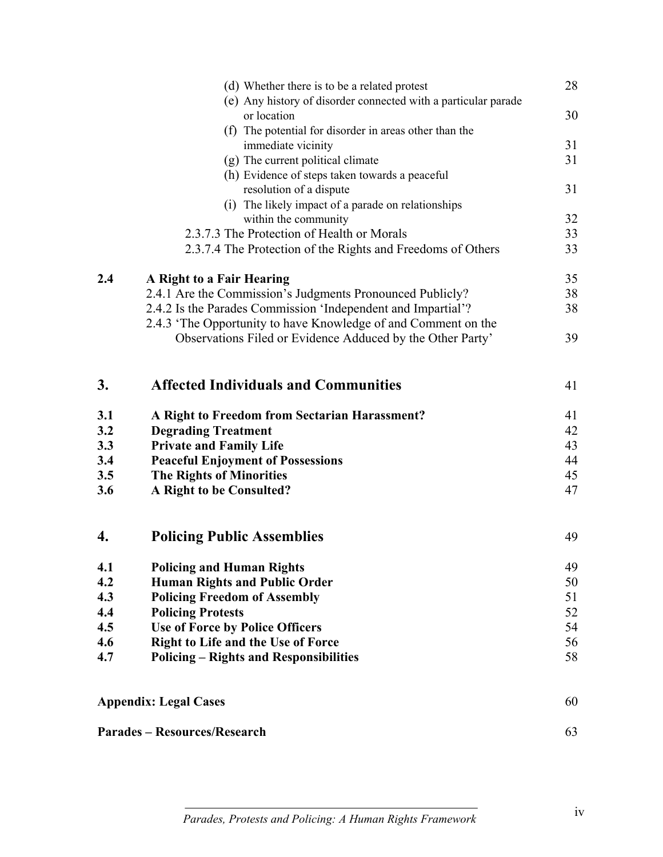|     | (d) Whether there is to be a related protest                   | 28 |
|-----|----------------------------------------------------------------|----|
|     | (e) Any history of disorder connected with a particular parade |    |
|     | or location                                                    | 30 |
|     | (f) The potential for disorder in areas other than the         |    |
|     | immediate vicinity                                             | 31 |
|     | (g) The current political climate                              | 31 |
|     | (h) Evidence of steps taken towards a peaceful                 |    |
|     | resolution of a dispute                                        | 31 |
|     | (i) The likely impact of a parade on relationships             |    |
|     | within the community                                           | 32 |
|     | 2.3.7.3 The Protection of Health or Morals                     | 33 |
|     | 2.3.7.4 The Protection of the Rights and Freedoms of Others    | 33 |
| 2.4 | A Right to a Fair Hearing                                      | 35 |
|     | 2.4.1 Are the Commission's Judgments Pronounced Publicly?      | 38 |
|     | 2.4.2 Is the Parades Commission 'Independent and Impartial'?   | 38 |
|     | 2.4.3 'The Opportunity to have Knowledge of and Comment on the |    |
|     | Observations Filed or Evidence Adduced by the Other Party'     | 39 |
| 3.  | <b>Affected Individuals and Communities</b>                    | 41 |
| 3.1 | A Right to Freedom from Sectarian Harassment?                  | 41 |
| 3.2 | <b>Degrading Treatment</b>                                     | 42 |
| 3.3 | <b>Private and Family Life</b>                                 | 43 |
| 3.4 | <b>Peaceful Enjoyment of Possessions</b>                       | 44 |
| 3.5 | <b>The Rights of Minorities</b>                                | 45 |
| 3.6 | A Right to be Consulted?                                       | 47 |
| 4.  | <b>Policing Public Assemblies</b>                              | 49 |
| 4.1 | <b>Policing and Human Rights</b>                               | 49 |
| 4.2 | <b>Human Rights and Public Order</b>                           | 50 |
| 4.3 | <b>Policing Freedom of Assembly</b>                            | 51 |
| 4.4 | <b>Policing Protests</b>                                       | 52 |
| 4.5 | <b>Use of Force by Police Officers</b>                         | 54 |
| 4.6 | <b>Right to Life and the Use of Force</b>                      | 56 |
| 4.7 | <b>Policing – Rights and Responsibilities</b>                  | 58 |
|     | <b>Appendix: Legal Cases</b>                                   | 60 |
|     | <b>Parades – Resources/Research</b>                            | 63 |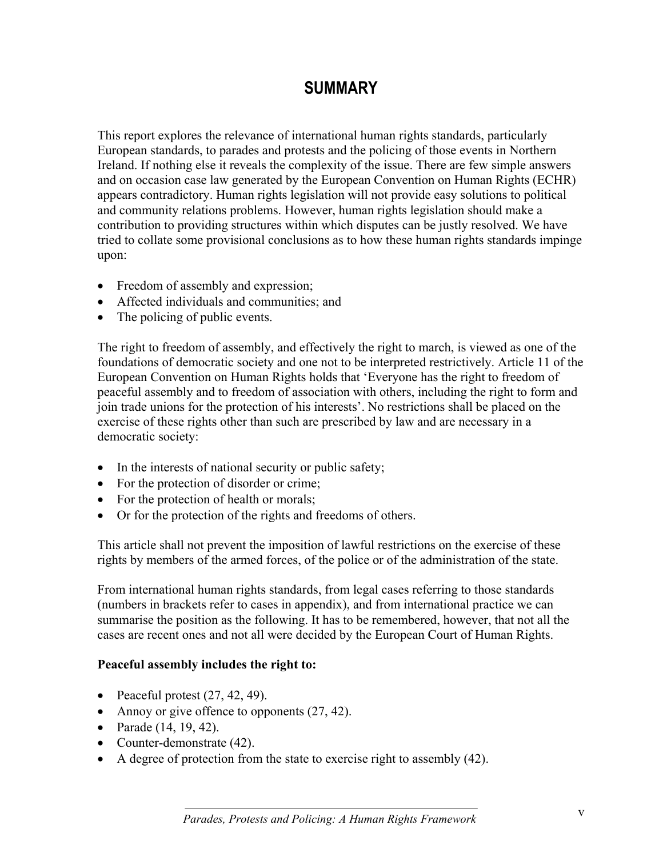# **SUMMARY**

This report explores the relevance of international human rights standards, particularly European standards, to parades and protests and the policing of those events in Northern Ireland. If nothing else it reveals the complexity of the issue. There are few simple answers and on occasion case law generated by the European Convention on Human Rights (ECHR) appears contradictory. Human rights legislation will not provide easy solutions to political and community relations problems. However, human rights legislation should make a contribution to providing structures within which disputes can be justly resolved. We have tried to collate some provisional conclusions as to how these human rights standards impinge upon:

- Freedom of assembly and expression;
- Affected individuals and communities; and
- The policing of public events.

The right to freedom of assembly, and effectively the right to march, is viewed as one of the foundations of democratic society and one not to be interpreted restrictively. Article 11 of the European Convention on Human Rights holds that 'Everyone has the right to freedom of peaceful assembly and to freedom of association with others, including the right to form and join trade unions for the protection of his interests'. No restrictions shall be placed on the exercise of these rights other than such are prescribed by law and are necessary in a democratic society:

- In the interests of national security or public safety;
- For the protection of disorder or crime;
- For the protection of health or morals;
- Or for the protection of the rights and freedoms of others.

This article shall not prevent the imposition of lawful restrictions on the exercise of these rights by members of the armed forces, of the police or of the administration of the state.

From international human rights standards, from legal cases referring to those standards (numbers in brackets refer to cases in appendix), and from international practice we can summarise the position as the following. It has to be remembered, however, that not all the cases are recent ones and not all were decided by the European Court of Human Rights.

#### **Peaceful assembly includes the right to:**

- Peaceful protest  $(27, 42, 49)$ .
- Annoy or give offence to opponents  $(27, 42)$ .
- Parade (14, 19, 42).
- Counter-demonstrate (42).
- A degree of protection from the state to exercise right to assembly (42).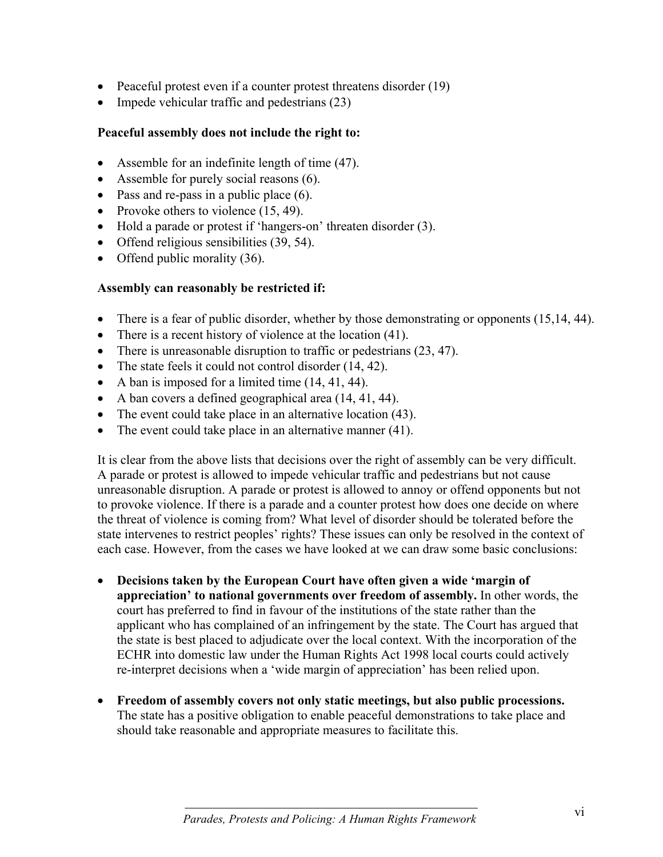- Peaceful protest even if a counter protest threatens disorder (19)
- Impede vehicular traffic and pedestrians (23)

#### **Peaceful assembly does not include the right to:**

- Assemble for an indefinite length of time (47).
- Assemble for purely social reasons (6).
- Pass and re-pass in a public place (6).
- Provoke others to violence (15, 49).
- Hold a parade or protest if 'hangers-on' threaten disorder (3).
- Offend religious sensibilities (39, 54).
- Offend public morality (36).

#### **Assembly can reasonably be restricted if:**

- There is a fear of public disorder, whether by those demonstrating or opponents  $(15,14, 44)$ .
- There is a recent history of violence at the location (41).
- There is unreasonable disruption to traffic or pedestrians (23, 47).
- The state feels it could not control disorder (14, 42).
- A ban is imposed for a limited time  $(14, 41, 44)$ .
- A ban covers a defined geographical area  $(14, 41, 44)$ .
- The event could take place in an alternative location (43).
- The event could take place in an alternative manner (41).

It is clear from the above lists that decisions over the right of assembly can be very difficult. A parade or protest is allowed to impede vehicular traffic and pedestrians but not cause unreasonable disruption. A parade or protest is allowed to annoy or offend opponents but not to provoke violence. If there is a parade and a counter protest how does one decide on where the threat of violence is coming from? What level of disorder should be tolerated before the state intervenes to restrict peoples' rights? These issues can only be resolved in the context of each case. However, from the cases we have looked at we can draw some basic conclusions:

- **Decisions taken by the European Court have often given a wide 'margin of appreciation' to national governments over freedom of assembly.** In other words, the court has preferred to find in favour of the institutions of the state rather than the applicant who has complained of an infringement by the state. The Court has argued that the state is best placed to adjudicate over the local context. With the incorporation of the ECHR into domestic law under the Human Rights Act 1998 local courts could actively re-interpret decisions when a 'wide margin of appreciation' has been relied upon.
- **Freedom of assembly covers not only static meetings, but also public processions.** The state has a positive obligation to enable peaceful demonstrations to take place and should take reasonable and appropriate measures to facilitate this.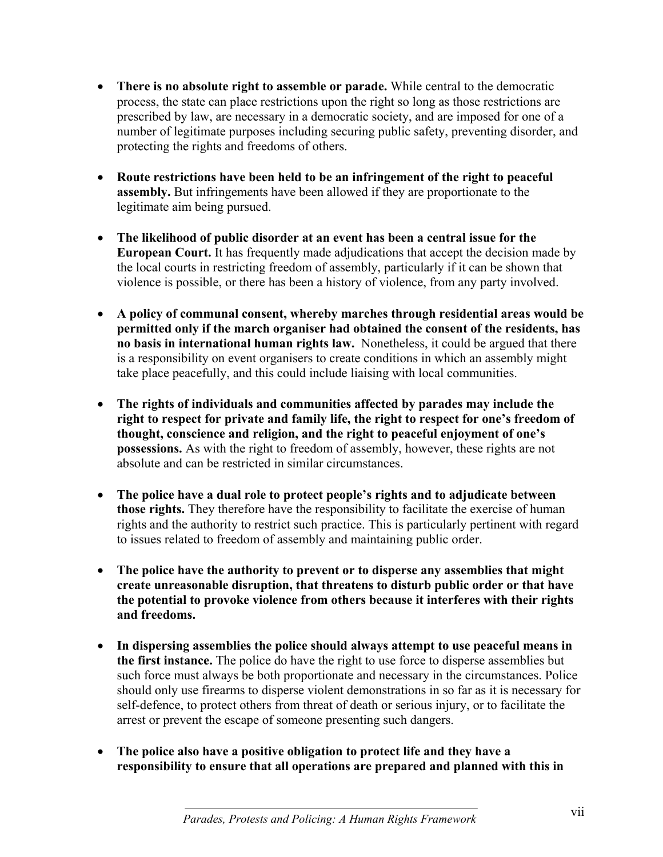- **There is no absolute right to assemble or parade.** While central to the democratic process, the state can place restrictions upon the right so long as those restrictions are prescribed by law, are necessary in a democratic society, and are imposed for one of a number of legitimate purposes including securing public safety, preventing disorder, and protecting the rights and freedoms of others.
- **Route restrictions have been held to be an infringement of the right to peaceful assembly.** But infringements have been allowed if they are proportionate to the legitimate aim being pursued.
- **The likelihood of public disorder at an event has been a central issue for the European Court.** It has frequently made adjudications that accept the decision made by the local courts in restricting freedom of assembly, particularly if it can be shown that violence is possible, or there has been a history of violence, from any party involved.
- **A policy of communal consent, whereby marches through residential areas would be permitted only if the march organiser had obtained the consent of the residents, has no basis in international human rights law.** Nonetheless, it could be argued that there is a responsibility on event organisers to create conditions in which an assembly might take place peacefully, and this could include liaising with local communities.
- **The rights of individuals and communities affected by parades may include the right to respect for private and family life, the right to respect for one's freedom of thought, conscience and religion, and the right to peaceful enjoyment of one's possessions.** As with the right to freedom of assembly, however, these rights are not absolute and can be restricted in similar circumstances.
- **The police have a dual role to protect people's rights and to adjudicate between those rights.** They therefore have the responsibility to facilitate the exercise of human rights and the authority to restrict such practice. This is particularly pertinent with regard to issues related to freedom of assembly and maintaining public order.
- **The police have the authority to prevent or to disperse any assemblies that might create unreasonable disruption, that threatens to disturb public order or that have the potential to provoke violence from others because it interferes with their rights and freedoms.**
- **In dispersing assemblies the police should always attempt to use peaceful means in the first instance.** The police do have the right to use force to disperse assemblies but such force must always be both proportionate and necessary in the circumstances. Police should only use firearms to disperse violent demonstrations in so far as it is necessary for self-defence, to protect others from threat of death or serious injury, or to facilitate the arrest or prevent the escape of someone presenting such dangers.
- **The police also have a positive obligation to protect life and they have a responsibility to ensure that all operations are prepared and planned with this in**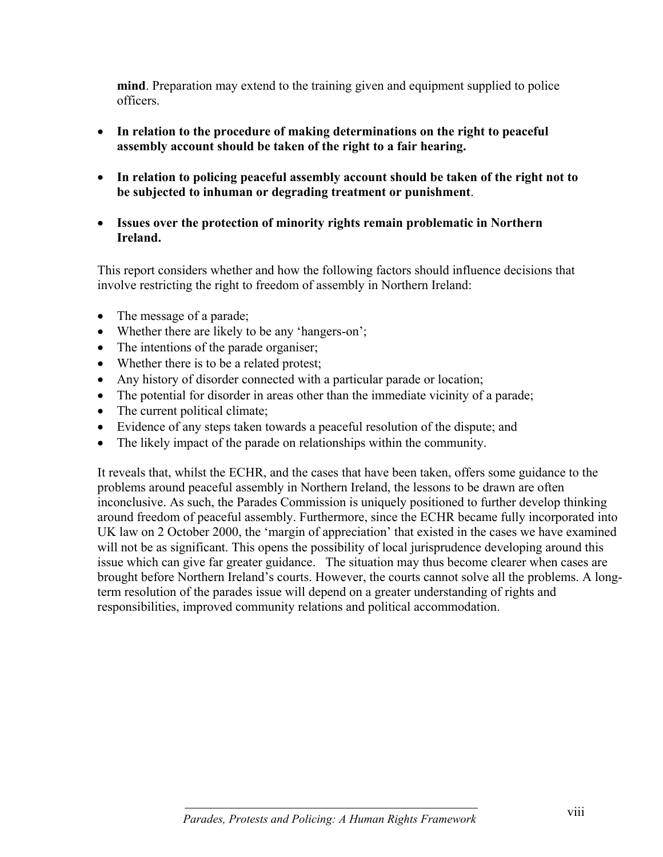**mind**. Preparation may extend to the training given and equipment supplied to police officers.

- **In relation to the procedure of making determinations on the right to peaceful assembly account should be taken of the right to a fair hearing.**
- **In relation to policing peaceful assembly account should be taken of the right not to be subjected to inhuman or degrading treatment or punishment**.
- **Issues over the protection of minority rights remain problematic in Northern Ireland.**

This report considers whether and how the following factors should influence decisions that involve restricting the right to freedom of assembly in Northern Ireland:

- The message of a parade;
- Whether there are likely to be any 'hangers-on';
- The intentions of the parade organiser;
- Whether there is to be a related protest;
- Any history of disorder connected with a particular parade or location;
- The potential for disorder in areas other than the immediate vicinity of a parade;
- The current political climate;
- Evidence of any steps taken towards a peaceful resolution of the dispute; and
- The likely impact of the parade on relationships within the community.

It reveals that, whilst the ECHR, and the cases that have been taken, offers some guidance to the problems around peaceful assembly in Northern Ireland, the lessons to be drawn are often inconclusive. As such, the Parades Commission is uniquely positioned to further develop thinking around freedom of peaceful assembly. Furthermore, since the ECHR became fully incorporated into UK law on 2 October 2000, the 'margin of appreciation' that existed in the cases we have examined will not be as significant. This opens the possibility of local jurisprudence developing around this issue which can give far greater guidance. The situation may thus become clearer when cases are brought before Northern Ireland's courts. However, the courts cannot solve all the problems. A longterm resolution of the parades issue will depend on a greater understanding of rights and responsibilities, improved community relations and political accommodation.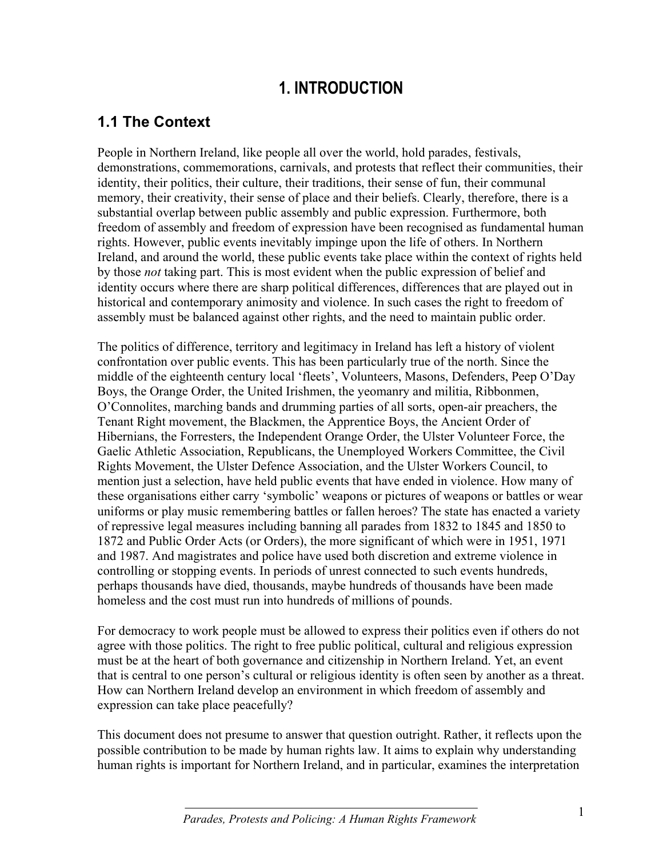# **1. INTRODUCTION**

# **1.1 The Context**

People in Northern Ireland, like people all over the world, hold parades, festivals, demonstrations, commemorations, carnivals, and protests that reflect their communities, their identity, their politics, their culture, their traditions, their sense of fun, their communal memory, their creativity, their sense of place and their beliefs. Clearly, therefore, there is a substantial overlap between public assembly and public expression. Furthermore, both freedom of assembly and freedom of expression have been recognised as fundamental human rights. However, public events inevitably impinge upon the life of others. In Northern Ireland, and around the world, these public events take place within the context of rights held by those *not* taking part. This is most evident when the public expression of belief and identity occurs where there are sharp political differences, differences that are played out in historical and contemporary animosity and violence. In such cases the right to freedom of assembly must be balanced against other rights, and the need to maintain public order.

The politics of difference, territory and legitimacy in Ireland has left a history of violent confrontation over public events. This has been particularly true of the north. Since the middle of the eighteenth century local 'fleets', Volunteers, Masons, Defenders, Peep O'Day Boys, the Orange Order, the United Irishmen, the yeomanry and militia, Ribbonmen, O'Connolites, marching bands and drumming parties of all sorts, open-air preachers, the Tenant Right movement, the Blackmen, the Apprentice Boys, the Ancient Order of Hibernians, the Forresters, the Independent Orange Order, the Ulster Volunteer Force, the Gaelic Athletic Association, Republicans, the Unemployed Workers Committee, the Civil Rights Movement, the Ulster Defence Association, and the Ulster Workers Council, to mention just a selection, have held public events that have ended in violence. How many of these organisations either carry 'symbolic' weapons or pictures of weapons or battles or wear uniforms or play music remembering battles or fallen heroes? The state has enacted a variety of repressive legal measures including banning all parades from 1832 to 1845 and 1850 to 1872 and Public Order Acts (or Orders), the more significant of which were in 1951, 1971 and 1987. And magistrates and police have used both discretion and extreme violence in controlling or stopping events. In periods of unrest connected to such events hundreds, perhaps thousands have died, thousands, maybe hundreds of thousands have been made homeless and the cost must run into hundreds of millions of pounds.

For democracy to work people must be allowed to express their politics even if others do not agree with those politics. The right to free public political, cultural and religious expression must be at the heart of both governance and citizenship in Northern Ireland. Yet, an event that is central to one person's cultural or religious identity is often seen by another as a threat. How can Northern Ireland develop an environment in which freedom of assembly and expression can take place peacefully?

This document does not presume to answer that question outright. Rather, it reflects upon the possible contribution to be made by human rights law. It aims to explain why understanding human rights is important for Northern Ireland, and in particular, examines the interpretation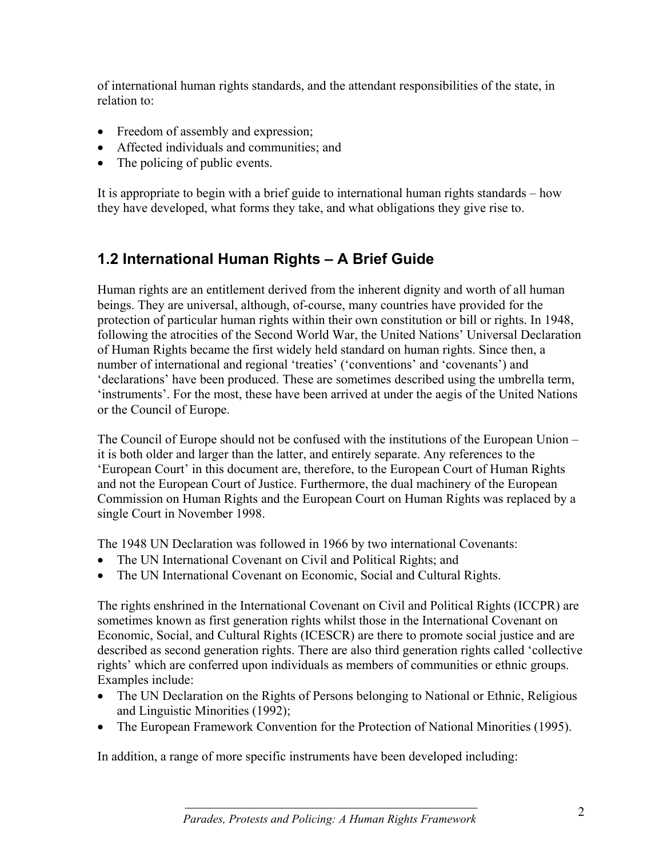of international human rights standards, and the attendant responsibilities of the state, in relation to:

- Freedom of assembly and expression;
- Affected individuals and communities; and
- The policing of public events.

It is appropriate to begin with a brief guide to international human rights standards – how they have developed, what forms they take, and what obligations they give rise to.

# **1.2 International Human Rights – A Brief Guide**

Human rights are an entitlement derived from the inherent dignity and worth of all human beings. They are universal, although, of-course, many countries have provided for the protection of particular human rights within their own constitution or bill or rights. In 1948, following the atrocities of the Second World War, the United Nations' Universal Declaration of Human Rights became the first widely held standard on human rights. Since then, a number of international and regional 'treaties' ('conventions' and 'covenants') and 'declarations' have been produced. These are sometimes described using the umbrella term, 'instruments'. For the most, these have been arrived at under the aegis of the United Nations or the Council of Europe.

The Council of Europe should not be confused with the institutions of the European Union – it is both older and larger than the latter, and entirely separate. Any references to the 'European Court' in this document are, therefore, to the European Court of Human Rights and not the European Court of Justice. Furthermore, the dual machinery of the European Commission on Human Rights and the European Court on Human Rights was replaced by a single Court in November 1998.

The 1948 UN Declaration was followed in 1966 by two international Covenants:

- The UN International Covenant on Civil and Political Rights; and
- The UN International Covenant on Economic, Social and Cultural Rights.

The rights enshrined in the International Covenant on Civil and Political Rights (ICCPR) are sometimes known as first generation rights whilst those in the International Covenant on Economic, Social, and Cultural Rights (ICESCR) are there to promote social justice and are described as second generation rights. There are also third generation rights called 'collective rights' which are conferred upon individuals as members of communities or ethnic groups. Examples include:

- The UN Declaration on the Rights of Persons belonging to National or Ethnic, Religious and Linguistic Minorities (1992);
- The European Framework Convention for the Protection of National Minorities (1995).

In addition, a range of more specific instruments have been developed including: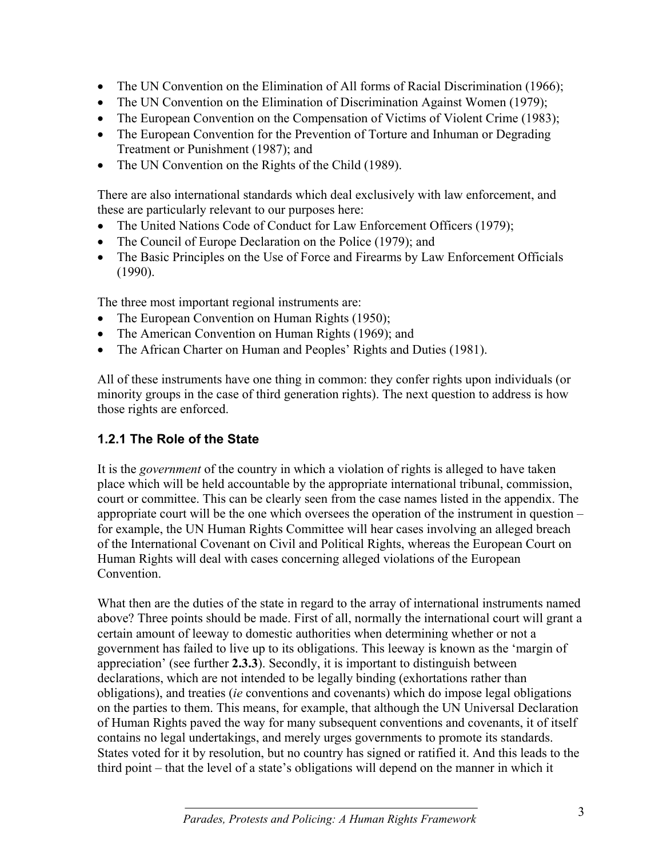- The UN Convention on the Elimination of All forms of Racial Discrimination (1966);
- The UN Convention on the Elimination of Discrimination Against Women (1979);
- The European Convention on the Compensation of Victims of Violent Crime (1983);
- The European Convention for the Prevention of Torture and Inhuman or Degrading Treatment or Punishment (1987); and
- The UN Convention on the Rights of the Child (1989).

There are also international standards which deal exclusively with law enforcement, and these are particularly relevant to our purposes here:

- The United Nations Code of Conduct for Law Enforcement Officers (1979);
- The Council of Europe Declaration on the Police (1979); and
- The Basic Principles on the Use of Force and Firearms by Law Enforcement Officials (1990).

The three most important regional instruments are:

- The European Convention on Human Rights (1950);
- The American Convention on Human Rights (1969); and
- The African Charter on Human and Peoples' Rights and Duties (1981).

All of these instruments have one thing in common: they confer rights upon individuals (or minority groups in the case of third generation rights). The next question to address is how those rights are enforced.

#### **1.2.1 The Role of the State**

It is the *government* of the country in which a violation of rights is alleged to have taken place which will be held accountable by the appropriate international tribunal, commission, court or committee. This can be clearly seen from the case names listed in the appendix. The appropriate court will be the one which oversees the operation of the instrument in question – for example, the UN Human Rights Committee will hear cases involving an alleged breach of the International Covenant on Civil and Political Rights, whereas the European Court on Human Rights will deal with cases concerning alleged violations of the European **Convention** 

What then are the duties of the state in regard to the array of international instruments named above? Three points should be made. First of all, normally the international court will grant a certain amount of leeway to domestic authorities when determining whether or not a government has failed to live up to its obligations. This leeway is known as the 'margin of appreciation' (see further **2.3.3**). Secondly, it is important to distinguish between declarations, which are not intended to be legally binding (exhortations rather than obligations), and treaties (*ie* conventions and covenants) which do impose legal obligations on the parties to them. This means, for example, that although the UN Universal Declaration of Human Rights paved the way for many subsequent conventions and covenants, it of itself contains no legal undertakings, and merely urges governments to promote its standards. States voted for it by resolution, but no country has signed or ratified it. And this leads to the third point – that the level of a state's obligations will depend on the manner in which it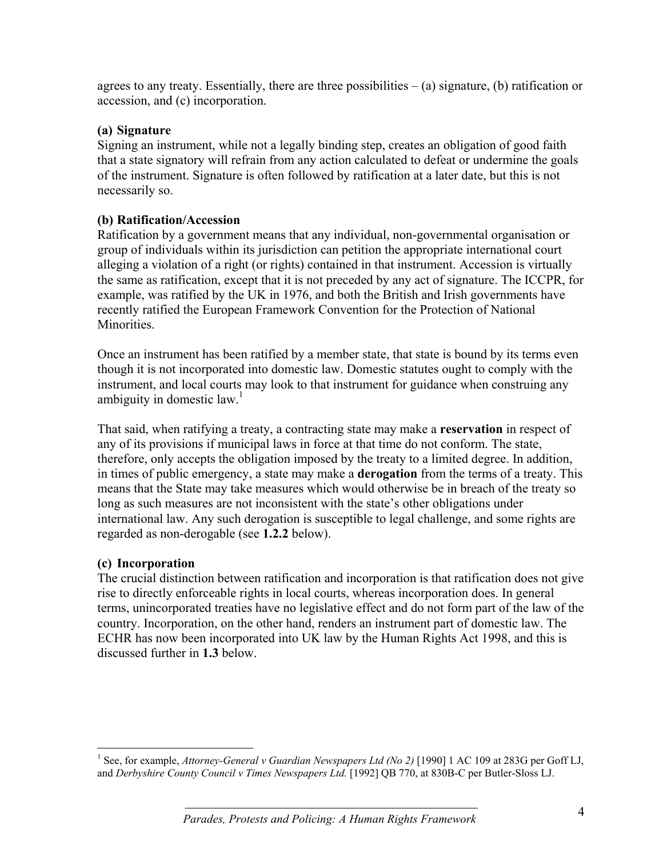agrees to any treaty. Essentially, there are three possibilities  $-$  (a) signature, (b) ratification or accession, and (c) incorporation.

#### **(a) Signature**

Signing an instrument, while not a legally binding step, creates an obligation of good faith that a state signatory will refrain from any action calculated to defeat or undermine the goals of the instrument. Signature is often followed by ratification at a later date, but this is not necessarily so.

#### **(b) Ratification/Accession**

Ratification by a government means that any individual, non-governmental organisation or group of individuals within its jurisdiction can petition the appropriate international court alleging a violation of a right (or rights) contained in that instrument. Accession is virtually the same as ratification, except that it is not preceded by any act of signature. The ICCPR, for example, was ratified by the UK in 1976, and both the British and Irish governments have recently ratified the European Framework Convention for the Protection of National Minorities.

Once an instrument has been ratified by a member state, that state is bound by its terms even though it is not incorporated into domestic law. Domestic statutes ought to comply with the instrument, and local courts may look to that instrument for guidance when construing any ambiguity in domestic  $law<sup>1</sup>$ .

That said, when ratifying a treaty, a contracting state may make a **reservation** in respect of any of its provisions if municipal laws in force at that time do not conform. The state, therefore, only accepts the obligation imposed by the treaty to a limited degree. In addition, in times of public emergency, a state may make a **derogation** from the terms of a treaty. This means that the State may take measures which would otherwise be in breach of the treaty so long as such measures are not inconsistent with the state's other obligations under international law. Any such derogation is susceptible to legal challenge, and some rights are regarded as non-derogable (see **1.2.2** below).

#### **(c) Incorporation**

The crucial distinction between ratification and incorporation is that ratification does not give rise to directly enforceable rights in local courts, whereas incorporation does. In general terms, unincorporated treaties have no legislative effect and do not form part of the law of the country. Incorporation, on the other hand, renders an instrument part of domestic law. The ECHR has now been incorporated into UK law by the Human Rights Act 1998, and this is discussed further in **1.3** below.

<sup>&</sup>lt;sup>1</sup> See, for example, *Attorney-General v Guardian Newspapers Ltd (No 2)* [1990] 1 AC 109 at 283G per Goff LJ, and *Derbyshire County Council v Times Newspapers Ltd.* [1992] QB 770, at 830B-C per Butler-Sloss LJ.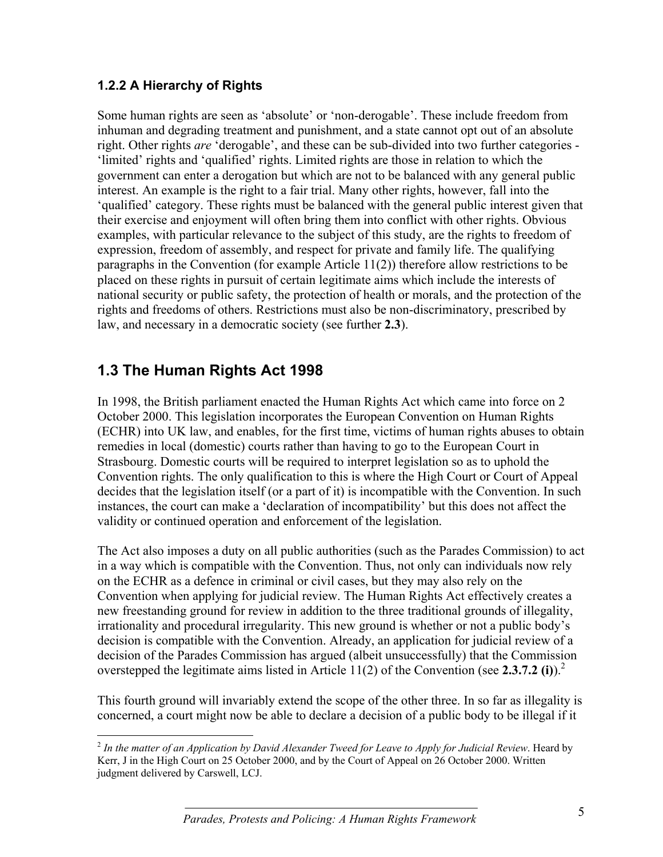#### **1.2.2 A Hierarchy of Rights**

Some human rights are seen as 'absolute' or 'non-derogable'. These include freedom from inhuman and degrading treatment and punishment, and a state cannot opt out of an absolute right. Other rights *are* 'derogable', and these can be sub-divided into two further categories - 'limited' rights and 'qualified' rights. Limited rights are those in relation to which the government can enter a derogation but which are not to be balanced with any general public interest. An example is the right to a fair trial. Many other rights, however, fall into the 'qualified' category. These rights must be balanced with the general public interest given that their exercise and enjoyment will often bring them into conflict with other rights. Obvious examples, with particular relevance to the subject of this study, are the rights to freedom of expression, freedom of assembly, and respect for private and family life. The qualifying paragraphs in the Convention (for example Article 11(2)) therefore allow restrictions to be placed on these rights in pursuit of certain legitimate aims which include the interests of national security or public safety, the protection of health or morals, and the protection of the rights and freedoms of others. Restrictions must also be non-discriminatory, prescribed by law, and necessary in a democratic society (see further **2.3**).

# **1.3 The Human Rights Act 1998**

In 1998, the British parliament enacted the Human Rights Act which came into force on 2 October 2000. This legislation incorporates the European Convention on Human Rights (ECHR) into UK law, and enables, for the first time, victims of human rights abuses to obtain remedies in local (domestic) courts rather than having to go to the European Court in Strasbourg. Domestic courts will be required to interpret legislation so as to uphold the Convention rights. The only qualification to this is where the High Court or Court of Appeal decides that the legislation itself (or a part of it) is incompatible with the Convention. In such instances, the court can make a 'declaration of incompatibility' but this does not affect the validity or continued operation and enforcement of the legislation.

The Act also imposes a duty on all public authorities (such as the Parades Commission) to act in a way which is compatible with the Convention. Thus, not only can individuals now rely on the ECHR as a defence in criminal or civil cases, but they may also rely on the Convention when applying for judicial review. The Human Rights Act effectively creates a new freestanding ground for review in addition to the three traditional grounds of illegality, irrationality and procedural irregularity. This new ground is whether or not a public body's decision is compatible with the Convention. Already, an application for judicial review of a decision of the Parades Commission has argued (albeit unsuccessfully) that the Commission overstepped the legitimate aims listed in Article 11(2) of the Convention (see **2.3.7.2 (i)**).2

This fourth ground will invariably extend the scope of the other three. In so far as illegality is concerned, a court might now be able to declare a decision of a public body to be illegal if it

 $\overline{a}$ <sup>2</sup> *In the matter of an Application by David Alexander Tweed for Leave to Apply for Judicial Review*. Heard by Kerr, J in the High Court on 25 October 2000, and by the Court of Appeal on 26 October 2000. Written judgment delivered by Carswell, LCJ.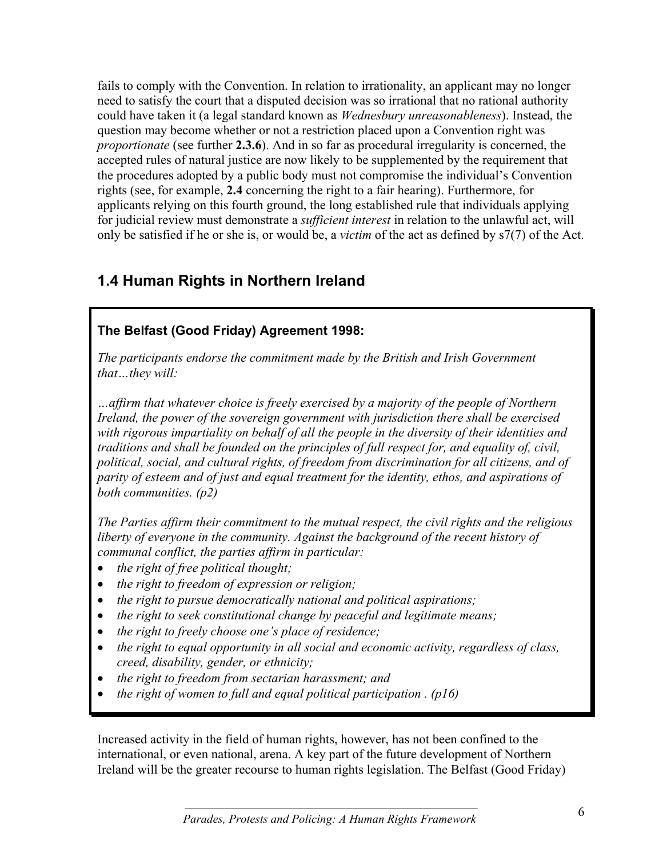fails to comply with the Convention. In relation to irrationality, an applicant may no longer need to satisfy the court that a disputed decision was so irrational that no rational authority could have taken it (a legal standard known as *Wednesbury unreasonableness*). Instead, the question may become whether or not a restriction placed upon a Convention right was *proportionate* (see further **2.3.6**). And in so far as procedural irregularity is concerned, the accepted rules of natural justice are now likely to be supplemented by the requirement that the procedures adopted by a public body must not compromise the individual's Convention rights (see, for example, **2.4** concerning the right to a fair hearing). Furthermore, for applicants relying on this fourth ground, the long established rule that individuals applying for judicial review must demonstrate a *sufficient interest* in relation to the unlawful act, will only be satisfied if he or she is, or would be, a *victim* of the act as defined by s7(7) of the Act.

# **1.4 Human Rights in Northern Ireland**

## **The Belfast (Good Friday) Agreement 1998:**

*The participants endorse the commitment made by the British and Irish Government that…they will:*

*…affirm that whatever choice is freely exercised by a majority of the people of Northern Ireland, the power of the sovereign government with jurisdiction there shall be exercised with rigorous impartiality on behalf of all the people in the diversity of their identities and traditions and shall be founded on the principles of full respect for, and equality of, civil, political, social, and cultural rights, of freedom from discrimination for all citizens, and of parity of esteem and of just and equal treatment for the identity, ethos, and aspirations of both communities. (p2)*

*The Parties affirm their commitment to the mutual respect, the civil rights and the religious liberty of everyone in the community. Against the background of the recent history of communal conflict, the parties affirm in particular:*

- *the right of free political thought;*
- *the right to freedom of expression or religion;*
- *the right to pursue democratically national and political aspirations;*
- *the right to seek constitutional change by peaceful and legitimate means;*
- *the right to freely choose one's place of residence;*
- *the right to equal opportunity in all social and economic activity, regardless of class, creed, disability, gender, or ethnicity;*
- *the right to freedom from sectarian harassment; and*
- *the right of women to full and equal political participation . (p16)*

Increased activity in the field of human rights, however, has not been confined to the international, or even national, arena. A key part of the future development of Northern Ireland will be the greater recourse to human rights legislation. The Belfast (Good Friday)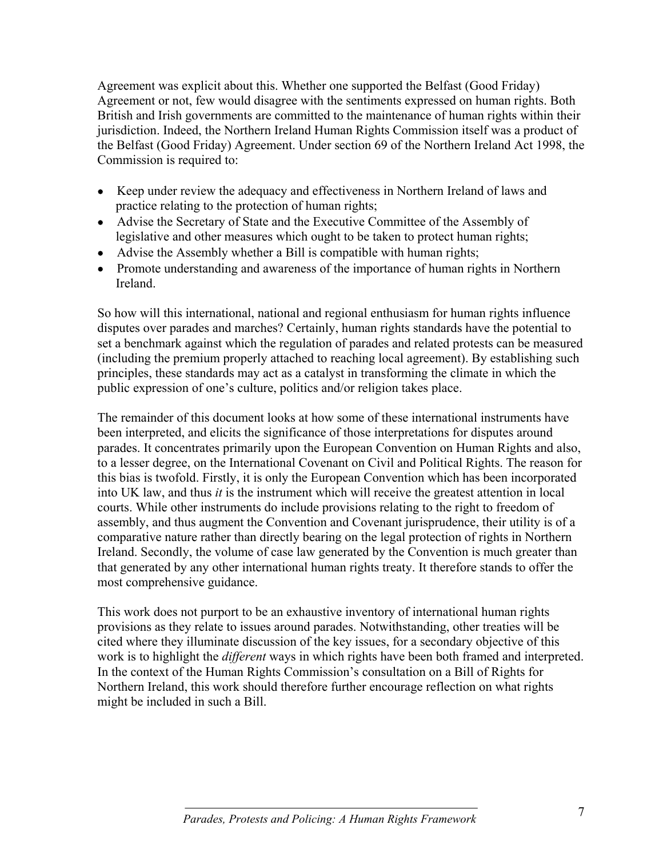Agreement was explicit about this. Whether one supported the Belfast (Good Friday) Agreement or not, few would disagree with the sentiments expressed on human rights. Both British and Irish governments are committed to the maintenance of human rights within their jurisdiction. Indeed, the Northern Ireland Human Rights Commission itself was a product of the Belfast (Good Friday) Agreement. Under section 69 of the Northern Ireland Act 1998, the Commission is required to:

- Keep under review the adequacy and effectiveness in Northern Ireland of laws and practice relating to the protection of human rights;
- Advise the Secretary of State and the Executive Committee of the Assembly of legislative and other measures which ought to be taken to protect human rights;
- Advise the Assembly whether a Bill is compatible with human rights;
- Promote understanding and awareness of the importance of human rights in Northern Ireland.

So how will this international, national and regional enthusiasm for human rights influence disputes over parades and marches? Certainly, human rights standards have the potential to set a benchmark against which the regulation of parades and related protests can be measured (including the premium properly attached to reaching local agreement). By establishing such principles, these standards may act as a catalyst in transforming the climate in which the public expression of one's culture, politics and/or religion takes place.

The remainder of this document looks at how some of these international instruments have been interpreted, and elicits the significance of those interpretations for disputes around parades. It concentrates primarily upon the European Convention on Human Rights and also, to a lesser degree, on the International Covenant on Civil and Political Rights. The reason for this bias is twofold. Firstly, it is only the European Convention which has been incorporated into UK law, and thus *it* is the instrument which will receive the greatest attention in local courts. While other instruments do include provisions relating to the right to freedom of assembly, and thus augment the Convention and Covenant jurisprudence, their utility is of a comparative nature rather than directly bearing on the legal protection of rights in Northern Ireland. Secondly, the volume of case law generated by the Convention is much greater than that generated by any other international human rights treaty. It therefore stands to offer the most comprehensive guidance.

This work does not purport to be an exhaustive inventory of international human rights provisions as they relate to issues around parades. Notwithstanding, other treaties will be cited where they illuminate discussion of the key issues, for a secondary objective of this work is to highlight the *different* ways in which rights have been both framed and interpreted. In the context of the Human Rights Commission's consultation on a Bill of Rights for Northern Ireland, this work should therefore further encourage reflection on what rights might be included in such a Bill.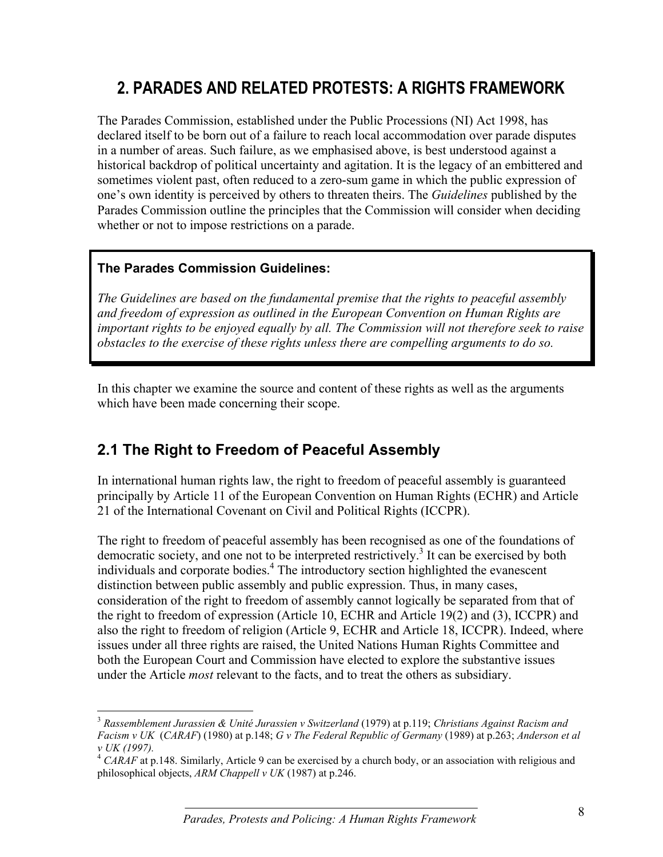# **2. PARADES AND RELATED PROTESTS: A RIGHTS FRAMEWORK**

The Parades Commission, established under the Public Processions (NI) Act 1998, has declared itself to be born out of a failure to reach local accommodation over parade disputes in a number of areas. Such failure, as we emphasised above, is best understood against a historical backdrop of political uncertainty and agitation. It is the legacy of an embittered and sometimes violent past, often reduced to a zero-sum game in which the public expression of one's own identity is perceived by others to threaten theirs. The *Guidelines* published by the Parades Commission outline the principles that the Commission will consider when deciding whether or not to impose restrictions on a parade.

#### **The Parades Commission Guidelines:**

 $\overline{a}$ 

*The Guidelines are based on the fundamental premise that the rights to peaceful assembly and freedom of expression as outlined in the European Convention on Human Rights are important rights to be enjoyed equally by all. The Commission will not therefore seek to raise obstacles to the exercise of these rights unless there are compelling arguments to do so.*

In this chapter we examine the source and content of these rights as well as the arguments which have been made concerning their scope.

# **2.1 The Right to Freedom of Peaceful Assembly**

In international human rights law, the right to freedom of peaceful assembly is guaranteed principally by Article 11 of the European Convention on Human Rights (ECHR) and Article 21 of the International Covenant on Civil and Political Rights (ICCPR).

The right to freedom of peaceful assembly has been recognised as one of the foundations of democratic society, and one not to be interpreted restrictively.<sup>3</sup> It can be exercised by both individuals and corporate bodies.<sup>4</sup> The introductory section highlighted the evanescent distinction between public assembly and public expression. Thus, in many cases, consideration of the right to freedom of assembly cannot logically be separated from that of the right to freedom of expression (Article 10, ECHR and Article 19(2) and (3), ICCPR) and also the right to freedom of religion (Article 9, ECHR and Article 18, ICCPR). Indeed, where issues under all three rights are raised, the United Nations Human Rights Committee and both the European Court and Commission have elected to explore the substantive issues under the Article *most* relevant to the facts, and to treat the others as subsidiary.

<sup>3</sup> *Rassemblement Jurassien & Unité Jurassien v Switzerland* (1979) at p.119; *Christians Against Racism and Facism v UK* (*CARAF*) (1980) at p.148; *G v The Federal Republic of Germany* (1989) at p.263; *Anderson et al v UK (1997).*

<sup>&</sup>lt;sup>4</sup> CARAF at p.148. Similarly, Article 9 can be exercised by a church body, or an association with religious and philosophical objects, *ARM Chappell v UK* (1987) at p.246.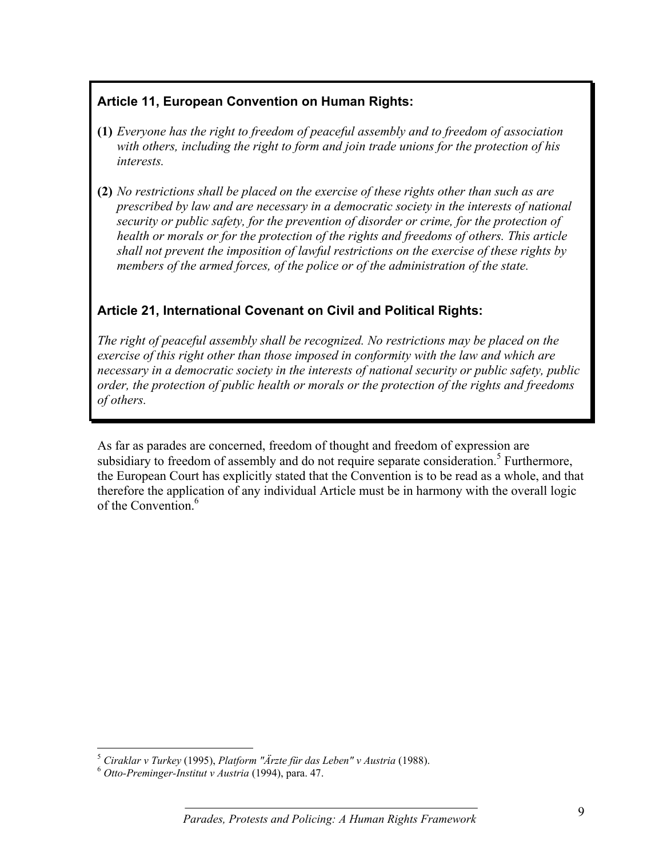#### **Article 11, European Convention on Human Rights:**

- **(1)** *Everyone has the right to freedom of peaceful assembly and to freedom of association with others, including the right to form and join trade unions for the protection of his interests.*
- **(2)** *No restrictions shall be placed on the exercise of these rights other than such as are prescribed by law and are necessary in a democratic society in the interests of national security or public safety, for the prevention of disorder or crime, for the protection of health or morals or for the protection of the rights and freedoms of others. This article shall not prevent the imposition of lawful restrictions on the exercise of these rights by members of the armed forces, of the police or of the administration of the state.*

## **Article 21, International Covenant on Civil and Political Rights:**

*The right of peaceful assembly shall be recognized. No restrictions may be placed on the exercise of this right other than those imposed in conformity with the law and which are necessary in a democratic society in the interests of national security or public safety, public order, the protection of public health or morals or the protection of the rights and freedoms of others.*

As far as parades are concerned, freedom of thought and freedom of expression are subsidiary to freedom of assembly and do not require separate consideration.<sup>5</sup> Furthermore, the European Court has explicitly stated that the Convention is to be read as a whole, and that therefore the application of any individual Article must be in harmony with the overall logic of the Convention<sup>6</sup>

 5  *Ciraklar v Turkey* (1995), *Platform "Ärzte für das Leben" v Austria* (1988). <sup>6</sup> *Otto-Preminger-Institut v Austria* (1994), para. 47.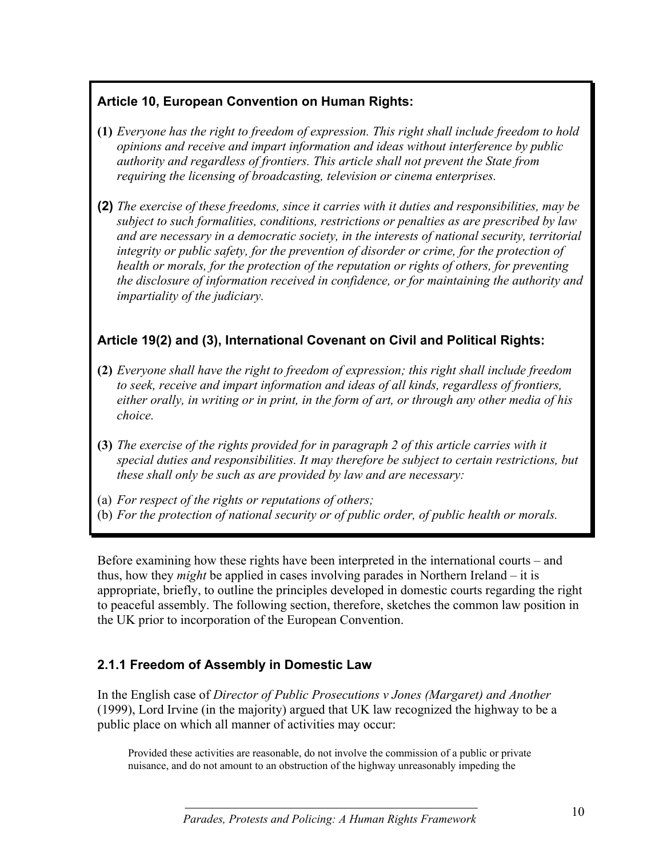## **Article 10, European Convention on Human Rights:**

- **(1)** *Everyone has the right to freedom of expression. This right shall include freedom to hold opinions and receive and impart information and ideas without interference by public authority and regardless of frontiers. This article shall not prevent the State from requiring the licensing of broadcasting, television or cinema enterprises.*
- **(2)** *The exercise of these freedoms, since it carries with it duties and responsibilities, may be subject to such formalities, conditions, restrictions or penalties as are prescribed by law and are necessary in a democratic society, in the interests of national security, territorial integrity or public safety, for the prevention of disorder or crime, for the protection of health or morals, for the protection of the reputation or rights of others, for preventing the disclosure of information received in confidence, or for maintaining the authority and impartiality of the judiciary.*

## **Article 19(2) and (3), International Covenant on Civil and Political Rights:**

- **(2)** *Everyone shall have the right to freedom of expression; this right shall include freedom to seek, receive and impart information and ideas of all kinds, regardless of frontiers, either orally, in writing or in print, in the form of art, or through any other media of his choice.*
- **(3)** *The exercise of the rights provided for in paragraph 2 of this article carries with it special duties and responsibilities. It may therefore be subject to certain restrictions, but these shall only be such as are provided by law and are necessary:*
- (a) *For respect of the rights or reputations of others;*
- (b) *For the protection of national security or of public order, of public health or morals.*

Before examining how these rights have been interpreted in the international courts – and thus, how they *might* be applied in cases involving parades in Northern Ireland – it is appropriate, briefly, to outline the principles developed in domestic courts regarding the right to peaceful assembly. The following section, therefore, sketches the common law position in the UK prior to incorporation of the European Convention.

## **2.1.1 Freedom of Assembly in Domestic Law**

In the English case of *Director of Public Prosecutions v Jones (Margaret) and Another* (1999), Lord Irvine (in the majority) argued that UK law recognized the highway to be a public place on which all manner of activities may occur:

Provided these activities are reasonable, do not involve the commission of a public or private nuisance, and do not amount to an obstruction of the highway unreasonably impeding the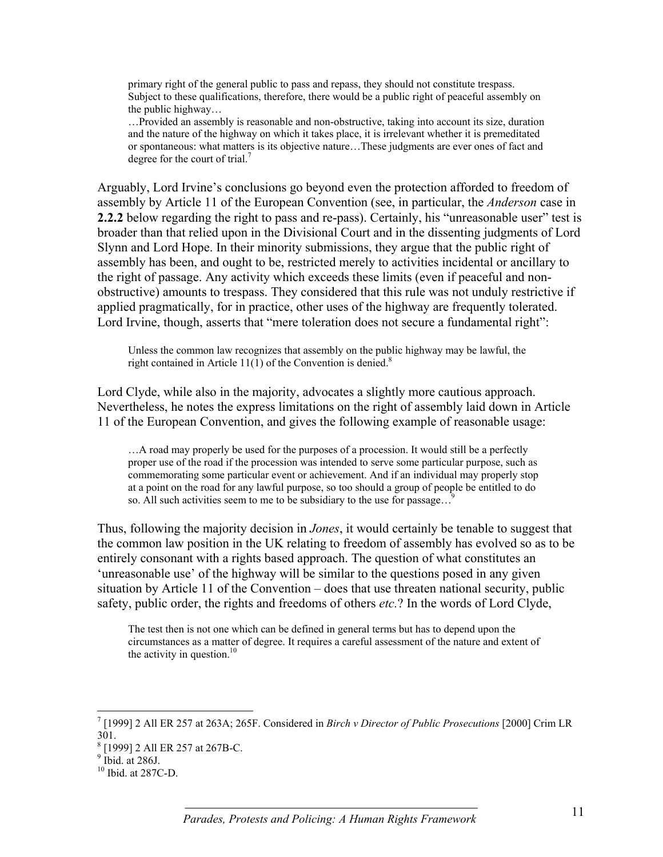primary right of the general public to pass and repass, they should not constitute trespass. Subject to these qualifications, therefore, there would be a public right of peaceful assembly on the public highway…

…Provided an assembly is reasonable and non-obstructive, taking into account its size, duration and the nature of the highway on which it takes place, it is irrelevant whether it is premeditated or spontaneous: what matters is its objective nature…These judgments are ever ones of fact and degree for the court of trial.<sup>7</sup>

Arguably, Lord Irvine's conclusions go beyond even the protection afforded to freedom of assembly by Article 11 of the European Convention (see, in particular, the *Anderson* case in **2.2.2** below regarding the right to pass and re-pass). Certainly, his "unreasonable user" test is broader than that relied upon in the Divisional Court and in the dissenting judgments of Lord Slynn and Lord Hope. In their minority submissions, they argue that the public right of assembly has been, and ought to be, restricted merely to activities incidental or ancillary to the right of passage. Any activity which exceeds these limits (even if peaceful and nonobstructive) amounts to trespass. They considered that this rule was not unduly restrictive if applied pragmatically, for in practice, other uses of the highway are frequently tolerated. Lord Irvine, though, asserts that "mere toleration does not secure a fundamental right":

Unless the common law recognizes that assembly on the public highway may be lawful, the right contained in Article  $11(1)$  of the Convention is denied.<sup>8</sup>

Lord Clyde, while also in the majority, advocates a slightly more cautious approach. Nevertheless, he notes the express limitations on the right of assembly laid down in Article 11 of the European Convention, and gives the following example of reasonable usage:

…A road may properly be used for the purposes of a procession. It would still be a perfectly proper use of the road if the procession was intended to serve some particular purpose, such as commemorating some particular event or achievement. And if an individual may properly stop at a point on the road for any lawful purpose, so too should a group of people be entitled to do so. All such activities seem to me to be subsidiary to the use for passage...<sup>9</sup>

Thus, following the majority decision in *Jones*, it would certainly be tenable to suggest that the common law position in the UK relating to freedom of assembly has evolved so as to be entirely consonant with a rights based approach. The question of what constitutes an 'unreasonable use' of the highway will be similar to the questions posed in any given situation by Article 11 of the Convention – does that use threaten national security, public safety, public order, the rights and freedoms of others *etc.*? In the words of Lord Clyde,

The test then is not one which can be defined in general terms but has to depend upon the circumstances as a matter of degree. It requires a careful assessment of the nature and extent of the activity in question. $10$ 

 $\overline{a}$ 

<sup>7</sup> [1999] 2 All ER 257 at 263A; 265F. Considered in *Birch v Director of Public Prosecutions* [2000] Crim LR 301.

<sup>&</sup>lt;sup>8</sup> [1999] 2 All ER 257 at 267B-C.

 $9$  Ibid. at 286J.

<sup>10</sup> Ibid. at 287C-D.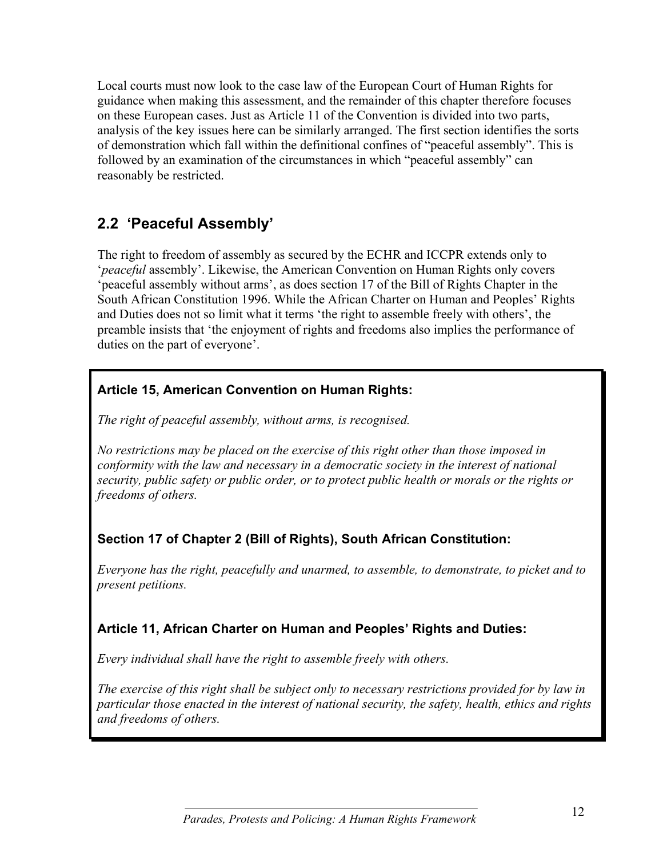Local courts must now look to the case law of the European Court of Human Rights for guidance when making this assessment, and the remainder of this chapter therefore focuses on these European cases. Just as Article 11 of the Convention is divided into two parts, analysis of the key issues here can be similarly arranged. The first section identifies the sorts of demonstration which fall within the definitional confines of "peaceful assembly". This is followed by an examination of the circumstances in which "peaceful assembly" can reasonably be restricted.

# **2.2 'Peaceful Assembly'**

The right to freedom of assembly as secured by the ECHR and ICCPR extends only to '*peaceful* assembly'. Likewise, the American Convention on Human Rights only covers 'peaceful assembly without arms', as does section 17 of the Bill of Rights Chapter in the South African Constitution 1996. While the African Charter on Human and Peoples' Rights and Duties does not so limit what it terms 'the right to assemble freely with others', the preamble insists that 'the enjoyment of rights and freedoms also implies the performance of duties on the part of everyone'.

## **Article 15, American Convention on Human Rights:**

*The right of peaceful assembly, without arms, is recognised.*

*No restrictions may be placed on the exercise of this right other than those imposed in conformity with the law and necessary in a democratic society in the interest of national security, public safety or public order, or to protect public health or morals or the rights or freedoms of others.*

## **Section 17 of Chapter 2 (Bill of Rights), South African Constitution:**

*Everyone has the right, peacefully and unarmed, to assemble, to demonstrate, to picket and to present petitions.*

## **Article 11, African Charter on Human and Peoples' Rights and Duties:**

*Every individual shall have the right to assemble freely with others.*

*The exercise of this right shall be subject only to necessary restrictions provided for by law in particular those enacted in the interest of national security, the safety, health, ethics and rights and freedoms of others.*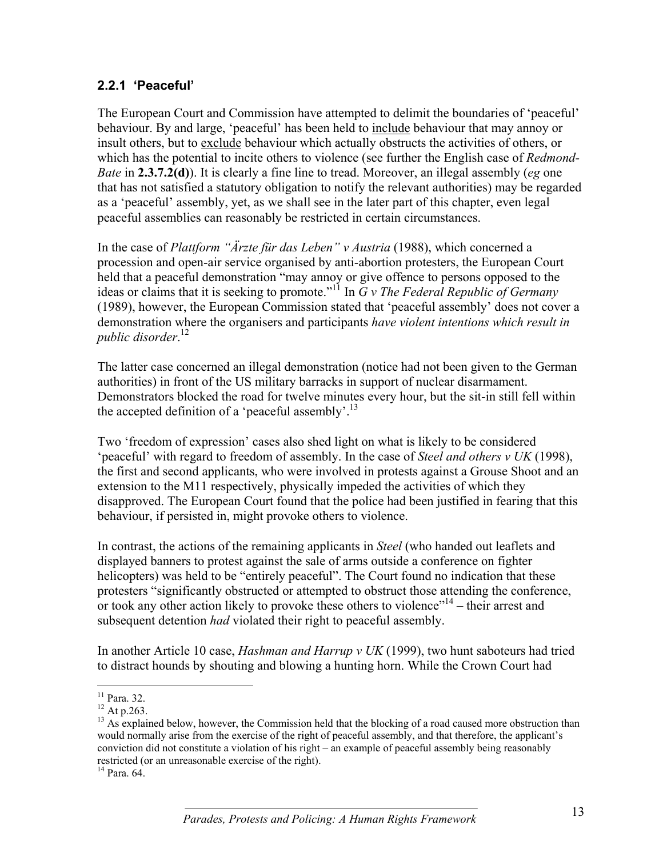#### **2.2.1 'Peaceful'**

The European Court and Commission have attempted to delimit the boundaries of 'peaceful' behaviour. By and large, 'peaceful' has been held to include behaviour that may annoy or insult others, but to exclude behaviour which actually obstructs the activities of others, or which has the potential to incite others to violence (see further the English case of *Redmond-Bate* in **2.3.7.2(d)**). It is clearly a fine line to tread. Moreover, an illegal assembly (*eg* one that has not satisfied a statutory obligation to notify the relevant authorities) may be regarded as a 'peaceful' assembly, yet, as we shall see in the later part of this chapter, even legal peaceful assemblies can reasonably be restricted in certain circumstances.

In the case of *Plattform "Ärzte für das Leben" v Austria* (1988), which concerned a procession and open-air service organised by anti-abortion protesters, the European Court held that a peaceful demonstration "may annoy or give offence to persons opposed to the ideas or claims that it is seeking to promote."11 In *G v The Federal Republic of Germany* (1989), however, the European Commission stated that 'peaceful assembly' does not cover a demonstration where the organisers and participants *have violent intentions which result in public disorder*. 12

The latter case concerned an illegal demonstration (notice had not been given to the German authorities) in front of the US military barracks in support of nuclear disarmament. Demonstrators blocked the road for twelve minutes every hour, but the sit-in still fell within the accepted definition of a 'peaceful assembly'.<sup>13</sup>

Two 'freedom of expression' cases also shed light on what is likely to be considered 'peaceful' with regard to freedom of assembly. In the case of *Steel and others v UK* (1998), the first and second applicants, who were involved in protests against a Grouse Shoot and an extension to the M11 respectively, physically impeded the activities of which they disapproved. The European Court found that the police had been justified in fearing that this behaviour, if persisted in, might provoke others to violence.

In contrast, the actions of the remaining applicants in *Steel* (who handed out leaflets and displayed banners to protest against the sale of arms outside a conference on fighter helicopters) was held to be "entirely peaceful". The Court found no indication that these protesters "significantly obstructed or attempted to obstruct those attending the conference, or took any other action likely to provoke these others to violence"<sup>14</sup> – their arrest and subsequent detention *had* violated their right to peaceful assembly.

In another Article 10 case, *Hashman and Harrup v UK* (1999), two hunt saboteurs had tried to distract hounds by shouting and blowing a hunting horn. While the Crown Court had

 $\overline{a}$  $11$  Para. 32.

 $12$  At p.263.

<sup>&</sup>lt;sup>13</sup> As explained below, however, the Commission held that the blocking of a road caused more obstruction than would normally arise from the exercise of the right of peaceful assembly, and that therefore, the applicant's conviction did not constitute a violation of his right – an example of peaceful assembly being reasonably restricted (or an unreasonable exercise of the right). 14 Para. 64.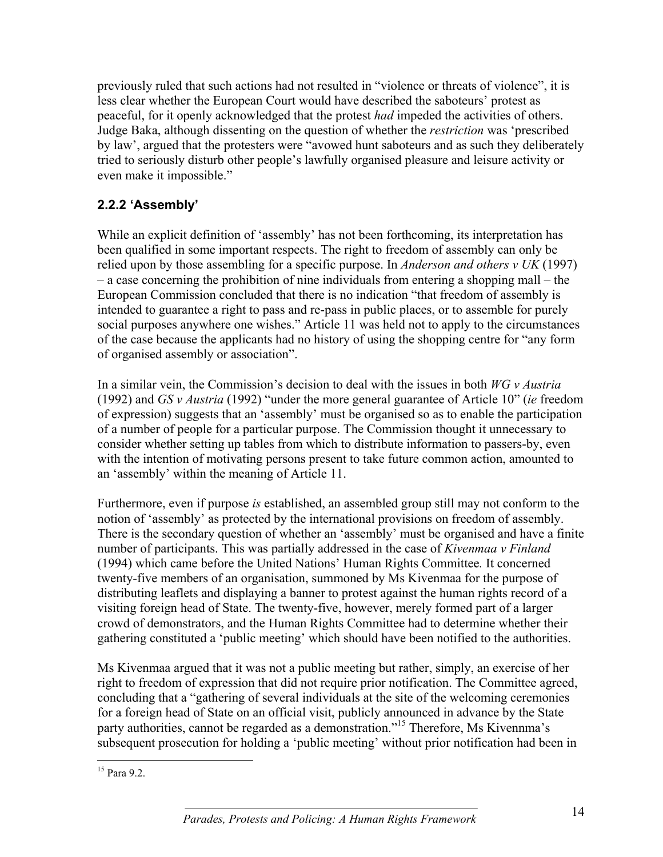previously ruled that such actions had not resulted in "violence or threats of violence", it is less clear whether the European Court would have described the saboteurs' protest as peaceful, for it openly acknowledged that the protest *had* impeded the activities of others. Judge Baka, although dissenting on the question of whether the *restriction* was 'prescribed by law', argued that the protesters were "avowed hunt saboteurs and as such they deliberately tried to seriously disturb other people's lawfully organised pleasure and leisure activity or even make it impossible."

## **2.2.2 'Assembly'**

While an explicit definition of 'assembly' has not been forthcoming, its interpretation has been qualified in some important respects. The right to freedom of assembly can only be relied upon by those assembling for a specific purpose. In *Anderson and others v UK* (1997) – a case concerning the prohibition of nine individuals from entering a shopping mall – the European Commission concluded that there is no indication "that freedom of assembly is intended to guarantee a right to pass and re-pass in public places, or to assemble for purely social purposes anywhere one wishes." Article 11 was held not to apply to the circumstances of the case because the applicants had no history of using the shopping centre for "any form of organised assembly or association".

In a similar vein, the Commission's decision to deal with the issues in both *WG v Austria* (1992) and *GS v Austria* (1992) "under the more general guarantee of Article 10" (*ie* freedom of expression) suggests that an 'assembly' must be organised so as to enable the participation of a number of people for a particular purpose. The Commission thought it unnecessary to consider whether setting up tables from which to distribute information to passers-by, even with the intention of motivating persons present to take future common action, amounted to an 'assembly' within the meaning of Article 11.

Furthermore, even if purpose *is* established, an assembled group still may not conform to the notion of 'assembly' as protected by the international provisions on freedom of assembly. There is the secondary question of whether an 'assembly' must be organised and have a finite number of participants. This was partially addressed in the case of *Kivenmaa v Finland* (1994) which came before the United Nations' Human Rights Committee*.* It concerned twenty-five members of an organisation, summoned by Ms Kivenmaa for the purpose of distributing leaflets and displaying a banner to protest against the human rights record of a visiting foreign head of State. The twenty-five, however, merely formed part of a larger crowd of demonstrators, and the Human Rights Committee had to determine whether their gathering constituted a 'public meeting' which should have been notified to the authorities.

Ms Kivenmaa argued that it was not a public meeting but rather, simply, an exercise of her right to freedom of expression that did not require prior notification. The Committee agreed, concluding that a "gathering of several individuals at the site of the welcoming ceremonies for a foreign head of State on an official visit, publicly announced in advance by the State party authorities, cannot be regarded as a demonstration."<sup>15</sup> Therefore, Ms Kivennma's subsequent prosecution for holding a 'public meeting' without prior notification had been in

<sup>&</sup>lt;u>.</u> <sup>15</sup> Para 9.2.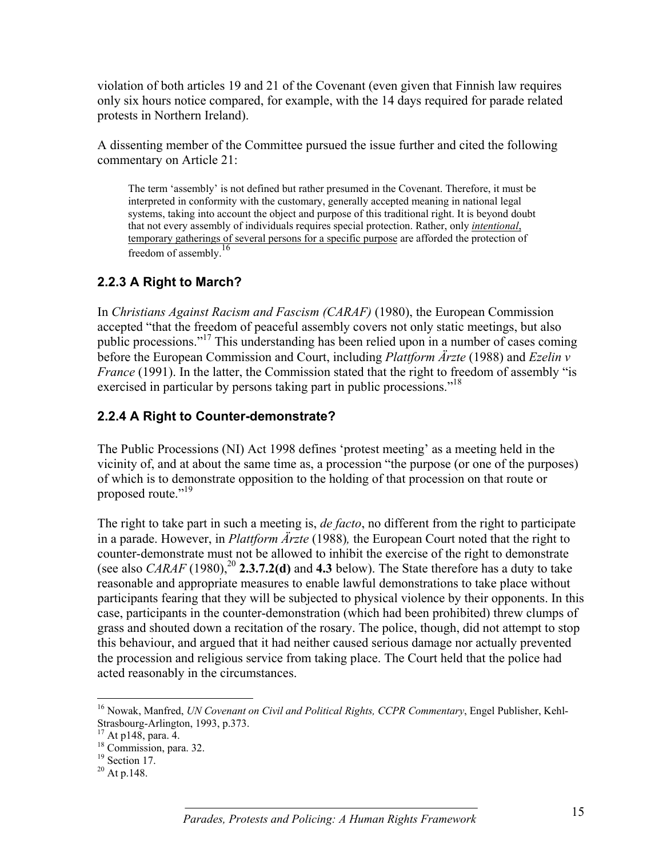violation of both articles 19 and 21 of the Covenant (even given that Finnish law requires only six hours notice compared, for example, with the 14 days required for parade related protests in Northern Ireland).

A dissenting member of the Committee pursued the issue further and cited the following commentary on Article 21:

The term 'assembly' is not defined but rather presumed in the Covenant. Therefore, it must be interpreted in conformity with the customary, generally accepted meaning in national legal systems, taking into account the object and purpose of this traditional right. It is beyond doubt that not every assembly of individuals requires special protection. Rather, only *intentional*, temporary gatherings of several persons for a specific purpose are afforded the protection of freedom of assembly.16

## **2.2.3 A Right to March?**

In *Christians Against Racism and Fascism (CARAF)* (1980), the European Commission accepted "that the freedom of peaceful assembly covers not only static meetings, but also public processions."17 This understanding has been relied upon in a number of cases coming before the European Commission and Court, including *Plattform Ärzte* (1988) and *Ezelin v France* (1991). In the latter, the Commission stated that the right to freedom of assembly "is exercised in particular by persons taking part in public processions."<sup>18</sup>

## **2.2.4 A Right to Counter-demonstrate?**

The Public Processions (NI) Act 1998 defines 'protest meeting' as a meeting held in the vicinity of, and at about the same time as, a procession "the purpose (or one of the purposes) of which is to demonstrate opposition to the holding of that procession on that route or proposed route."<sup>19</sup>

The right to take part in such a meeting is, *de facto*, no different from the right to participate in a parade. However, in *Plattform Ärzte* (1988)*,* the European Court noted that the right to counter-demonstrate must not be allowed to inhibit the exercise of the right to demonstrate (see also *CARAF* (1980),  $^{20}$  **2.3.7.2(d)** and **4.3** below). The State therefore has a duty to take reasonable and appropriate measures to enable lawful demonstrations to take place without participants fearing that they will be subjected to physical violence by their opponents. In this case, participants in the counter-demonstration (which had been prohibited) threw clumps of grass and shouted down a recitation of the rosary. The police, though, did not attempt to stop this behaviour, and argued that it had neither caused serious damage nor actually prevented the procession and religious service from taking place. The Court held that the police had acted reasonably in the circumstances.

 $\overline{a}$ 16 Nowak, Manfred, *UN Covenant on Civil and Political Rights, CCPR Commentary*, Engel Publisher, Kehl-Strasbourg-Arlington, 1993, p.373.

<sup>&</sup>lt;sup>17</sup> At p148, para. 4.

 $^{18}$  Commission, para. 32.

 $19$  Section 17.

 $^{20}$  At p.148.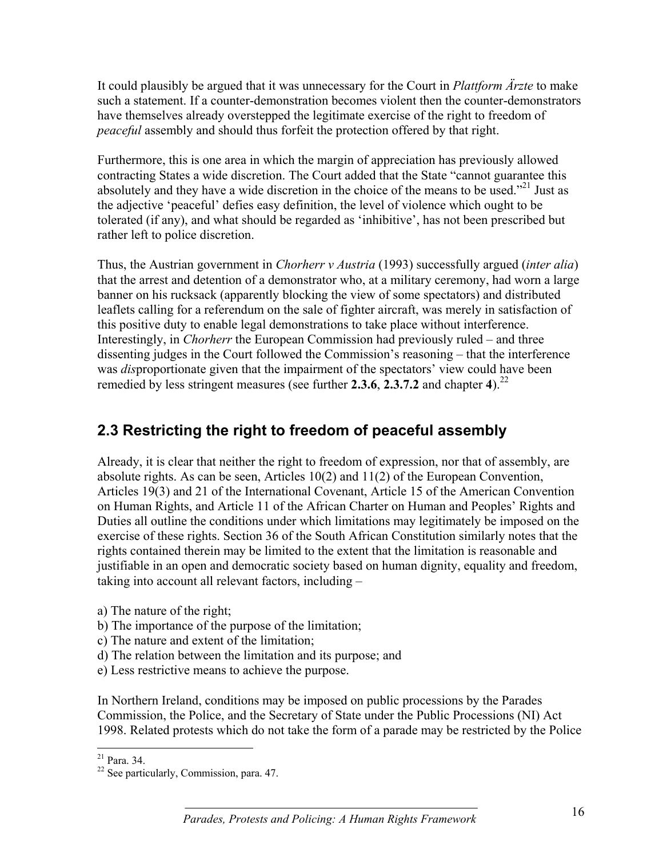It could plausibly be argued that it was unnecessary for the Court in *Plattform Ärzte* to make such a statement. If a counter-demonstration becomes violent then the counter-demonstrators have themselves already overstepped the legitimate exercise of the right to freedom of *peaceful* assembly and should thus forfeit the protection offered by that right.

Furthermore, this is one area in which the margin of appreciation has previously allowed contracting States a wide discretion. The Court added that the State "cannot guarantee this absolutely and they have a wide discretion in the choice of the means to be used."<sup>21</sup> Just as the adjective 'peaceful' defies easy definition, the level of violence which ought to be tolerated (if any), and what should be regarded as 'inhibitive', has not been prescribed but rather left to police discretion.

Thus, the Austrian government in *Chorherr v Austria* (1993) successfully argued (*inter alia*) that the arrest and detention of a demonstrator who, at a military ceremony, had worn a large banner on his rucksack (apparently blocking the view of some spectators) and distributed leaflets calling for a referendum on the sale of fighter aircraft, was merely in satisfaction of this positive duty to enable legal demonstrations to take place without interference. Interestingly, in *Chorherr* the European Commission had previously ruled – and three dissenting judges in the Court followed the Commission's reasoning – that the interference was *dis*proportionate given that the impairment of the spectators' view could have been remedied by less stringent measures (see further **2.3.6**, **2.3.7.2** and chapter **4**).22

# **2.3 Restricting the right to freedom of peaceful assembly**

Already, it is clear that neither the right to freedom of expression, nor that of assembly, are absolute rights. As can be seen, Articles 10(2) and 11(2) of the European Convention, Articles 19(3) and 21 of the International Covenant, Article 15 of the American Convention on Human Rights, and Article 11 of the African Charter on Human and Peoples' Rights and Duties all outline the conditions under which limitations may legitimately be imposed on the exercise of these rights. Section 36 of the South African Constitution similarly notes that the rights contained therein may be limited to the extent that the limitation is reasonable and justifiable in an open and democratic society based on human dignity, equality and freedom, taking into account all relevant factors, including –

- a) The nature of the right;
- b) The importance of the purpose of the limitation;
- c) The nature and extent of the limitation;
- d) The relation between the limitation and its purpose; and
- e) Less restrictive means to achieve the purpose.

In Northern Ireland, conditions may be imposed on public processions by the Parades Commission, the Police, and the Secretary of State under the Public Processions (NI) Act 1998. Related protests which do not take the form of a parade may be restricted by the Police

 $\overline{a}$  $21$  Para. 34.

<sup>22</sup> See particularly, Commission, para. 47.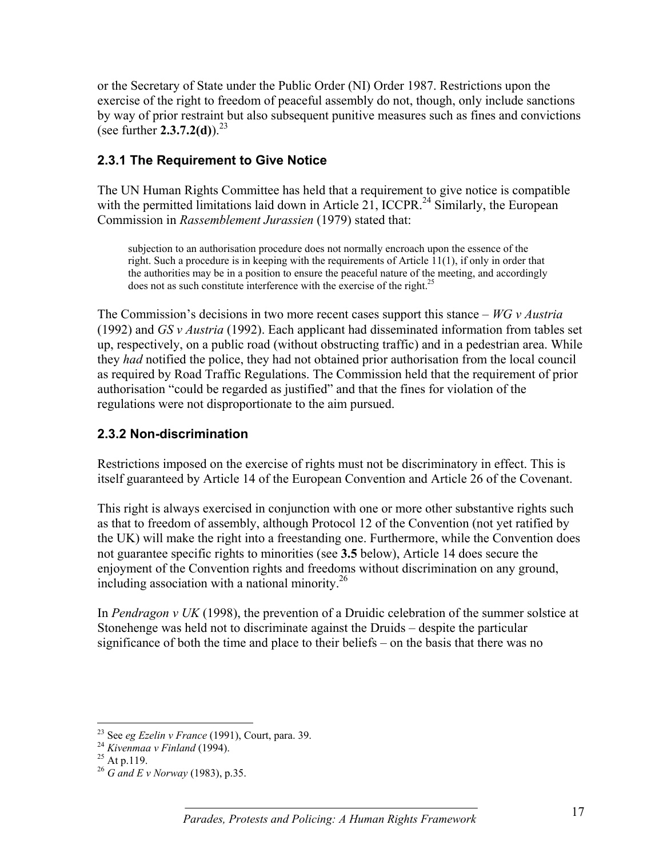or the Secretary of State under the Public Order (NI) Order 1987. Restrictions upon the exercise of the right to freedom of peaceful assembly do not, though, only include sanctions by way of prior restraint but also subsequent punitive measures such as fines and convictions (see further  $2.3.7.2(d)$ ).<sup>23</sup>

#### **2.3.1 The Requirement to Give Notice**

The UN Human Rights Committee has held that a requirement to give notice is compatible with the permitted limitations laid down in Article 21, ICCPR.<sup>24</sup> Similarly, the European Commission in *Rassemblement Jurassien* (1979) stated that:

subjection to an authorisation procedure does not normally encroach upon the essence of the right. Such a procedure is in keeping with the requirements of Article 11(1), if only in order that the authorities may be in a position to ensure the peaceful nature of the meeting, and accordingly does not as such constitute interference with the exercise of the right.<sup>25</sup>

The Commission's decisions in two more recent cases support this stance – *WG v Austria* (1992) and *GS v Austria* (1992). Each applicant had disseminated information from tables set up, respectively, on a public road (without obstructing traffic) and in a pedestrian area. While they *had* notified the police, they had not obtained prior authorisation from the local council as required by Road Traffic Regulations. The Commission held that the requirement of prior authorisation "could be regarded as justified" and that the fines for violation of the regulations were not disproportionate to the aim pursued.

#### **2.3.2 Non-discrimination**

Restrictions imposed on the exercise of rights must not be discriminatory in effect. This is itself guaranteed by Article 14 of the European Convention and Article 26 of the Covenant.

This right is always exercised in conjunction with one or more other substantive rights such as that to freedom of assembly, although Protocol 12 of the Convention (not yet ratified by the UK) will make the right into a freestanding one. Furthermore, while the Convention does not guarantee specific rights to minorities (see **3.5** below), Article 14 does secure the enjoyment of the Convention rights and freedoms without discrimination on any ground, including association with a national minority.<sup>26</sup>

In *Pendragon v UK* (1998), the prevention of a Druidic celebration of the summer solstice at Stonehenge was held not to discriminate against the Druids – despite the particular significance of both the time and place to their beliefs – on the basis that there was no

 $\overline{a}$ 

<sup>&</sup>lt;sup>23</sup> See *eg Ezelin v France* (1991), Court, para. 39.<br><sup>24</sup> *Kivenmaa v Finland* (1994).<br><sup>25</sup> At p.119.

<sup>26</sup> *G and E v Norway* (1983), p.35.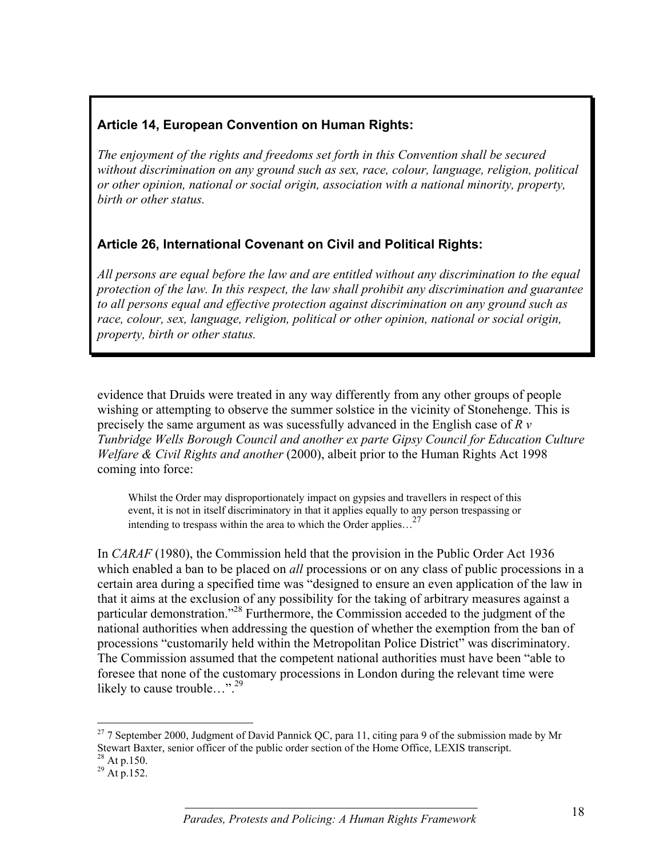## **Article 14, European Convention on Human Rights:**

*The enjoyment of the rights and freedoms set forth in this Convention shall be secured without discrimination on any ground such as sex, race, colour, language, religion, political or other opinion, national or social origin, association with a national minority, property, birth or other status.*

## **Article 26, International Covenant on Civil and Political Rights:**

*All persons are equal before the law and are entitled without any discrimination to the equal protection of the law. In this respect, the law shall prohibit any discrimination and guarantee to all persons equal and effective protection against discrimination on any ground such as race, colour, sex, language, religion, political or other opinion, national or social origin, property, birth or other status.*

evidence that Druids were treated in any way differently from any other groups of people wishing or attempting to observe the summer solstice in the vicinity of Stonehenge. This is precisely the same argument as was sucessfully advanced in the English case of *R v Tunbridge Wells Borough Council and another ex parte Gipsy Council for Education Culture Welfare & Civil Rights and another* (2000), albeit prior to the Human Rights Act 1998 coming into force:

Whilst the Order may disproportionately impact on gypsies and travellers in respect of this event, it is not in itself discriminatory in that it applies equally to any person trespassing or intending to trespass within the area to which the Order applies... $^{27}$ 

In *CARAF* (1980), the Commission held that the provision in the Public Order Act 1936 which enabled a ban to be placed on *all* processions or on any class of public processions in a certain area during a specified time was "designed to ensure an even application of the law in that it aims at the exclusion of any possibility for the taking of arbitrary measures against a particular demonstration."28 Furthermore, the Commission acceded to the judgment of the national authorities when addressing the question of whether the exemption from the ban of processions "customarily held within the Metropolitan Police District" was discriminatory. The Commission assumed that the competent national authorities must have been "able to foresee that none of the customary processions in London during the relevant time were likely to cause trouble…".<sup>29</sup>

 $\overline{a}$ 

<sup>&</sup>lt;sup>27</sup> 7 September 2000, Judgment of David Pannick QC, para 11, citing para 9 of the submission made by Mr Stewart Baxter, senior officer of the public order section of the Home Office, LEXIS transcript.

 $^{28}_{29}$  At p.150.<br>
<sup>29</sup> At p.152.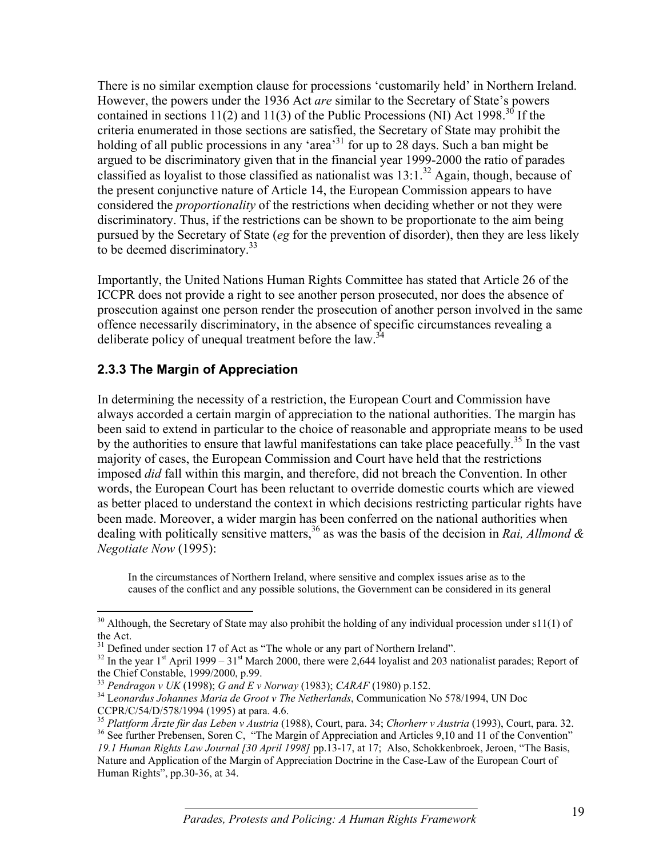There is no similar exemption clause for processions 'customarily held' in Northern Ireland. However, the powers under the 1936 Act *are* similar to the Secretary of State's powers contained in sections 11(2) and 11(3) of the Public Processions (NI) Act 1998.<sup>30</sup> If the criteria enumerated in those sections are satisfied, the Secretary of State may prohibit the holding of all public processions in any 'area'<sup>31</sup> for up to 28 days. Such a ban might be argued to be discriminatory given that in the financial year 1999-2000 the ratio of parades classified as loyalist to those classified as nationalist was  $13:1.^{32}$  Again, though, because of the present conjunctive nature of Article 14, the European Commission appears to have considered the *proportionality* of the restrictions when deciding whether or not they were discriminatory. Thus, if the restrictions can be shown to be proportionate to the aim being pursued by the Secretary of State (*eg* for the prevention of disorder), then they are less likely to be deemed discriminatory.<sup>33</sup>

Importantly, the United Nations Human Rights Committee has stated that Article 26 of the ICCPR does not provide a right to see another person prosecuted, nor does the absence of prosecution against one person render the prosecution of another person involved in the same offence necessarily discriminatory, in the absence of specific circumstances revealing a deliberate policy of unequal treatment before the law.<sup>34</sup>

#### **2.3.3 The Margin of Appreciation**

 $\overline{a}$ 

In determining the necessity of a restriction, the European Court and Commission have always accorded a certain margin of appreciation to the national authorities. The margin has been said to extend in particular to the choice of reasonable and appropriate means to be used by the authorities to ensure that lawful manifestations can take place peacefully.<sup>35</sup> In the vast majority of cases, the European Commission and Court have held that the restrictions imposed *did* fall within this margin, and therefore, did not breach the Convention. In other words, the European Court has been reluctant to override domestic courts which are viewed as better placed to understand the context in which decisions restricting particular rights have been made. Moreover, a wider margin has been conferred on the national authorities when dealing with politically sensitive matters,36 as was the basis of the decision in *Rai, Allmond & Negotiate Now* (1995):

In the circumstances of Northern Ireland, where sensitive and complex issues arise as to the causes of the conflict and any possible solutions, the Government can be considered in its general

 $30$  Although, the Secretary of State may also prohibit the holding of any individual procession under s11(1) of the Act.

<sup>&</sup>lt;sup>31</sup> Defined under section 17 of Act as "The whole or any part of Northern Ireland".

 $32$  In the year 1<sup>st</sup> April 1999 – 31<sup>st</sup> March 2000, there were 2,644 loyalist and 203 nationalist parades; Report of the Chief Constable, 1999/2000, p.99.<br>
<sup>33</sup> Pendragon v UK (1998); G and E v Norway (1983); CARAF (1980) p.152.

<sup>&</sup>lt;sup>34</sup> Leonardus Johannes Maria de Groot v The Netherlands, Communication No 578/1994, UN Doc

CCPR/C/54/D/578/1994 (1995) at para. 4.6.<br><sup>35</sup> Plattform Ärzte für das Leben v Austria (1988), Court, para. 34; Chorherr v Austria (1993), Court, para. 32.

<sup>&</sup>lt;sup>36</sup> See further Prebensen, Soren C, "The Margin of Appreciation and Articles 9,10 and 11 of the Convention" *19.1 Human Rights Law Journal [30 April 1998]* pp.13-17, at 17; Also, Schokkenbroek, Jeroen, "The Basis, Nature and Application of the Margin of Appreciation Doctrine in the Case-Law of the European Court of Human Rights", pp.30-36, at 34.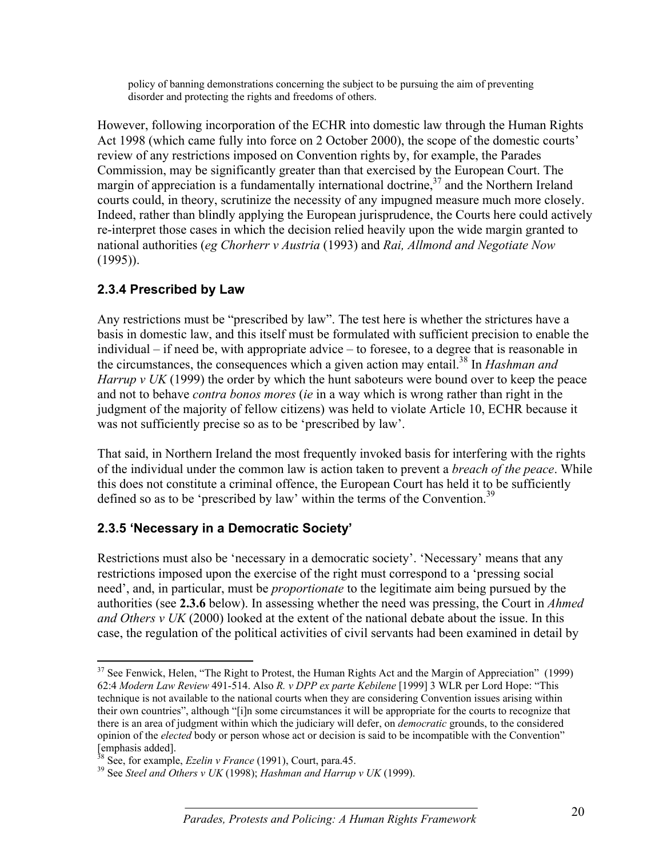policy of banning demonstrations concerning the subject to be pursuing the aim of preventing disorder and protecting the rights and freedoms of others.

However, following incorporation of the ECHR into domestic law through the Human Rights Act 1998 (which came fully into force on 2 October 2000), the scope of the domestic courts' review of any restrictions imposed on Convention rights by, for example, the Parades Commission, may be significantly greater than that exercised by the European Court. The margin of appreciation is a fundamentally international doctrine,  $37$  and the Northern Ireland courts could, in theory, scrutinize the necessity of any impugned measure much more closely. Indeed, rather than blindly applying the European jurisprudence, the Courts here could actively re-interpret those cases in which the decision relied heavily upon the wide margin granted to national authorities (*eg Chorherr v Austria* (1993) and *Rai, Allmond and Negotiate Now* (1995)).

#### **2.3.4 Prescribed by Law**

Any restrictions must be "prescribed by law". The test here is whether the strictures have a basis in domestic law, and this itself must be formulated with sufficient precision to enable the individual – if need be, with appropriate advice – to foresee, to a degree that is reasonable in the circumstances, the consequences which a given action may entail.<sup>38</sup> In *Hashman and Harrup v UK* (1999) the order by which the hunt saboteurs were bound over to keep the peace and not to behave *contra bonos mores* (*ie* in a way which is wrong rather than right in the judgment of the majority of fellow citizens) was held to violate Article 10, ECHR because it was not sufficiently precise so as to be 'prescribed by law'.

That said, in Northern Ireland the most frequently invoked basis for interfering with the rights of the individual under the common law is action taken to prevent a *breach of the peace*. While this does not constitute a criminal offence, the European Court has held it to be sufficiently defined so as to be 'prescribed by law' within the terms of the Convention.<sup>39</sup>

## **2.3.5 'Necessary in a Democratic Society'**

Restrictions must also be 'necessary in a democratic society'. 'Necessary' means that any restrictions imposed upon the exercise of the right must correspond to a 'pressing social need', and, in particular, must be *proportionate* to the legitimate aim being pursued by the authorities (see **2.3.6** below). In assessing whether the need was pressing, the Court in *Ahmed and Others v UK* (2000) looked at the extent of the national debate about the issue. In this case, the regulation of the political activities of civil servants had been examined in detail by

 $\overline{a}$ <sup>37</sup> See Fenwick, Helen, "The Right to Protest, the Human Rights Act and the Margin of Appreciation" (1999) 62:4 *Modern Law Review* 491-514. Also *R. v DPP ex parte Kebilene* [1999] 3 WLR per Lord Hope: "This technique is not available to the national courts when they are considering Convention issues arising within their own countries", although "[i]n some circumstances it will be appropriate for the courts to recognize that there is an area of judgment within which the judiciary will defer, on *democratic* grounds, to the considered opinion of the *elected* body or person whose act or decision is said to be incompatible with the Convention" [emphasis added].<br> $\frac{38}{38}$  See, for example, *Ezelin v France* (1991), Court, para.45.

<sup>&</sup>lt;sup>39</sup> See *Steel and Others v UK* (1998); *Hashman and Harrup v UK* (1999).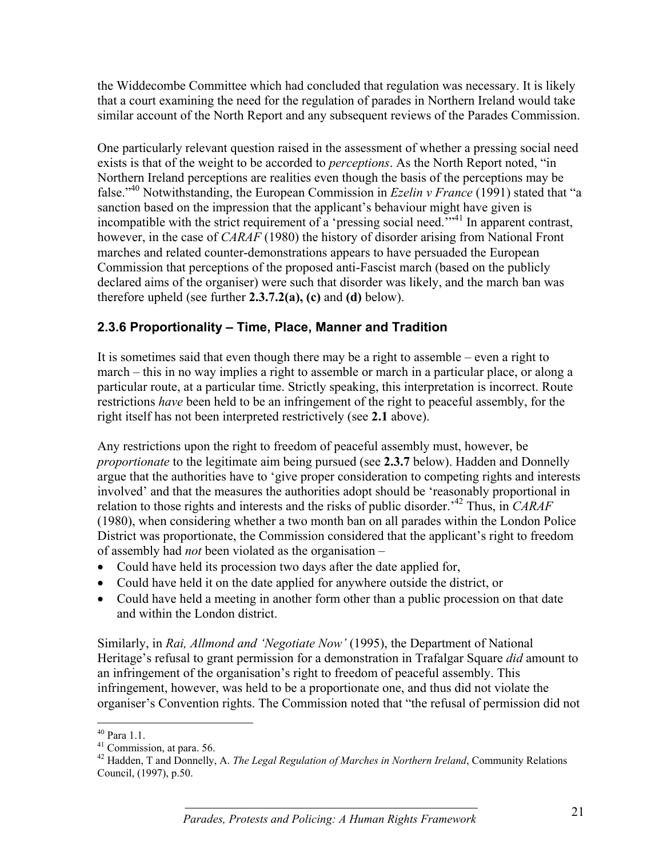the Widdecombe Committee which had concluded that regulation was necessary. It is likely that a court examining the need for the regulation of parades in Northern Ireland would take similar account of the North Report and any subsequent reviews of the Parades Commission.

One particularly relevant question raised in the assessment of whether a pressing social need exists is that of the weight to be accorded to *perceptions*. As the North Report noted, "in Northern Ireland perceptions are realities even though the basis of the perceptions may be false."40 Notwithstanding, the European Commission in *Ezelin v France* (1991) stated that "a sanction based on the impression that the applicant's behaviour might have given is incompatible with the strict requirement of a 'pressing social need."<sup>31</sup> In apparent contrast, however, in the case of *CARAF* (1980) the history of disorder arising from National Front marches and related counter-demonstrations appears to have persuaded the European Commission that perceptions of the proposed anti-Fascist march (based on the publicly declared aims of the organiser) were such that disorder was likely, and the march ban was therefore upheld (see further  $2.3.7.2(a)$ , (c) and (d) below).

## **2.3.6 Proportionality – Time, Place, Manner and Tradition**

It is sometimes said that even though there may be a right to assemble – even a right to march – this in no way implies a right to assemble or march in a particular place, or along a particular route, at a particular time. Strictly speaking, this interpretation is incorrect. Route restrictions *have* been held to be an infringement of the right to peaceful assembly, for the right itself has not been interpreted restrictively (see **2.1** above).

Any restrictions upon the right to freedom of peaceful assembly must, however, be *proportionate* to the legitimate aim being pursued (see **2.3.7** below). Hadden and Donnelly argue that the authorities have to 'give proper consideration to competing rights and interests involved' and that the measures the authorities adopt should be 'reasonably proportional in relation to those rights and interests and the risks of public disorder.'42 Thus, in *CARAF* (1980), when considering whether a two month ban on all parades within the London Police District was proportionate, the Commission considered that the applicant's right to freedom of assembly had *not* been violated as the organisation –

- Could have held its procession two days after the date applied for,
- Could have held it on the date applied for anywhere outside the district, or
- Could have held a meeting in another form other than a public procession on that date and within the London district.

Similarly, in *Rai, Allmond and 'Negotiate Now'* (1995), the Department of National Heritage's refusal to grant permission for a demonstration in Trafalgar Square *did* amount to an infringement of the organisation's right to freedom of peaceful assembly. This infringement, however, was held to be a proportionate one, and thus did not violate the organiser's Convention rights. The Commission noted that "the refusal of permission did not

<u>.</u>

<sup>40</sup> Para 1.1.

 $41$  Commission, at para. 56.

<sup>42</sup> Hadden, T and Donnelly, A. *The Legal Regulation of Marches in Northern Ireland*, Community Relations Council, (1997), p.50.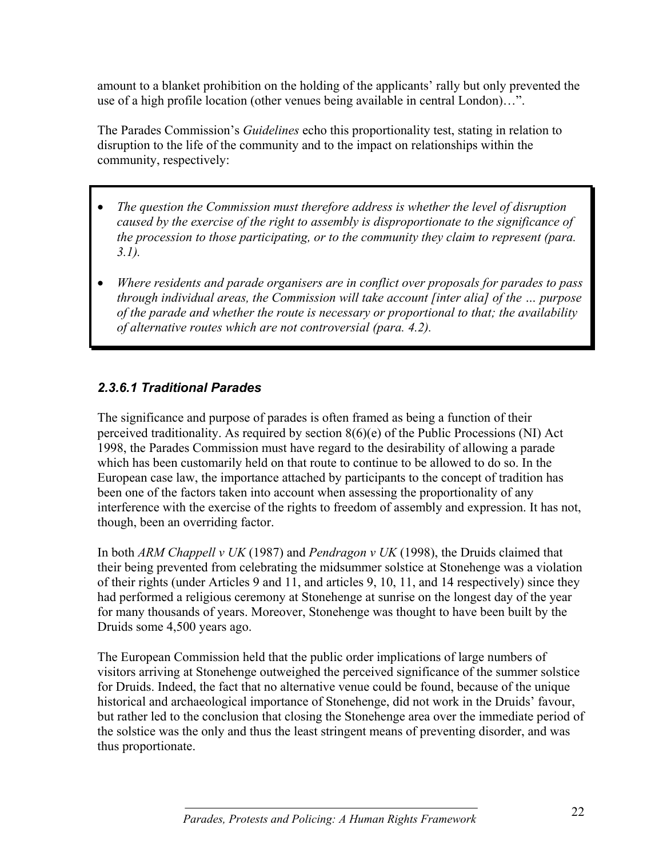amount to a blanket prohibition on the holding of the applicants' rally but only prevented the use of a high profile location (other venues being available in central London)…".

The Parades Commission's *Guidelines* echo this proportionality test, stating in relation to disruption to the life of the community and to the impact on relationships within the community, respectively:

- *The question the Commission must therefore address is whether the level of disruption caused by the exercise of the right to assembly is disproportionate to the significance of the procession to those participating, or to the community they claim to represent (para. 3.1).*
- *Where residents and parade organisers are in conflict over proposals for parades to pass through individual areas, the Commission will take account [inter alia] of the … purpose of the parade and whether the route is necessary or proportional to that; the availability of alternative routes which are not controversial (para. 4.2).*

## *2.3.6.1 Traditional Parades*

The significance and purpose of parades is often framed as being a function of their perceived traditionality. As required by section  $8(6)(e)$  of the Public Processions (NI) Act 1998, the Parades Commission must have regard to the desirability of allowing a parade which has been customarily held on that route to continue to be allowed to do so. In the European case law, the importance attached by participants to the concept of tradition has been one of the factors taken into account when assessing the proportionality of any interference with the exercise of the rights to freedom of assembly and expression. It has not, though, been an overriding factor.

In both *ARM Chappell v UK* (1987) and *Pendragon v UK* (1998), the Druids claimed that their being prevented from celebrating the midsummer solstice at Stonehenge was a violation of their rights (under Articles 9 and 11, and articles 9, 10, 11, and 14 respectively) since they had performed a religious ceremony at Stonehenge at sunrise on the longest day of the year for many thousands of years. Moreover, Stonehenge was thought to have been built by the Druids some 4,500 years ago.

The European Commission held that the public order implications of large numbers of visitors arriving at Stonehenge outweighed the perceived significance of the summer solstice for Druids. Indeed, the fact that no alternative venue could be found, because of the unique historical and archaeological importance of Stonehenge, did not work in the Druids' favour, but rather led to the conclusion that closing the Stonehenge area over the immediate period of the solstice was the only and thus the least stringent means of preventing disorder, and was thus proportionate.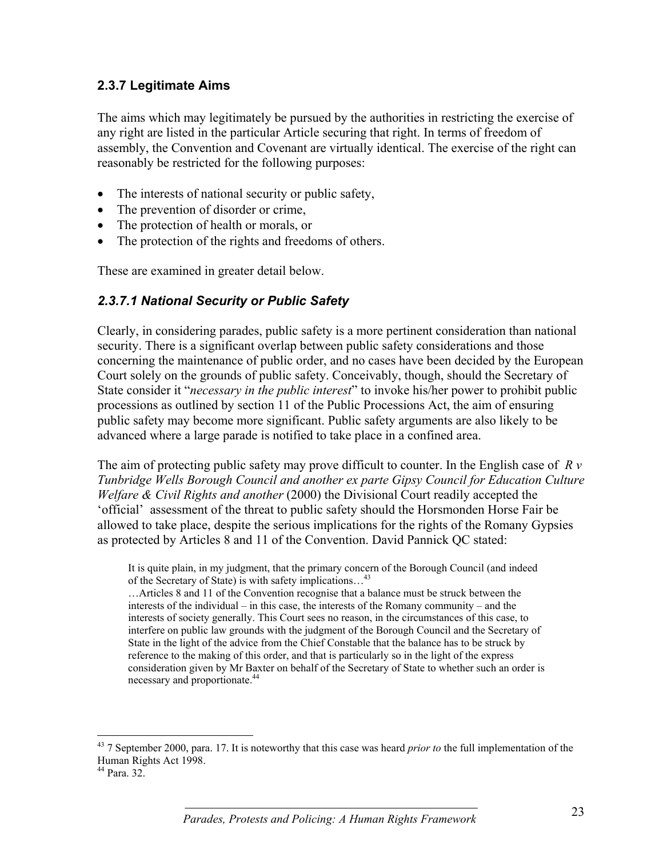#### **2.3.7 Legitimate Aims**

The aims which may legitimately be pursued by the authorities in restricting the exercise of any right are listed in the particular Article securing that right. In terms of freedom of assembly, the Convention and Covenant are virtually identical. The exercise of the right can reasonably be restricted for the following purposes:

- The interests of national security or public safety,
- The prevention of disorder or crime,
- The protection of health or morals, or
- The protection of the rights and freedoms of others.

These are examined in greater detail below.

#### *2.3.7.1 National Security or Public Safety*

Clearly, in considering parades, public safety is a more pertinent consideration than national security. There is a significant overlap between public safety considerations and those concerning the maintenance of public order, and no cases have been decided by the European Court solely on the grounds of public safety. Conceivably, though, should the Secretary of State consider it "*necessary in the public interest*" to invoke his/her power to prohibit public processions as outlined by section 11 of the Public Processions Act, the aim of ensuring public safety may become more significant. Public safety arguments are also likely to be advanced where a large parade is notified to take place in a confined area.

The aim of protecting public safety may prove difficult to counter. In the English case of *R v Tunbridge Wells Borough Council and another ex parte Gipsy Council for Education Culture Welfare & Civil Rights and another* (2000) the Divisional Court readily accepted the 'official' assessment of the threat to public safety should the Horsmonden Horse Fair be allowed to take place, despite the serious implications for the rights of the Romany Gypsies as protected by Articles 8 and 11 of the Convention. David Pannick QC stated:

It is quite plain, in my judgment, that the primary concern of the Borough Council (and indeed of the Secretary of State) is with safety implications...<sup>43</sup>

…Articles 8 and 11 of the Convention recognise that a balance must be struck between the interests of the individual – in this case, the interests of the Romany community – and the interests of society generally. This Court sees no reason, in the circumstances of this case, to interfere on public law grounds with the judgment of the Borough Council and the Secretary of State in the light of the advice from the Chief Constable that the balance has to be struck by reference to the making of this order, and that is particularly so in the light of the express consideration given by Mr Baxter on behalf of the Secretary of State to whether such an order is necessary and proportionate.<sup>44</sup>

 $\overline{a}$ 

<sup>43 7</sup> September 2000, para. 17. It is noteworthy that this case was heard *prior to* the full implementation of the Human Rights Act 1998.

<sup>44</sup> Para. 32.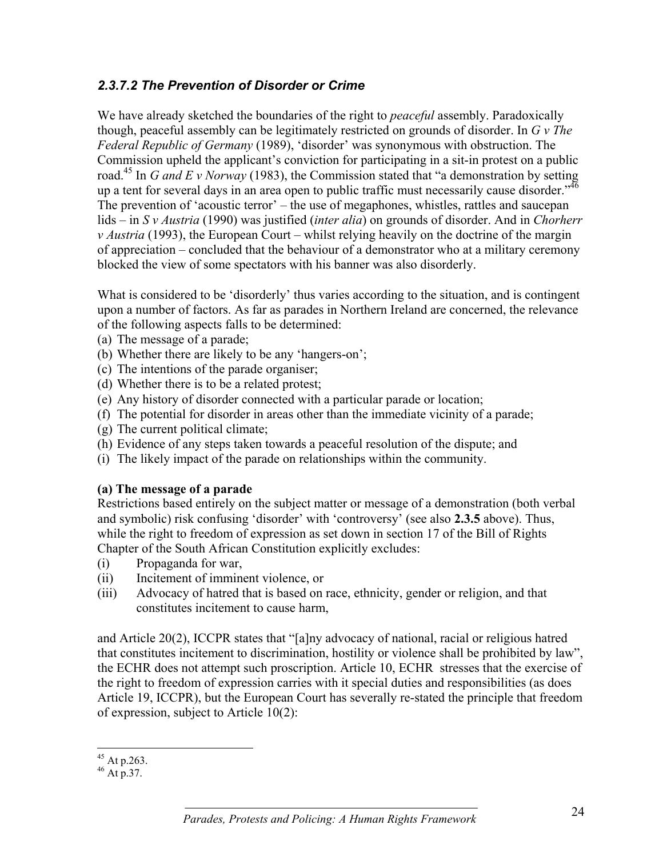#### *2.3.7.2 The Prevention of Disorder or Crime*

We have already sketched the boundaries of the right to *peaceful* assembly. Paradoxically though, peaceful assembly can be legitimately restricted on grounds of disorder. In *G v The Federal Republic of Germany* (1989), 'disorder' was synonymous with obstruction. The Commission upheld the applicant's conviction for participating in a sit-in protest on a public road.45 In *G and E v Norway* (1983), the Commission stated that "a demonstration by setting up a tent for several days in an area open to public traffic must necessarily cause disorder."<sup>46</sup> The prevention of 'acoustic terror' – the use of megaphones, whistles, rattles and saucepan lids – in *S v Austria* (1990) was justified (*inter alia*) on grounds of disorder. And in *Chorherr v Austria* (1993), the European Court – whilst relying heavily on the doctrine of the margin of appreciation – concluded that the behaviour of a demonstrator who at a military ceremony blocked the view of some spectators with his banner was also disorderly.

What is considered to be 'disorderly' thus varies according to the situation, and is contingent upon a number of factors. As far as parades in Northern Ireland are concerned, the relevance of the following aspects falls to be determined:

- (a) The message of a parade;
- (b) Whether there are likely to be any 'hangers-on';
- (c) The intentions of the parade organiser;
- (d) Whether there is to be a related protest;
- (e) Any history of disorder connected with a particular parade or location;
- (f) The potential for disorder in areas other than the immediate vicinity of a parade;
- (g) The current political climate;
- (h) Evidence of any steps taken towards a peaceful resolution of the dispute; and
- (i) The likely impact of the parade on relationships within the community.

#### **(a) The message of a parade**

Restrictions based entirely on the subject matter or message of a demonstration (both verbal and symbolic) risk confusing 'disorder' with 'controversy' (see also **2.3.5** above). Thus, while the right to freedom of expression as set down in section 17 of the Bill of Rights Chapter of the South African Constitution explicitly excludes:

- (i) Propaganda for war,
- (ii) Incitement of imminent violence, or
- (iii) Advocacy of hatred that is based on race, ethnicity, gender or religion, and that constitutes incitement to cause harm,

and Article 20(2), ICCPR states that "[a]ny advocacy of national, racial or religious hatred that constitutes incitement to discrimination, hostility or violence shall be prohibited by law", the ECHR does not attempt such proscription. Article 10, ECHR stresses that the exercise of the right to freedom of expression carries with it special duties and responsibilities (as does Article 19, ICCPR), but the European Court has severally re-stated the principle that freedom of expression, subject to Article 10(2):

 $\overline{a}$  $45$  At p.263.

 $46$  At p.37.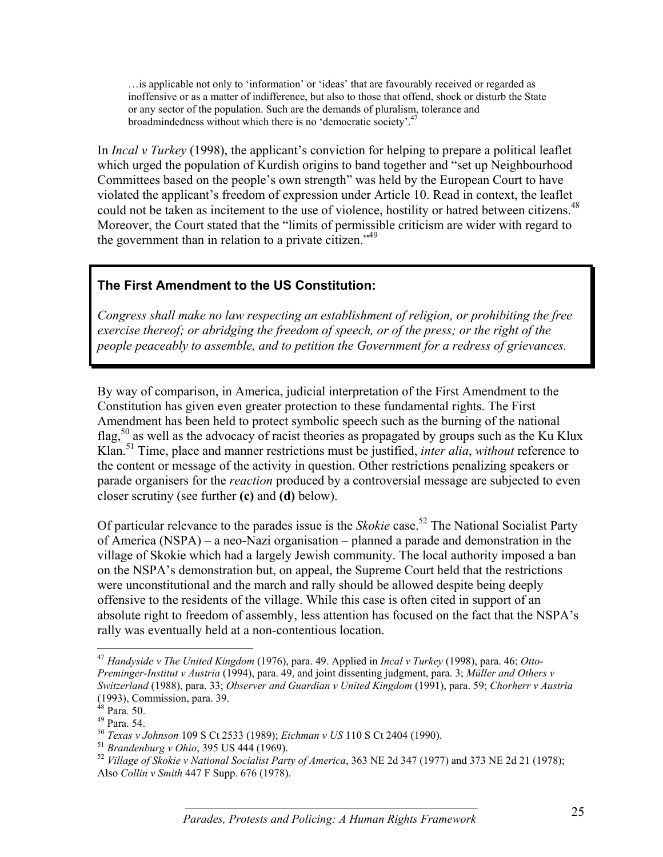…is applicable not only to 'information' or 'ideas' that are favourably received or regarded as inoffensive or as a matter of indifference, but also to those that offend, shock or disturb the State or any sector of the population. Such are the demands of pluralism, tolerance and broadmindedness without which there is no 'democratic society'.<sup>4</sup>

In *Incal v Turkey* (1998), the applicant's conviction for helping to prepare a political leaflet which urged the population of Kurdish origins to band together and "set up Neighbourhood Committees based on the people's own strength" was held by the European Court to have violated the applicant's freedom of expression under Article 10. Read in context, the leaflet could not be taken as incitement to the use of violence, hostility or hatred between citizens.<sup>48</sup> Moreover, the Court stated that the "limits of permissible criticism are wider with regard to the government than in relation to a private citizen.<sup> $349$ </sup>

## **The First Amendment to the US Constitution:**

*Congress shall make no law respecting an establishment of religion, or prohibiting the free exercise thereof; or abridging the freedom of speech, or of the press; or the right of the people peaceably to assemble, and to petition the Government for a redress of grievances.*

By way of comparison, in America, judicial interpretation of the First Amendment to the Constitution has given even greater protection to these fundamental rights. The First Amendment has been held to protect symbolic speech such as the burning of the national flag,<sup>50</sup> as well as the advocacy of racist theories as propagated by groups such as the Ku Klux Klan.51 Time, place and manner restrictions must be justified, *inter alia*, *without* reference to the content or message of the activity in question. Other restrictions penalizing speakers or parade organisers for the *reaction* produced by a controversial message are subjected to even closer scrutiny (see further **(c)** and **(d)** below).

Of particular relevance to the parades issue is the *Skokie* case.<sup>52</sup> The National Socialist Party of America (NSPA) – a neo-Nazi organisation – planned a parade and demonstration in the village of Skokie which had a largely Jewish community. The local authority imposed a ban on the NSPA's demonstration but, on appeal, the Supreme Court held that the restrictions were unconstitutional and the march and rally should be allowed despite being deeply offensive to the residents of the village. While this case is often cited in support of an absolute right to freedom of assembly, less attention has focused on the fact that the NSPA's rally was eventually held at a non-contentious location.

 $\overline{a}$ 

<sup>47</sup> *Handyside v The United Kingdom* (1976), para. 49. Applied in *Incal v Turkey* (1998), para. 46; *Otto-Preminger-Institut v Austria* (1994), para. 49, and joint dissenting judgment, para. 3; *Müller and Others v Switzerland* (1988), para. 33; *Observer and Guardian v United Kingdom* (1991), para. 59; *Chorherr v Austria* (1993), Commission, para. 39.

 $48$  Para. 50.

<sup>&</sup>lt;sup>49</sup> Para. 54.<br><sup>50</sup> *Texas v Johnson* 109 S Ct 2533 (1989); *Eichman v US* 110 S Ct 2404 (1990).

<sup>&</sup>lt;sup>51</sup> Brandenburg v Ohio, 395 US 444 (1969).<br><sup>52</sup> Village of Skokie v National Socialist Party of America, 363 NE 2d 347 (1977) and 373 NE 2d 21 (1978); Also *Collin v Smith* 447 F Supp. 676 (1978).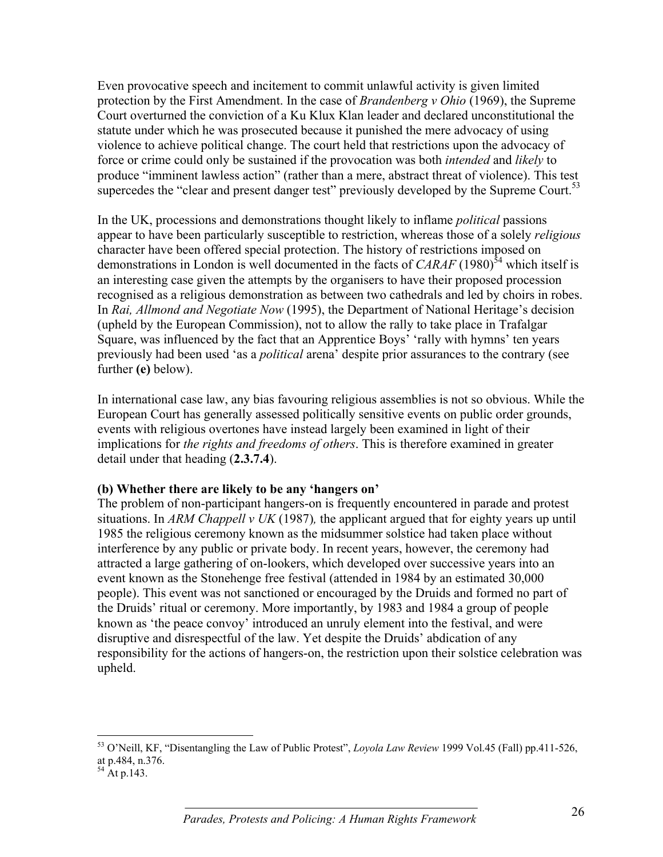Even provocative speech and incitement to commit unlawful activity is given limited protection by the First Amendment. In the case of *Brandenberg v Ohio* (1969), the Supreme Court overturned the conviction of a Ku Klux Klan leader and declared unconstitutional the statute under which he was prosecuted because it punished the mere advocacy of using violence to achieve political change. The court held that restrictions upon the advocacy of force or crime could only be sustained if the provocation was both *intended* and *likely* to produce "imminent lawless action" (rather than a mere, abstract threat of violence). This test supercedes the "clear and present danger test" previously developed by the Supreme Court.<sup>53</sup>

In the UK, processions and demonstrations thought likely to inflame *political* passions appear to have been particularly susceptible to restriction, whereas those of a solely *religious* character have been offered special protection. The history of restrictions imposed on demonstrations in London is well documented in the facts of  $CARAF(1980)^{54}$  which itself is an interesting case given the attempts by the organisers to have their proposed procession recognised as a religious demonstration as between two cathedrals and led by choirs in robes. In *Rai, Allmond and Negotiate Now* (1995), the Department of National Heritage's decision (upheld by the European Commission), not to allow the rally to take place in Trafalgar Square, was influenced by the fact that an Apprentice Boys' 'rally with hymns' ten years previously had been used 'as a *political* arena' despite prior assurances to the contrary (see further **(e)** below).

In international case law, any bias favouring religious assemblies is not so obvious. While the European Court has generally assessed politically sensitive events on public order grounds, events with religious overtones have instead largely been examined in light of their implications for *the rights and freedoms of others*. This is therefore examined in greater detail under that heading (**2.3.7.4**).

#### **(b) Whether there are likely to be any 'hangers on'**

The problem of non-participant hangers-on is frequently encountered in parade and protest situations. In *ARM Chappell v UK* (1987)*,* the applicant argued that for eighty years up until 1985 the religious ceremony known as the midsummer solstice had taken place without interference by any public or private body. In recent years, however, the ceremony had attracted a large gathering of on-lookers, which developed over successive years into an event known as the Stonehenge free festival (attended in 1984 by an estimated 30,000 people). This event was not sanctioned or encouraged by the Druids and formed no part of the Druids' ritual or ceremony. More importantly, by 1983 and 1984 a group of people known as 'the peace convoy' introduced an unruly element into the festival, and were disruptive and disrespectful of the law. Yet despite the Druids' abdication of any responsibility for the actions of hangers-on, the restriction upon their solstice celebration was upheld.

 $\overline{a}$ 53 O'Neill, KF, "Disentangling the Law of Public Protest", *Loyola Law Review* 1999 Vol.45 (Fall) pp.411-526, at p.484, n.376.

 $^{54}$  At p.143.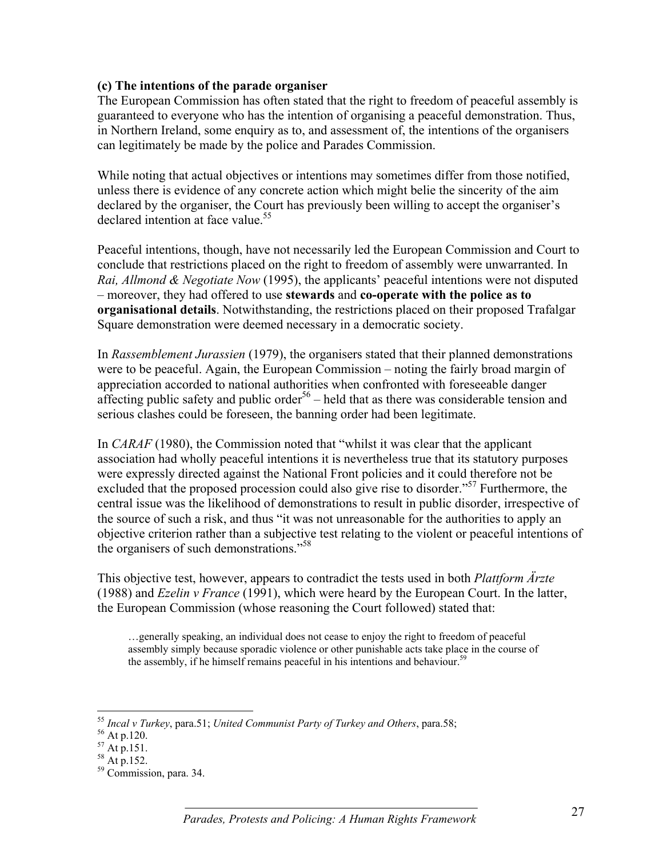#### **(c) The intentions of the parade organiser**

The European Commission has often stated that the right to freedom of peaceful assembly is guaranteed to everyone who has the intention of organising a peaceful demonstration. Thus, in Northern Ireland, some enquiry as to, and assessment of, the intentions of the organisers can legitimately be made by the police and Parades Commission.

While noting that actual objectives or intentions may sometimes differ from those notified, unless there is evidence of any concrete action which might belie the sincerity of the aim declared by the organiser, the Court has previously been willing to accept the organiser's declared intention at face value.<sup>55</sup>

Peaceful intentions, though, have not necessarily led the European Commission and Court to conclude that restrictions placed on the right to freedom of assembly were unwarranted. In *Rai, Allmond & Negotiate Now* (1995), the applicants' peaceful intentions were not disputed – moreover, they had offered to use **stewards** and **co-operate with the police as to organisational details**. Notwithstanding, the restrictions placed on their proposed Trafalgar Square demonstration were deemed necessary in a democratic society.

In *Rassemblement Jurassien* (1979), the organisers stated that their planned demonstrations were to be peaceful. Again, the European Commission – noting the fairly broad margin of appreciation accorded to national authorities when confronted with foreseeable danger affecting public safety and public order<sup>56</sup> – held that as there was considerable tension and serious clashes could be foreseen, the banning order had been legitimate.

In *CARAF* (1980), the Commission noted that "whilst it was clear that the applicant association had wholly peaceful intentions it is nevertheless true that its statutory purposes were expressly directed against the National Front policies and it could therefore not be excluded that the proposed procession could also give rise to disorder."<sup>57</sup> Furthermore, the central issue was the likelihood of demonstrations to result in public disorder, irrespective of the source of such a risk, and thus "it was not unreasonable for the authorities to apply an objective criterion rather than a subjective test relating to the violent or peaceful intentions of the organisers of such demonstrations."<sup>58</sup>

This objective test, however, appears to contradict the tests used in both *Plattform Ärzte* (1988) and *Ezelin v France* (1991), which were heard by the European Court. In the latter, the European Commission (whose reasoning the Court followed) stated that:

…generally speaking, an individual does not cease to enjoy the right to freedom of peaceful assembly simply because sporadic violence or other punishable acts take place in the course of the assembly, if he himself remains peaceful in his intentions and behaviour.<sup>59</sup>

 $\overline{a}$ 

<sup>&</sup>lt;sup>55</sup> *Incal v Turkey*, para.51; *United Communist Party of Turkey and Others*, para.58; <br><sup>56</sup> At p.120.

 $^{56}_{57}$  At p.120.<br> $^{57}_{57}$  At p.151.

 $58$  At p.152.

<sup>59</sup> Commission, para. 34.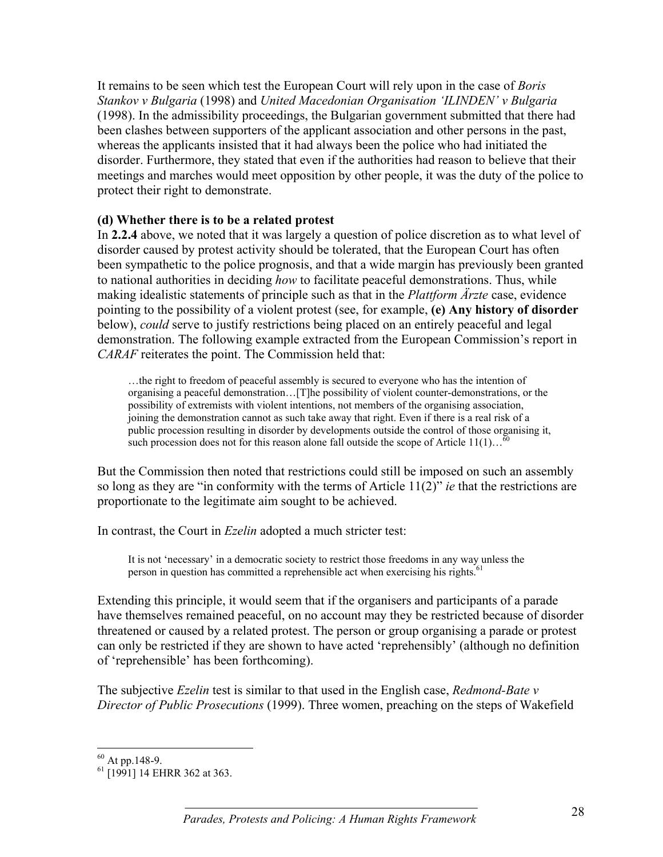It remains to be seen which test the European Court will rely upon in the case of *Boris Stankov v Bulgaria* (1998) and *United Macedonian Organisation 'ILINDEN' v Bulgaria* (1998). In the admissibility proceedings, the Bulgarian government submitted that there had been clashes between supporters of the applicant association and other persons in the past, whereas the applicants insisted that it had always been the police who had initiated the disorder. Furthermore, they stated that even if the authorities had reason to believe that their meetings and marches would meet opposition by other people, it was the duty of the police to protect their right to demonstrate.

#### **(d) Whether there is to be a related protest**

In **2.2.4** above, we noted that it was largely a question of police discretion as to what level of disorder caused by protest activity should be tolerated, that the European Court has often been sympathetic to the police prognosis, and that a wide margin has previously been granted to national authorities in deciding *how* to facilitate peaceful demonstrations. Thus, while making idealistic statements of principle such as that in the *Plattform Ärzte* case, evidence pointing to the possibility of a violent protest (see, for example, **(e) Any history of disorder** below), *could* serve to justify restrictions being placed on an entirely peaceful and legal demonstration. The following example extracted from the European Commission's report in *CARAF* reiterates the point. The Commission held that:

…the right to freedom of peaceful assembly is secured to everyone who has the intention of organising a peaceful demonstration…[T]he possibility of violent counter-demonstrations, or the possibility of extremists with violent intentions, not members of the organising association, joining the demonstration cannot as such take away that right. Even if there is a real risk of a public procession resulting in disorder by developments outside the control of those organising it, such procession does not for this reason alone fall outside the scope of Article  $11(1) \dots$ <sup>60</sup>

But the Commission then noted that restrictions could still be imposed on such an assembly so long as they are "in conformity with the terms of Article 11(2)" *ie* that the restrictions are proportionate to the legitimate aim sought to be achieved.

In contrast, the Court in *Ezelin* adopted a much stricter test:

It is not 'necessary' in a democratic society to restrict those freedoms in any way unless the person in question has committed a reprehensible act when exercising his rights.<sup>6</sup>

Extending this principle, it would seem that if the organisers and participants of a parade have themselves remained peaceful, on no account may they be restricted because of disorder threatened or caused by a related protest. The person or group organising a parade or protest can only be restricted if they are shown to have acted 'reprehensibly' (although no definition of 'reprehensible' has been forthcoming).

The subjective *Ezelin* test is similar to that used in the English case, *Redmond-Bate v Director of Public Prosecutions* (1999). Three women, preaching on the steps of Wakefield

 $\overline{a}$  $60$  At pp. 148-9.

<sup>61 [1991] 14</sup> EHRR 362 at 363.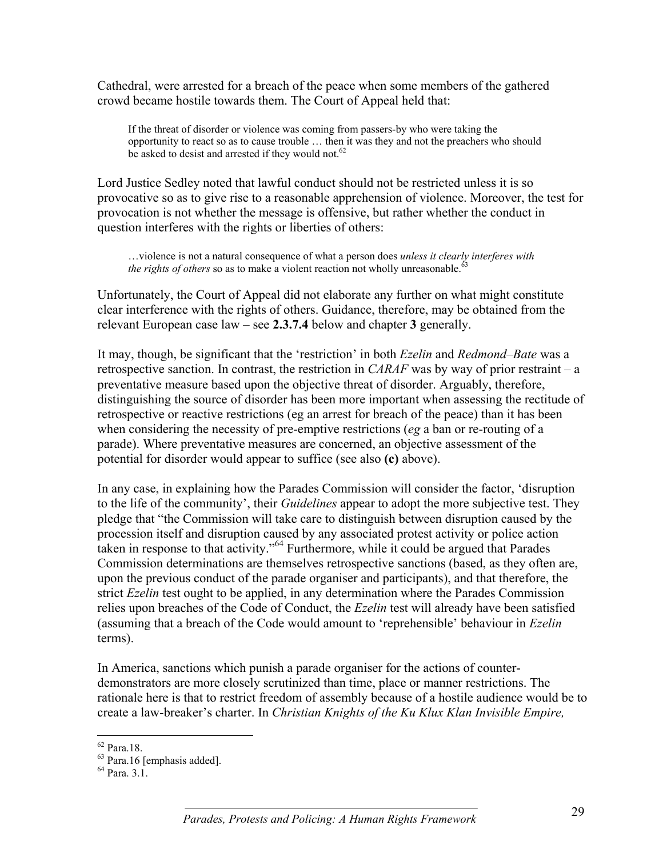Cathedral, were arrested for a breach of the peace when some members of the gathered crowd became hostile towards them. The Court of Appeal held that:

If the threat of disorder or violence was coming from passers-by who were taking the opportunity to react so as to cause trouble … then it was they and not the preachers who should be asked to desist and arrested if they would not.<sup>62</sup>

Lord Justice Sedley noted that lawful conduct should not be restricted unless it is so provocative so as to give rise to a reasonable apprehension of violence. Moreover, the test for provocation is not whether the message is offensive, but rather whether the conduct in question interferes with the rights or liberties of others:

…violence is not a natural consequence of what a person does *unless it clearly interferes with the rights of others* so as to make a violent reaction not wholly unreasonable.<sup>63</sup>

Unfortunately, the Court of Appeal did not elaborate any further on what might constitute clear interference with the rights of others. Guidance, therefore, may be obtained from the relevant European case law – see **2.3.7.4** below and chapter **3** generally.

It may, though, be significant that the 'restriction' in both *Ezelin* and *Redmond–Bate* was a retrospective sanction. In contrast, the restriction in *CARAF* was by way of prior restraint – a preventative measure based upon the objective threat of disorder. Arguably, therefore, distinguishing the source of disorder has been more important when assessing the rectitude of retrospective or reactive restrictions (eg an arrest for breach of the peace) than it has been when considering the necessity of pre-emptive restrictions (*eg* a ban or re-routing of a parade). Where preventative measures are concerned, an objective assessment of the potential for disorder would appear to suffice (see also **(c)** above).

In any case, in explaining how the Parades Commission will consider the factor, 'disruption to the life of the community', their *Guidelines* appear to adopt the more subjective test. They pledge that "the Commission will take care to distinguish between disruption caused by the procession itself and disruption caused by any associated protest activity or police action taken in response to that activity."64 Furthermore, while it could be argued that Parades Commission determinations are themselves retrospective sanctions (based, as they often are, upon the previous conduct of the parade organiser and participants), and that therefore, the strict *Ezelin* test ought to be applied, in any determination where the Parades Commission relies upon breaches of the Code of Conduct, the *Ezelin* test will already have been satisfied (assuming that a breach of the Code would amount to 'reprehensible' behaviour in *Ezelin* terms).

In America, sanctions which punish a parade organiser for the actions of counterdemonstrators are more closely scrutinized than time, place or manner restrictions. The rationale here is that to restrict freedom of assembly because of a hostile audience would be to create a law-breaker's charter. In *Christian Knights of the Ku Klux Klan Invisible Empire,*

<sup>1</sup> 62 Para.18.

<sup>63</sup> Para.16 [emphasis added].

<sup>64</sup> Para. 3.1.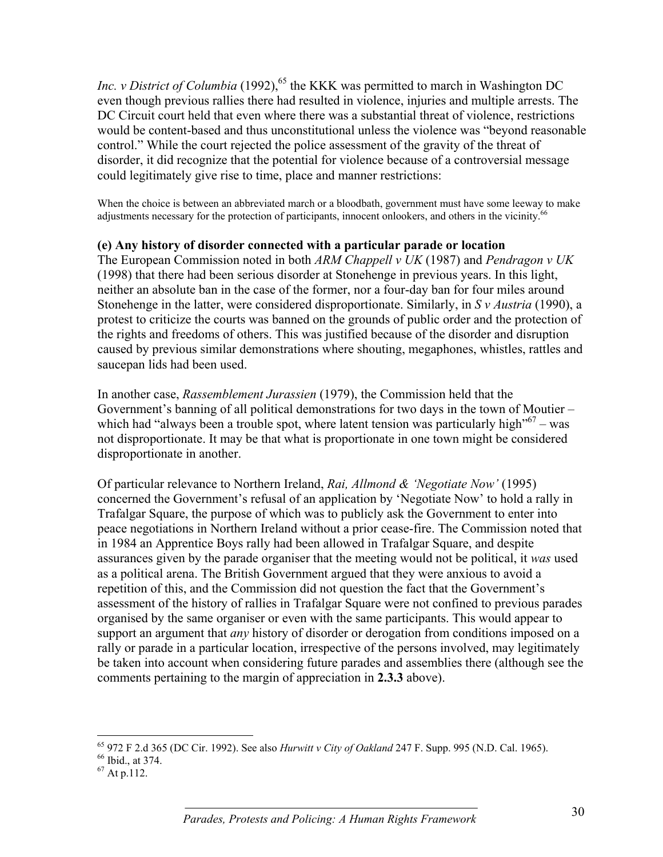*Inc. v District of Columbia* (1992),<sup>65</sup> the KKK was permitted to march in Washington DC even though previous rallies there had resulted in violence, injuries and multiple arrests. The DC Circuit court held that even where there was a substantial threat of violence, restrictions would be content-based and thus unconstitutional unless the violence was "beyond reasonable control." While the court rejected the police assessment of the gravity of the threat of disorder, it did recognize that the potential for violence because of a controversial message could legitimately give rise to time, place and manner restrictions:

When the choice is between an abbreviated march or a bloodbath, government must have some leeway to make adjustments necessary for the protection of participants, innocent onlookers, and others in the vicinity.<sup>66</sup>

#### **(e) Any history of disorder connected with a particular parade or location**

The European Commission noted in both *ARM Chappell v UK* (1987) and *Pendragon v UK* (1998) that there had been serious disorder at Stonehenge in previous years. In this light, neither an absolute ban in the case of the former, nor a four-day ban for four miles around Stonehenge in the latter, were considered disproportionate. Similarly, in *S v Austria* (1990), a protest to criticize the courts was banned on the grounds of public order and the protection of the rights and freedoms of others. This was justified because of the disorder and disruption caused by previous similar demonstrations where shouting, megaphones, whistles, rattles and saucepan lids had been used.

In another case, *Rassemblement Jurassien* (1979), the Commission held that the Government's banning of all political demonstrations for two days in the town of Moutier – which had "always been a trouble spot, where latent tension was particularly high"<sup>67</sup> – was not disproportionate. It may be that what is proportionate in one town might be considered disproportionate in another.

Of particular relevance to Northern Ireland, *Rai, Allmond & 'Negotiate Now'* (1995) concerned the Government's refusal of an application by 'Negotiate Now' to hold a rally in Trafalgar Square, the purpose of which was to publicly ask the Government to enter into peace negotiations in Northern Ireland without a prior cease-fire. The Commission noted that in 1984 an Apprentice Boys rally had been allowed in Trafalgar Square, and despite assurances given by the parade organiser that the meeting would not be political, it *was* used as a political arena. The British Government argued that they were anxious to avoid a repetition of this, and the Commission did not question the fact that the Government's assessment of the history of rallies in Trafalgar Square were not confined to previous parades organised by the same organiser or even with the same participants. This would appear to support an argument that *any* history of disorder or derogation from conditions imposed on a rally or parade in a particular location, irrespective of the persons involved, may legitimately be taken into account when considering future parades and assemblies there (although see the comments pertaining to the margin of appreciation in **2.3.3** above).

<sup>1</sup> <sup>65</sup> 972 F 2.d 365 (DC Cir. 1992). See also *Hurwitt v City of Oakland* 247 F. Supp. 995 (N.D. Cal. 1965).

 $^{66}$  Ibid., at 374.<br><sup>67</sup> At p.112.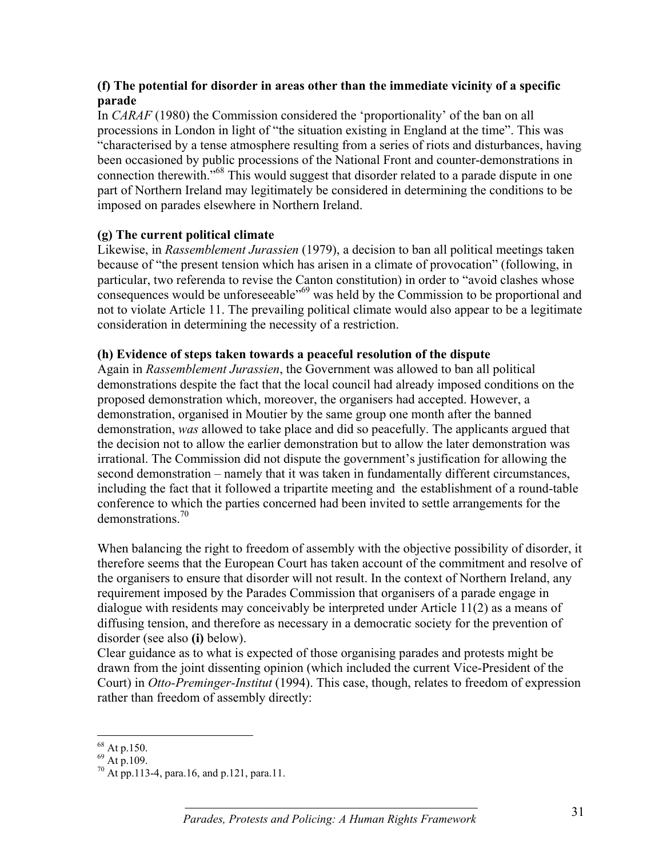#### **(f) The potential for disorder in areas other than the immediate vicinity of a specific parade**

In *CARAF* (1980) the Commission considered the 'proportionality' of the ban on all processions in London in light of "the situation existing in England at the time". This was "characterised by a tense atmosphere resulting from a series of riots and disturbances, having been occasioned by public processions of the National Front and counter-demonstrations in connection therewith.<sup>"68</sup> This would suggest that disorder related to a parade dispute in one part of Northern Ireland may legitimately be considered in determining the conditions to be imposed on parades elsewhere in Northern Ireland.

#### **(g) The current political climate**

Likewise, in *Rassemblement Jurassien* (1979), a decision to ban all political meetings taken because of "the present tension which has arisen in a climate of provocation" (following, in particular, two referenda to revise the Canton constitution) in order to "avoid clashes whose consequences would be unforeseeable<sup>"69</sup> was held by the Commission to be proportional and not to violate Article 11. The prevailing political climate would also appear to be a legitimate consideration in determining the necessity of a restriction.

#### **(h) Evidence of steps taken towards a peaceful resolution of the dispute**

Again in *Rassemblement Jurassien*, the Government was allowed to ban all political demonstrations despite the fact that the local council had already imposed conditions on the proposed demonstration which, moreover, the organisers had accepted. However, a demonstration, organised in Moutier by the same group one month after the banned demonstration, *was* allowed to take place and did so peacefully. The applicants argued that the decision not to allow the earlier demonstration but to allow the later demonstration was irrational. The Commission did not dispute the government's justification for allowing the second demonstration – namely that it was taken in fundamentally different circumstances, including the fact that it followed a tripartite meeting and the establishment of a round-table conference to which the parties concerned had been invited to settle arrangements for the demonstrations<sup>70</sup>

When balancing the right to freedom of assembly with the objective possibility of disorder, it therefore seems that the European Court has taken account of the commitment and resolve of the organisers to ensure that disorder will not result. In the context of Northern Ireland, any requirement imposed by the Parades Commission that organisers of a parade engage in dialogue with residents may conceivably be interpreted under Article 11(2) as a means of diffusing tension, and therefore as necessary in a democratic society for the prevention of disorder (see also **(i)** below).

Clear guidance as to what is expected of those organising parades and protests might be drawn from the joint dissenting opinion (which included the current Vice-President of the Court) in *Otto-Preminger-Institut* (1994). This case, though, relates to freedom of expression rather than freedom of assembly directly:

<sup>1</sup>  $68$  At p.150.

 $^{69}$  At p.109.

<sup>70</sup> At pp.113-4, para.16, and p.121, para.11.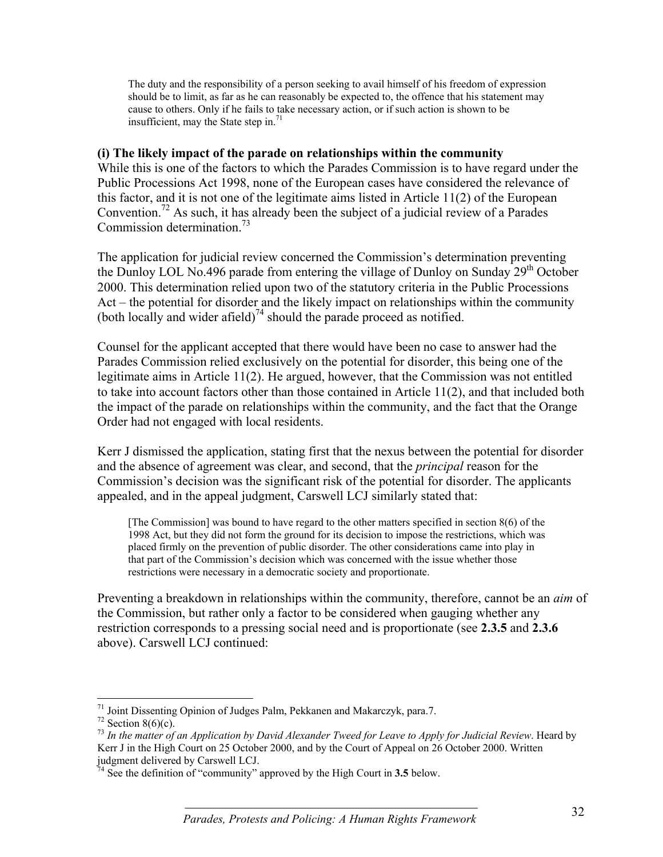The duty and the responsibility of a person seeking to avail himself of his freedom of expression should be to limit, as far as he can reasonably be expected to, the offence that his statement may cause to others. Only if he fails to take necessary action, or if such action is shown to be insufficient, may the State step in. $71$ 

#### **(i) The likely impact of the parade on relationships within the community**

While this is one of the factors to which the Parades Commission is to have regard under the Public Processions Act 1998, none of the European cases have considered the relevance of this factor, and it is not one of the legitimate aims listed in Article 11(2) of the European Convention.72 As such, it has already been the subject of a judicial review of a Parades Commission determination.73

The application for judicial review concerned the Commission's determination preventing the Dunloy LOL No.496 parade from entering the village of Dunloy on Sunday 29<sup>th</sup> October 2000. This determination relied upon two of the statutory criteria in the Public Processions Act – the potential for disorder and the likely impact on relationships within the community (both locally and wider afield)<sup>74</sup> should the parade proceed as notified.

Counsel for the applicant accepted that there would have been no case to answer had the Parades Commission relied exclusively on the potential for disorder, this being one of the legitimate aims in Article 11(2). He argued, however, that the Commission was not entitled to take into account factors other than those contained in Article 11(2), and that included both the impact of the parade on relationships within the community, and the fact that the Orange Order had not engaged with local residents.

Kerr J dismissed the application, stating first that the nexus between the potential for disorder and the absence of agreement was clear, and second, that the *principal* reason for the Commission's decision was the significant risk of the potential for disorder. The applicants appealed, and in the appeal judgment, Carswell LCJ similarly stated that:

[The Commission] was bound to have regard to the other matters specified in section 8(6) of the 1998 Act, but they did not form the ground for its decision to impose the restrictions, which was placed firmly on the prevention of public disorder. The other considerations came into play in that part of the Commission's decision which was concerned with the issue whether those restrictions were necessary in a democratic society and proportionate.

Preventing a breakdown in relationships within the community, therefore, cannot be an *aim* of the Commission, but rather only a factor to be considered when gauging whether any restriction corresponds to a pressing social need and is proportionate (see **2.3.5** and **2.3.6** above). Carswell LCJ continued:

 $\overline{a}$ <sup>71</sup> Joint Dissenting Opinion of Judges Palm, Pekkanen and Makarczyk, para.7.

 $72$  Section 8(6)(c).

<sup>73</sup> *In the matter of an Application by David Alexander Tweed for Leave to Apply for Judicial Review*. Heard by Kerr J in the High Court on 25 October 2000, and by the Court of Appeal on 26 October 2000. Written judgment delivered by Carswell LCJ.

<sup>&</sup>lt;sup>4</sup> See the definition of "community" approved by the High Court in 3.5 below.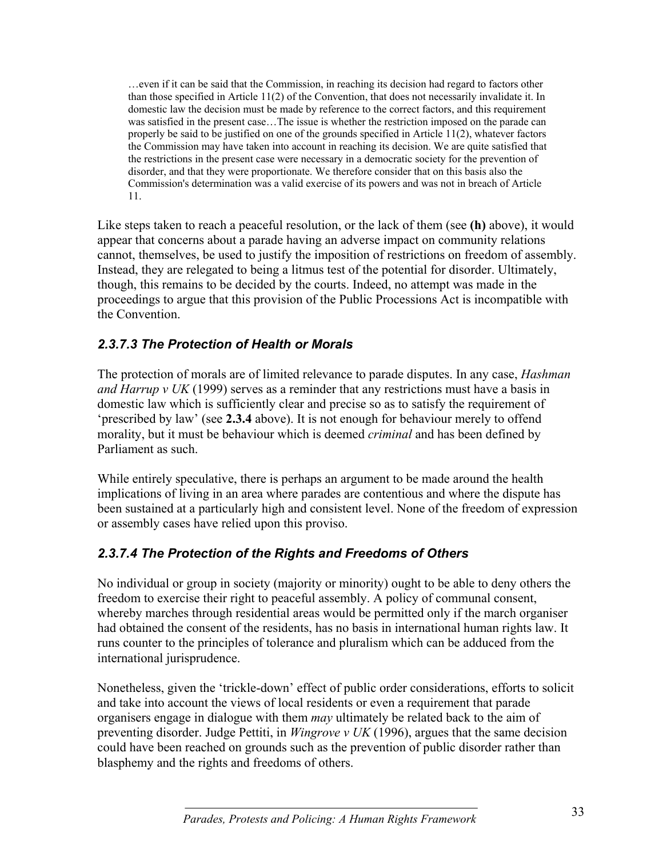…even if it can be said that the Commission, in reaching its decision had regard to factors other than those specified in Article 11(2) of the Convention, that does not necessarily invalidate it. In domestic law the decision must be made by reference to the correct factors, and this requirement was satisfied in the present case…The issue is whether the restriction imposed on the parade can properly be said to be justified on one of the grounds specified in Article 11(2), whatever factors the Commission may have taken into account in reaching its decision. We are quite satisfied that the restrictions in the present case were necessary in a democratic society for the prevention of disorder, and that they were proportionate. We therefore consider that on this basis also the Commission's determination was a valid exercise of its powers and was not in breach of Article 11.

Like steps taken to reach a peaceful resolution, or the lack of them (see **(h)** above), it would appear that concerns about a parade having an adverse impact on community relations cannot, themselves, be used to justify the imposition of restrictions on freedom of assembly. Instead, they are relegated to being a litmus test of the potential for disorder. Ultimately, though, this remains to be decided by the courts. Indeed, no attempt was made in the proceedings to argue that this provision of the Public Processions Act is incompatible with the Convention.

### *2.3.7.3 The Protection of Health or Morals*

The protection of morals are of limited relevance to parade disputes. In any case, *Hashman and Harrup v UK* (1999) serves as a reminder that any restrictions must have a basis in domestic law which is sufficiently clear and precise so as to satisfy the requirement of 'prescribed by law' (see **2.3.4** above). It is not enough for behaviour merely to offend morality, but it must be behaviour which is deemed *criminal* and has been defined by Parliament as such.

While entirely speculative, there is perhaps an argument to be made around the health implications of living in an area where parades are contentious and where the dispute has been sustained at a particularly high and consistent level. None of the freedom of expression or assembly cases have relied upon this proviso.

### *2.3.7.4 The Protection of the Rights and Freedoms of Others*

No individual or group in society (majority or minority) ought to be able to deny others the freedom to exercise their right to peaceful assembly. A policy of communal consent, whereby marches through residential areas would be permitted only if the march organiser had obtained the consent of the residents, has no basis in international human rights law. It runs counter to the principles of tolerance and pluralism which can be adduced from the international jurisprudence.

Nonetheless, given the 'trickle-down' effect of public order considerations, efforts to solicit and take into account the views of local residents or even a requirement that parade organisers engage in dialogue with them *may* ultimately be related back to the aim of preventing disorder. Judge Pettiti, in *Wingrove v UK* (1996), argues that the same decision could have been reached on grounds such as the prevention of public disorder rather than blasphemy and the rights and freedoms of others.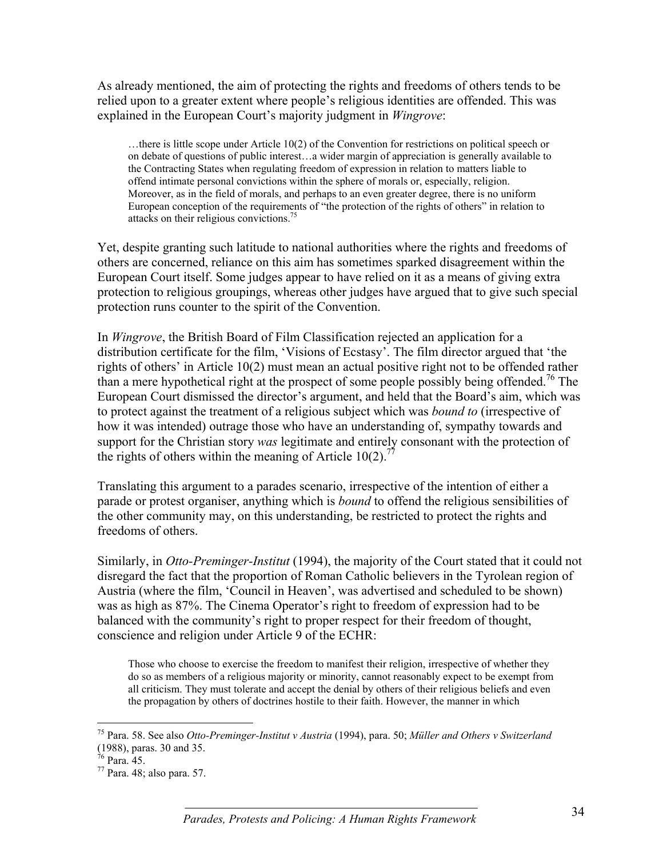As already mentioned, the aim of protecting the rights and freedoms of others tends to be relied upon to a greater extent where people's religious identities are offended. This was explained in the European Court's majority judgment in *Wingrove*:

…there is little scope under Article 10(2) of the Convention for restrictions on political speech or on debate of questions of public interest…a wider margin of appreciation is generally available to the Contracting States when regulating freedom of expression in relation to matters liable to offend intimate personal convictions within the sphere of morals or, especially, religion. Moreover, as in the field of morals, and perhaps to an even greater degree, there is no uniform European conception of the requirements of "the protection of the rights of others" in relation to attacks on their religious convictions.75

Yet, despite granting such latitude to national authorities where the rights and freedoms of others are concerned, reliance on this aim has sometimes sparked disagreement within the European Court itself. Some judges appear to have relied on it as a means of giving extra protection to religious groupings, whereas other judges have argued that to give such special protection runs counter to the spirit of the Convention.

In *Wingrove*, the British Board of Film Classification rejected an application for a distribution certificate for the film, 'Visions of Ecstasy'. The film director argued that 'the rights of others' in Article 10(2) must mean an actual positive right not to be offended rather than a mere hypothetical right at the prospect of some people possibly being offended.<sup>76</sup> The European Court dismissed the director's argument, and held that the Board's aim, which was to protect against the treatment of a religious subject which was *bound to* (irrespective of how it was intended) outrage those who have an understanding of, sympathy towards and support for the Christian story *was* legitimate and entirely consonant with the protection of the rights of others within the meaning of Article  $10(2)$ .<sup>77</sup>

Translating this argument to a parades scenario, irrespective of the intention of either a parade or protest organiser, anything which is *bound* to offend the religious sensibilities of the other community may, on this understanding, be restricted to protect the rights and freedoms of others.

Similarly, in *Otto-Preminger-Institut* (1994), the majority of the Court stated that it could not disregard the fact that the proportion of Roman Catholic believers in the Tyrolean region of Austria (where the film, 'Council in Heaven', was advertised and scheduled to be shown) was as high as 87%. The Cinema Operator's right to freedom of expression had to be balanced with the community's right to proper respect for their freedom of thought, conscience and religion under Article 9 of the ECHR:

Those who choose to exercise the freedom to manifest their religion, irrespective of whether they do so as members of a religious majority or minority, cannot reasonably expect to be exempt from all criticism. They must tolerate and accept the denial by others of their religious beliefs and even the propagation by others of doctrines hostile to their faith. However, the manner in which

 $\overline{a}$ 

<sup>75</sup> Para. 58. See also *Otto-Preminger-Institut v Austria* (1994), para. 50; *Müller and Others v Switzerland* (1988), paras. 30 and 35.

 $76$  Para. 45.

 $77$  Para. 48; also para. 57.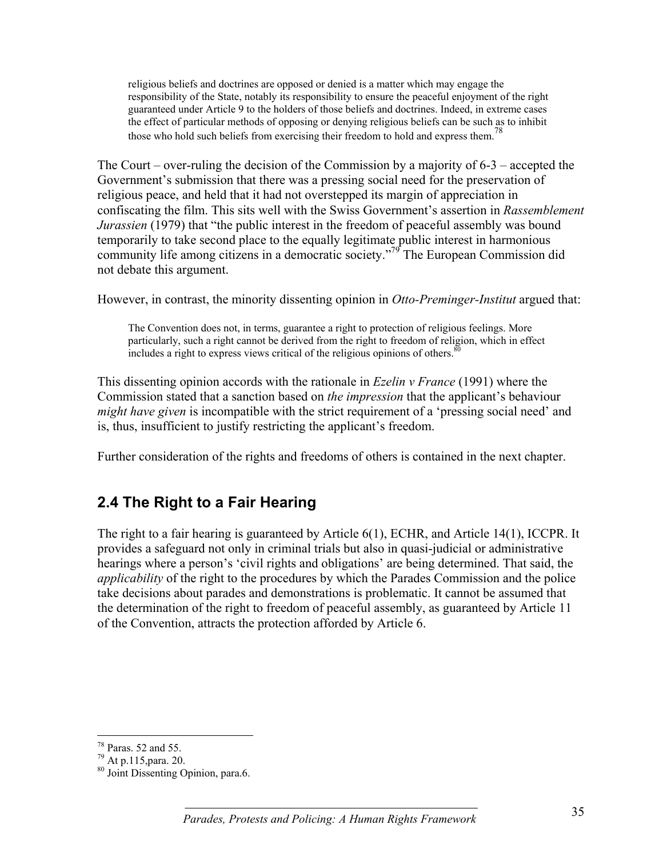religious beliefs and doctrines are opposed or denied is a matter which may engage the responsibility of the State, notably its responsibility to ensure the peaceful enjoyment of the right guaranteed under Article 9 to the holders of those beliefs and doctrines. Indeed, in extreme cases the effect of particular methods of opposing or denying religious beliefs can be such as to inhibit those who hold such beliefs from exercising their freedom to hold and express them.<sup>78</sup>

The Court – over-ruling the decision of the Commission by a majority of 6-3 – accepted the Government's submission that there was a pressing social need for the preservation of religious peace, and held that it had not overstepped its margin of appreciation in confiscating the film. This sits well with the Swiss Government's assertion in *Rassemblement Jurassien* (1979) that "the public interest in the freedom of peaceful assembly was bound temporarily to take second place to the equally legitimate public interest in harmonious community life among citizens in a democratic society."<sup>79</sup> The European Commission did not debate this argument.

However, in contrast, the minority dissenting opinion in *Otto-Preminger-Institut* argued that:

The Convention does not, in terms, guarantee a right to protection of religious feelings. More particularly, such a right cannot be derived from the right to freedom of religion, which in effect includes a right to express views critical of the religious opinions of others. $\frac{80}{30}$ 

This dissenting opinion accords with the rationale in *Ezelin v France* (1991) where the Commission stated that a sanction based on *the impression* that the applicant's behaviour *might have given* is incompatible with the strict requirement of a 'pressing social need' and is, thus, insufficient to justify restricting the applicant's freedom.

Further consideration of the rights and freedoms of others is contained in the next chapter.

## **2.4 The Right to a Fair Hearing**

The right to a fair hearing is guaranteed by Article 6(1), ECHR, and Article 14(1), ICCPR. It provides a safeguard not only in criminal trials but also in quasi-judicial or administrative hearings where a person's 'civil rights and obligations' are being determined. That said, the *applicability* of the right to the procedures by which the Parades Commission and the police take decisions about parades and demonstrations is problematic. It cannot be assumed that the determination of the right to freedom of peaceful assembly, as guaranteed by Article 11 of the Convention, attracts the protection afforded by Article 6.

 $\overline{a}$ 

<sup>78</sup> Paras. 52 and 55.

<sup>79</sup> At p.115,para. 20.

<sup>80</sup> Joint Dissenting Opinion, para.6.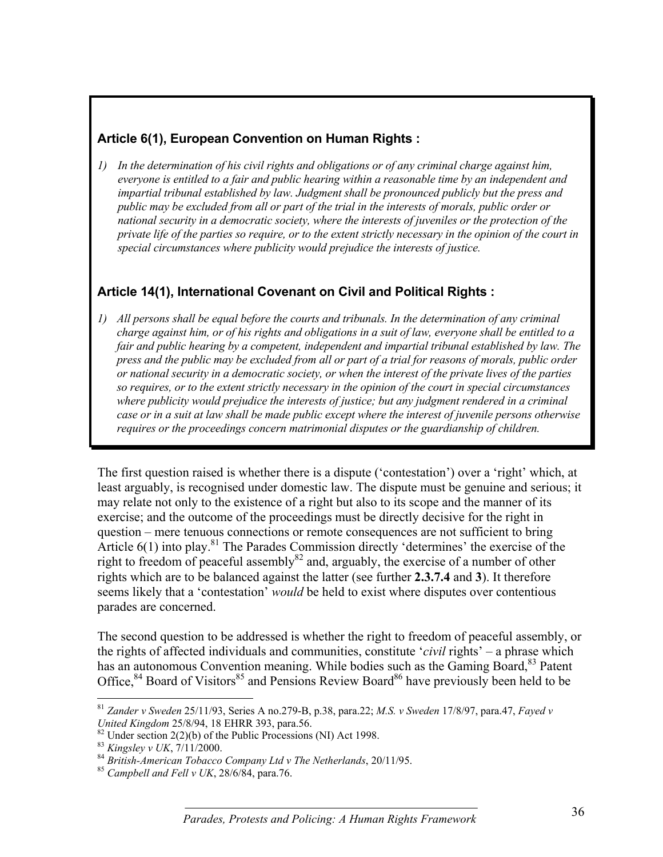#### **Article 6(1), European Convention on Human Rights :**

*1) In the determination of his civil rights and obligations or of any criminal charge against him, everyone is entitled to a fair and public hearing within a reasonable time by an independent and impartial tribunal established by law. Judgment shall be pronounced publicly but the press and public may be excluded from all or part of the trial in the interests of morals, public order or national security in a democratic society, where the interests of juveniles or the protection of the private life of the parties so require, or to the extent strictly necessary in the opinion of the court in special circumstances where publicity would prejudice the interests of justice.*

#### **Article 14(1), International Covenant on Civil and Political Rights :**

*1) All persons shall be equal before the courts and tribunals. In the determination of any criminal charge against him, or of his rights and obligations in a suit of law, everyone shall be entitled to a fair and public hearing by a competent, independent and impartial tribunal established by law. The press and the public may be excluded from all or part of a trial for reasons of morals, public order or national security in a democratic society, or when the interest of the private lives of the parties so requires, or to the extent strictly necessary in the opinion of the court in special circumstances where publicity would prejudice the interests of justice; but any judgment rendered in a criminal case or in a suit at law shall be made public except where the interest of juvenile persons otherwise requires or the proceedings concern matrimonial disputes or the guardianship of children.*

The first question raised is whether there is a dispute ('contestation') over a 'right' which, at least arguably, is recognised under domestic law. The dispute must be genuine and serious; it may relate not only to the existence of a right but also to its scope and the manner of its exercise; and the outcome of the proceedings must be directly decisive for the right in question – mere tenuous connections or remote consequences are not sufficient to bring Article  $6(1)$  into play.<sup>81</sup> The Parades Commission directly 'determines' the exercise of the right to freedom of peaceful assembly $82$  and, arguably, the exercise of a number of other rights which are to be balanced against the latter (see further **2.3.7.4** and **3**). It therefore seems likely that a 'contestation' *would* be held to exist where disputes over contentious parades are concerned.

The second question to be addressed is whether the right to freedom of peaceful assembly, or the rights of affected individuals and communities, constitute '*civil* rights' – a phrase which has an autonomous Convention meaning. While bodies such as the Gaming Board,<sup>83</sup> Patent Office,  $84$  Board of Visitors<sup>85</sup> and Pensions Review Board<sup>86</sup> have previously been held to be

 $\overline{a}$ <sup>81</sup> *Zander v Sweden* 25/11/93, Series A no.279-B, p.38, para.22; *M.S. v Sweden* 17/8/97, para.47, *Fayed v*

*United Kingdom* 25/8/94, 18 EHRR 393, para.56.<br><sup>82</sup> Under section 2(2)(b) of the Public Processions (NI) Act 1998.<br><sup>83</sup> *Kingslev v UK*, 7/11/2000.

<sup>&</sup>lt;sup>84</sup> British-American Tobacco Company Ltd v The Netherlands, 20/11/95.<br><sup>85</sup> *Campbell and Fell v UK*, 28/6/84, para.76.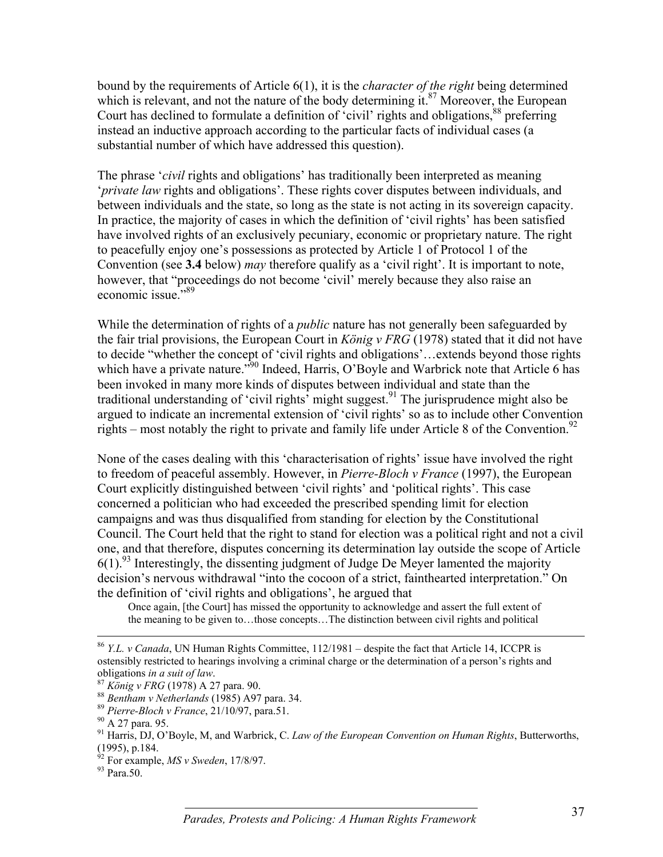bound by the requirements of Article 6(1), it is the *character of the right* being determined which is relevant, and not the nature of the body determining it. $87$  Moreover, the European Court has declined to formulate a definition of 'civil' rights and obligations,  $88$  preferring instead an inductive approach according to the particular facts of individual cases (a substantial number of which have addressed this question).

The phrase '*civil* rights and obligations' has traditionally been interpreted as meaning '*private law* rights and obligations'. These rights cover disputes between individuals, and between individuals and the state, so long as the state is not acting in its sovereign capacity. In practice, the majority of cases in which the definition of 'civil rights' has been satisfied have involved rights of an exclusively pecuniary, economic or proprietary nature. The right to peacefully enjoy one's possessions as protected by Article 1 of Protocol 1 of the Convention (see **3.4** below) *may* therefore qualify as a 'civil right'. It is important to note, however, that "proceedings do not become 'civil' merely because they also raise an economic issue."<sup>89</sup>

While the determination of rights of a *public* nature has not generally been safeguarded by the fair trial provisions, the European Court in *König v FRG* (1978) stated that it did not have to decide "whether the concept of 'civil rights and obligations'…extends beyond those rights which have a private nature."<sup>90</sup> Indeed, Harris, O'Boyle and Warbrick note that Article 6 has been invoked in many more kinds of disputes between individual and state than the traditional understanding of 'civil rights' might suggest.<sup>91</sup> The jurisprudence might also be argued to indicate an incremental extension of 'civil rights' so as to include other Convention rights – most notably the right to private and family life under Article 8 of the Convention.<sup>92</sup>

None of the cases dealing with this 'characterisation of rights' issue have involved the right to freedom of peaceful assembly. However, in *Pierre-Bloch v France* (1997), the European Court explicitly distinguished between 'civil rights' and 'political rights'. This case concerned a politician who had exceeded the prescribed spending limit for election campaigns and was thus disqualified from standing for election by the Constitutional Council. The Court held that the right to stand for election was a political right and not a civil one, and that therefore, disputes concerning its determination lay outside the scope of Article  $6(1)$ <sup>93</sup> Interestingly, the dissenting judgment of Judge De Meyer lamented the majority decision's nervous withdrawal "into the cocoon of a strict, fainthearted interpretation." On the definition of 'civil rights and obligations', he argued that

Once again, [the Court] has missed the opportunity to acknowledge and assert the full extent of the meaning to be given to…those concepts…The distinction between civil rights and political

 <sup>86</sup> *Y.L. v Canada*, UN Human Rights Committee, 112/1981 – despite the fact that Article 14, ICCPR is ostensibly restricted to hearings involving a criminal charge or the determination of a person's rights and obligations *in a suit of law.*<br><sup>87</sup> *König v FRG* (1978) A 27 para. 90.<br><sup>88</sup> *Bentham v Netherlands* (1985) A97 para. 34.<br><sup>89</sup> *Pierre-Bloch v France*, 21/10/97, para.51.<br><sup>90</sup> A 27 para. 95.

<sup>91</sup> Harris, DJ, O'Boyle, M, and Warbrick, C. *Law of the European Convention on Human Rights*, Butterworths, (1995), p.184.

<sup>&</sup>lt;sup>92</sup> For example, *MS v Sweden*, 17/8/97.<br><sup>93</sup> Para.50.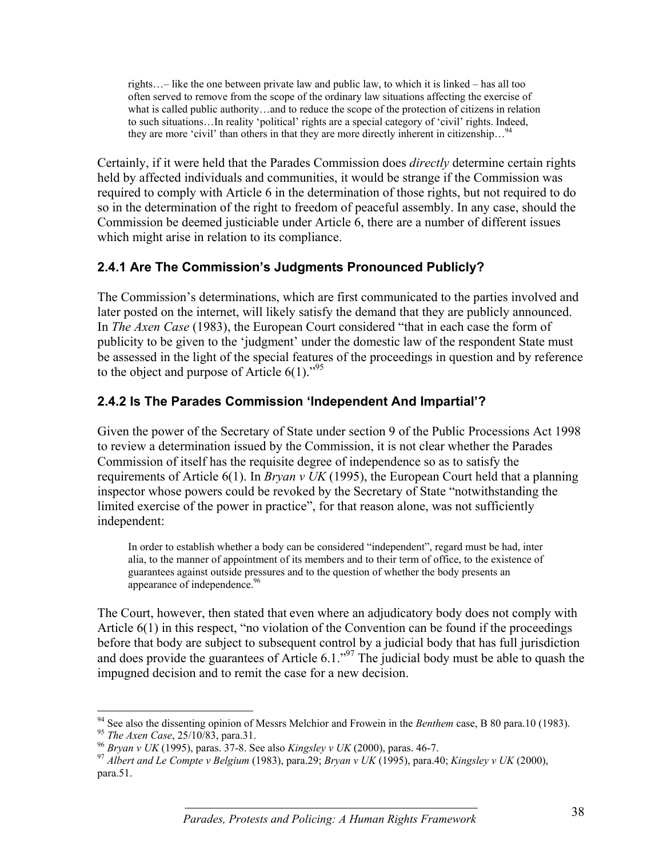rights…– like the one between private law and public law, to which it is linked – has all too often served to remove from the scope of the ordinary law situations affecting the exercise of what is called public authority…and to reduce the scope of the protection of citizens in relation to such situations…In reality 'political' rights are a special category of 'civil' rights. Indeed, they are more 'civil' than others in that they are more directly inherent in citizenship...<sup>94</sup>

Certainly, if it were held that the Parades Commission does *directly* determine certain rights held by affected individuals and communities, it would be strange if the Commission was required to comply with Article 6 in the determination of those rights, but not required to do so in the determination of the right to freedom of peaceful assembly. In any case, should the Commission be deemed justiciable under Article 6, there are a number of different issues which might arise in relation to its compliance.

### **2.4.1 Are The Commission's Judgments Pronounced Publicly?**

The Commission's determinations, which are first communicated to the parties involved and later posted on the internet, will likely satisfy the demand that they are publicly announced. In *The Axen Case* (1983), the European Court considered "that in each case the form of publicity to be given to the 'judgment' under the domestic law of the respondent State must be assessed in the light of the special features of the proceedings in question and by reference to the object and purpose of Article  $6(1)$ ."<sup>95</sup>

#### **2.4.2 Is The Parades Commission 'Independent And Impartial'?**

Given the power of the Secretary of State under section 9 of the Public Processions Act 1998 to review a determination issued by the Commission, it is not clear whether the Parades Commission of itself has the requisite degree of independence so as to satisfy the requirements of Article 6(1). In *Bryan v UK* (1995), the European Court held that a planning inspector whose powers could be revoked by the Secretary of State "notwithstanding the limited exercise of the power in practice", for that reason alone, was not sufficiently independent:

In order to establish whether a body can be considered "independent", regard must be had, inter alia, to the manner of appointment of its members and to their term of office, to the existence of guarantees against outside pressures and to the question of whether the body presents an appearance of independence.<sup>96</sup>

The Court, however, then stated that even where an adjudicatory body does not comply with Article 6(1) in this respect, "no violation of the Convention can be found if the proceedings before that body are subject to subsequent control by a judicial body that has full jurisdiction and does provide the guarantees of Article 6.1.<sup> $\cdot$ 97</sup> The judicial body must be able to quash the impugned decision and to remit the case for a new decision.

 $\overline{a}$ <sup>94</sup> See also the dissenting opinion of Messrs Melchior and Frowein in the *Benthem* case, B 80 para.10 (1983).<br><sup>95</sup> *The Axen Case*, 25/10/83, para.31.<br><sup>96</sup> *Bryan v UK* (1995), paras. 37-8. See also *Kingsley v UK* (2000

para.51.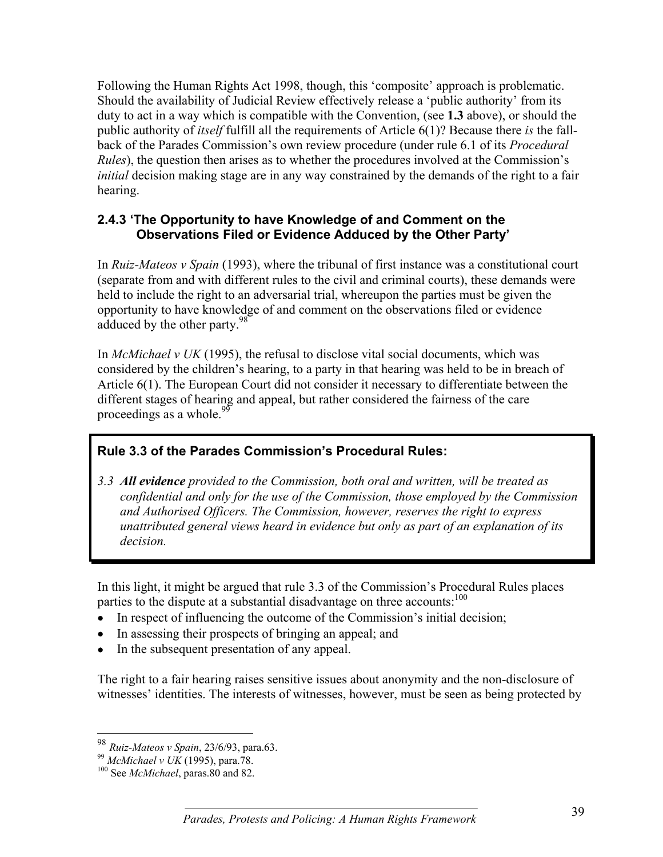Following the Human Rights Act 1998, though, this 'composite' approach is problematic. Should the availability of Judicial Review effectively release a 'public authority' from its duty to act in a way which is compatible with the Convention, (see **1.3** above), or should the public authority of *itself* fulfill all the requirements of Article 6(1)? Because there *is* the fallback of the Parades Commission's own review procedure (under rule 6.1 of its *Procedural Rules*), the question then arises as to whether the procedures involved at the Commission's *initial* decision making stage are in any way constrained by the demands of the right to a fair hearing.

#### **2.4.3 'The Opportunity to have Knowledge of and Comment on the Observations Filed or Evidence Adduced by the Other Party'**

In *Ruiz-Mateos v Spain* (1993), where the tribunal of first instance was a constitutional court (separate from and with different rules to the civil and criminal courts), these demands were held to include the right to an adversarial trial, whereupon the parties must be given the opportunity to have knowledge of and comment on the observations filed or evidence adduced by the other party.<sup>98</sup>

In *McMichael v UK* (1995), the refusal to disclose vital social documents, which was considered by the children's hearing, to a party in that hearing was held to be in breach of Article 6(1). The European Court did not consider it necessary to differentiate between the different stages of hearing and appeal, but rather considered the fairness of the care proceedings as a whole. $^{99}$ 

### **Rule 3.3 of the Parades Commission's Procedural Rules:**

*3.3 All evidence provided to the Commission, both oral and written, will be treated as confidential and only for the use of the Commission, those employed by the Commission and Authorised Officers. The Commission, however, reserves the right to express unattributed general views heard in evidence but only as part of an explanation of its decision.*

In this light, it might be argued that rule 3.3 of the Commission's Procedural Rules places parties to the dispute at a substantial disadvantage on three accounts:<sup>100</sup>

- In respect of influencing the outcome of the Commission's initial decision;
- In assessing their prospects of bringing an appeal; and
- In the subsequent presentation of any appeal.

The right to a fair hearing raises sensitive issues about anonymity and the non-disclosure of witnesses' identities. The interests of witnesses, however, must be seen as being protected by

 $\overline{a}$ 

<sup>98</sup> *Ruiz-Mateos v Spain*, 23/6/93, para.63.

<sup>99</sup> *McMichael v UK* (1995), para.78. 100 See *McMichael*, paras.80 and 82.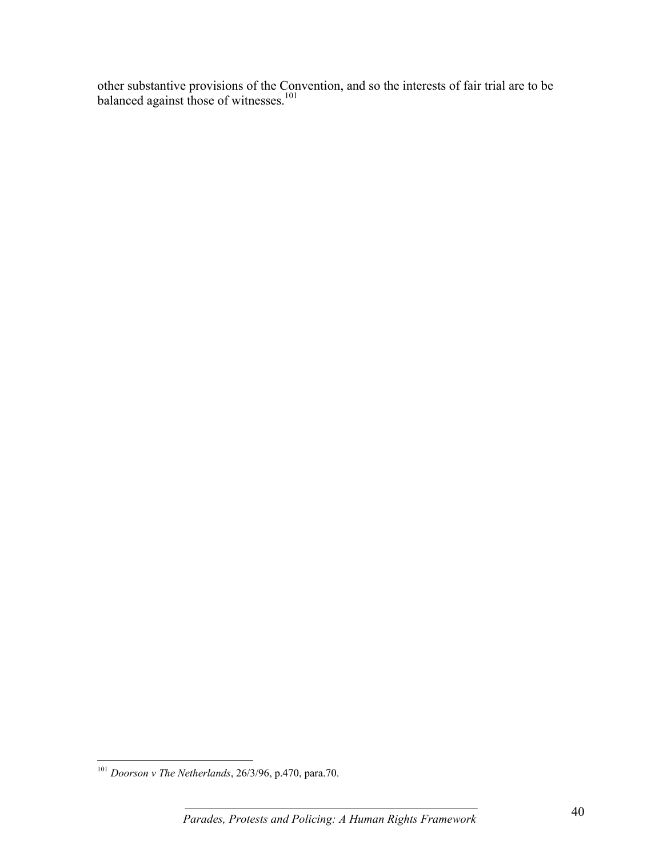other substantive provisions of the Convention, and so the interests of fair trial are to be balanced against those of witnesses.<sup>101</sup>

 $\overline{a}$ 

 $\overline{\phantom{a}}$  . The contract of  $\overline{\phantom{a}}$  ,  $\overline{\phantom{a}}$  ,  $\overline{\phantom{a}}$  ,  $\overline{\phantom{a}}$  ,  $\overline{\phantom{a}}$  ,  $\overline{\phantom{a}}$  ,  $\overline{\phantom{a}}$  ,  $\overline{\phantom{a}}$  ,  $\overline{\phantom{a}}$  ,  $\overline{\phantom{a}}$  ,  $\overline{\phantom{a}}$  ,  $\overline{\phantom{a}}$  ,  $\overline{\phantom{a}}$  ,  $\overline{\phantom{a$ <sup>101</sup> *Doorson v The Netherlands*, 26/3/96, p.470, para.70.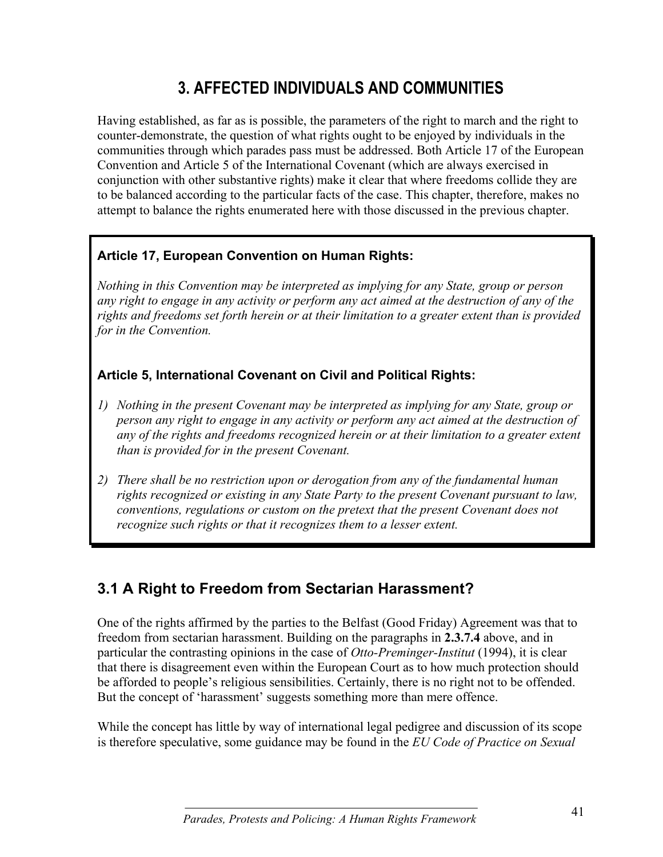# **3. AFFECTED INDIVIDUALS AND COMMUNITIES**

Having established, as far as is possible, the parameters of the right to march and the right to counter-demonstrate, the question of what rights ought to be enjoyed by individuals in the communities through which parades pass must be addressed. Both Article 17 of the European Convention and Article 5 of the International Covenant (which are always exercised in conjunction with other substantive rights) make it clear that where freedoms collide they are to be balanced according to the particular facts of the case. This chapter, therefore, makes no attempt to balance the rights enumerated here with those discussed in the previous chapter.

### **Article 17, European Convention on Human Rights:**

*Nothing in this Convention may be interpreted as implying for any State, group or person any right to engage in any activity or perform any act aimed at the destruction of any of the rights and freedoms set forth herein or at their limitation to a greater extent than is provided for in the Convention.*

### **Article 5, International Covenant on Civil and Political Rights:**

- *1) Nothing in the present Covenant may be interpreted as implying for any State, group or person any right to engage in any activity or perform any act aimed at the destruction of any of the rights and freedoms recognized herein or at their limitation to a greater extent than is provided for in the present Covenant.*
- *2) There shall be no restriction upon or derogation from any of the fundamental human rights recognized or existing in any State Party to the present Covenant pursuant to law, conventions, regulations or custom on the pretext that the present Covenant does not recognize such rights or that it recognizes them to a lesser extent.*

## **3.1 A Right to Freedom from Sectarian Harassment?**

One of the rights affirmed by the parties to the Belfast (Good Friday) Agreement was that to freedom from sectarian harassment. Building on the paragraphs in **2.3.7.4** above, and in particular the contrasting opinions in the case of *Otto-Preminger-Institut* (1994), it is clear that there is disagreement even within the European Court as to how much protection should be afforded to people's religious sensibilities. Certainly, there is no right not to be offended. But the concept of 'harassment' suggests something more than mere offence.

While the concept has little by way of international legal pedigree and discussion of its scope is therefore speculative, some guidance may be found in the *EU Code of Practice on Sexual*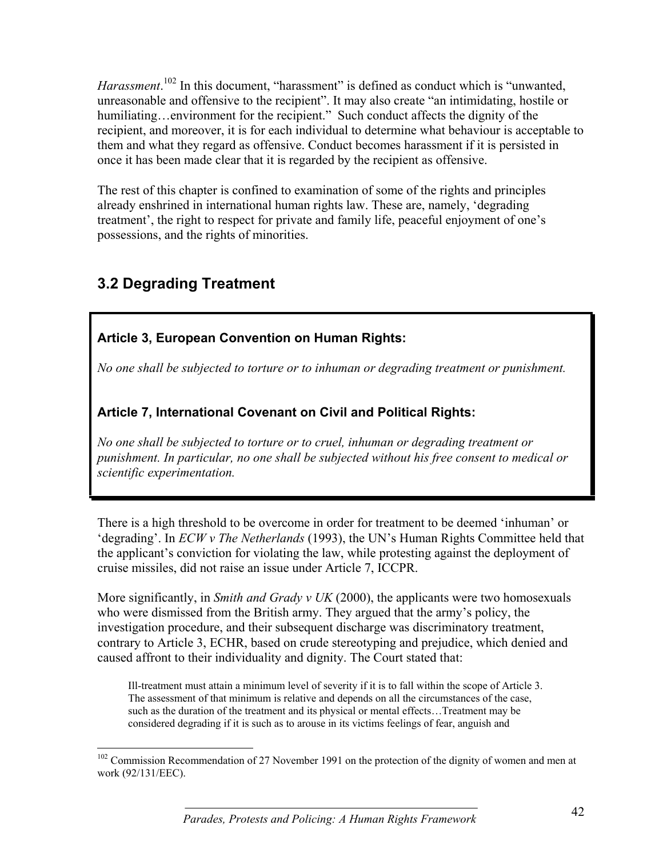Harassment.<sup>102</sup> In this document, "harassment" is defined as conduct which is "unwanted, unreasonable and offensive to the recipient". It may also create "an intimidating, hostile or humiliating…environment for the recipient." Such conduct affects the dignity of the recipient, and moreover, it is for each individual to determine what behaviour is acceptable to them and what they regard as offensive. Conduct becomes harassment if it is persisted in once it has been made clear that it is regarded by the recipient as offensive.

The rest of this chapter is confined to examination of some of the rights and principles already enshrined in international human rights law. These are, namely, 'degrading treatment', the right to respect for private and family life, peaceful enjoyment of one's possessions, and the rights of minorities.

## **3.2 Degrading Treatment**

 $\overline{a}$ 

### **Article 3, European Convention on Human Rights:**

*No one shall be subjected to torture or to inhuman or degrading treatment or punishment.*

### **Article 7, International Covenant on Civil and Political Rights:**

*No one shall be subjected to torture or to cruel, inhuman or degrading treatment or punishment. In particular, no one shall be subjected without his free consent to medical or scientific experimentation.*

There is a high threshold to be overcome in order for treatment to be deemed 'inhuman' or 'degrading'. In *ECW v The Netherlands* (1993), the UN's Human Rights Committee held that the applicant's conviction for violating the law, while protesting against the deployment of cruise missiles, did not raise an issue under Article 7, ICCPR.

More significantly, in *Smith and Grady v UK* (2000), the applicants were two homosexuals who were dismissed from the British army. They argued that the army's policy, the investigation procedure, and their subsequent discharge was discriminatory treatment, contrary to Article 3, ECHR, based on crude stereotyping and prejudice, which denied and caused affront to their individuality and dignity. The Court stated that:

Ill-treatment must attain a minimum level of severity if it is to fall within the scope of Article 3. The assessment of that minimum is relative and depends on all the circumstances of the case, such as the duration of the treatment and its physical or mental effects…Treatment may be considered degrading if it is such as to arouse in its victims feelings of fear, anguish and

<sup>&</sup>lt;sup>102</sup> Commission Recommendation of 27 November 1991 on the protection of the dignity of women and men at work (92/131/EEC).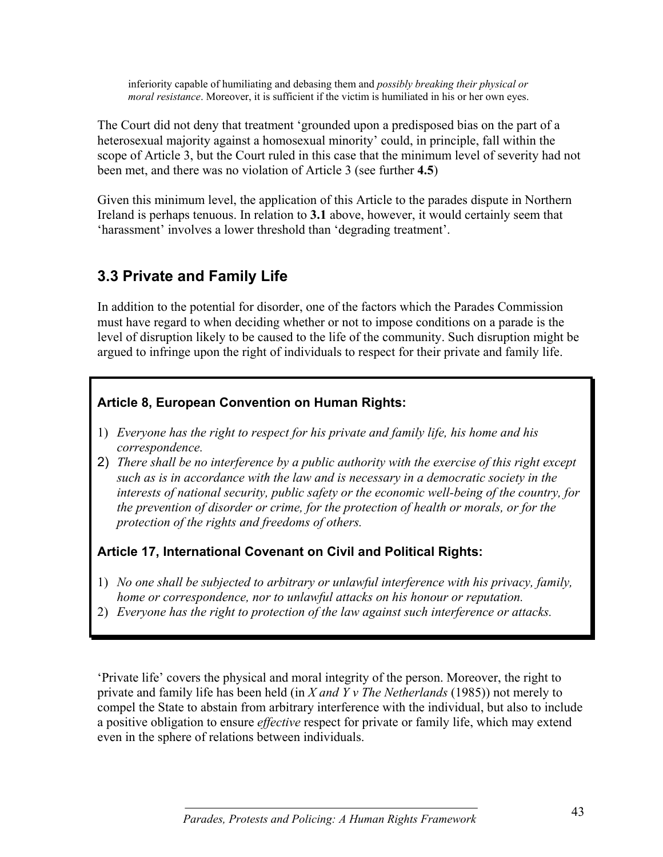inferiority capable of humiliating and debasing them and *possibly breaking their physical or moral resistance*. Moreover, it is sufficient if the victim is humiliated in his or her own eyes.

The Court did not deny that treatment 'grounded upon a predisposed bias on the part of a heterosexual majority against a homosexual minority' could, in principle, fall within the scope of Article 3, but the Court ruled in this case that the minimum level of severity had not been met, and there was no violation of Article 3 (see further **4.5**)

Given this minimum level, the application of this Article to the parades dispute in Northern Ireland is perhaps tenuous. In relation to **3.1** above, however, it would certainly seem that 'harassment' involves a lower threshold than 'degrading treatment'.

## **3.3 Private and Family Life**

In addition to the potential for disorder, one of the factors which the Parades Commission must have regard to when deciding whether or not to impose conditions on a parade is the level of disruption likely to be caused to the life of the community. Such disruption might be argued to infringe upon the right of individuals to respect for their private and family life.

#### **Article 8, European Convention on Human Rights:**

- 1) *Everyone has the right to respect for his private and family life, his home and his correspondence.*
- 2) *There shall be no interference by a public authority with the exercise of this right except such as is in accordance with the law and is necessary in a democratic society in the interests of national security, public safety or the economic well-being of the country, for the prevention of disorder or crime, for the protection of health or morals, or for the protection of the rights and freedoms of others.*

### **Article 17, International Covenant on Civil and Political Rights:**

- 1) *No one shall be subjected to arbitrary or unlawful interference with his privacy, family, home or correspondence, nor to unlawful attacks on his honour or reputation.*
- 2) *Everyone has the right to protection of the law against such interference or attacks.*

'Private life' covers the physical and moral integrity of the person. Moreover, the right to private and family life has been held (in *X and Y v The Netherlands* (1985)) not merely to compel the State to abstain from arbitrary interference with the individual, but also to include a positive obligation to ensure *effective* respect for private or family life, which may extend even in the sphere of relations between individuals.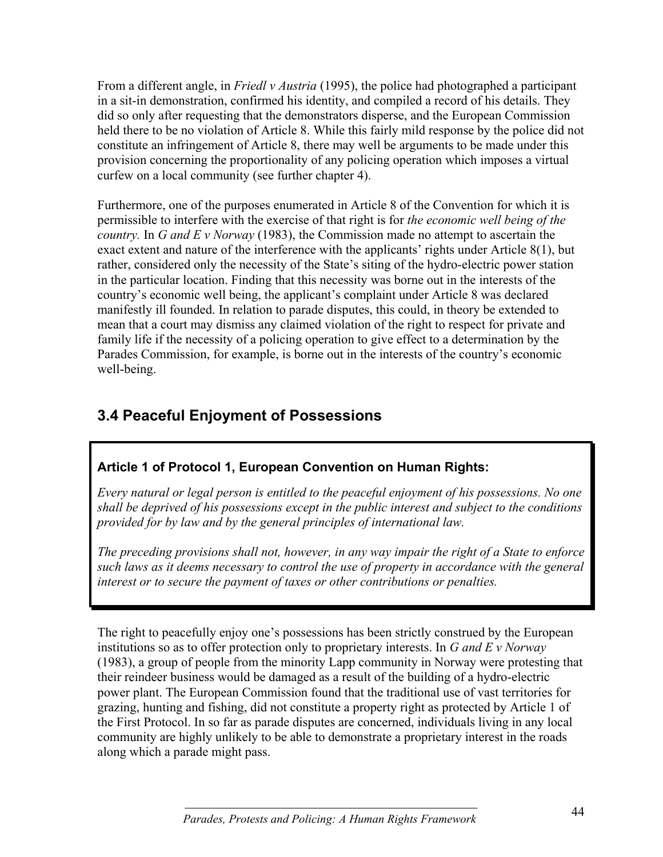From a different angle, in *Friedl v Austria* (1995), the police had photographed a participant in a sit-in demonstration, confirmed his identity, and compiled a record of his details. They did so only after requesting that the demonstrators disperse, and the European Commission held there to be no violation of Article 8. While this fairly mild response by the police did not constitute an infringement of Article 8, there may well be arguments to be made under this provision concerning the proportionality of any policing operation which imposes a virtual curfew on a local community (see further chapter 4).

Furthermore, one of the purposes enumerated in Article 8 of the Convention for which it is permissible to interfere with the exercise of that right is for *the economic well being of the country.* In *G and E v Norway* (1983), the Commission made no attempt to ascertain the exact extent and nature of the interference with the applicants' rights under Article 8(1), but rather, considered only the necessity of the State's siting of the hydro-electric power station in the particular location. Finding that this necessity was borne out in the interests of the country's economic well being, the applicant's complaint under Article 8 was declared manifestly ill founded. In relation to parade disputes, this could, in theory be extended to mean that a court may dismiss any claimed violation of the right to respect for private and family life if the necessity of a policing operation to give effect to a determination by the Parades Commission, for example, is borne out in the interests of the country's economic well-being.

# **3.4 Peaceful Enjoyment of Possessions**

### **Article 1 of Protocol 1, European Convention on Human Rights:**

*Every natural or legal person is entitled to the peaceful enjoyment of his possessions. No one shall be deprived of his possessions except in the public interest and subject to the conditions provided for by law and by the general principles of international law.*

*The preceding provisions shall not, however, in any way impair the right of a State to enforce such laws as it deems necessary to control the use of property in accordance with the general interest or to secure the payment of taxes or other contributions or penalties.*

The right to peacefully enjoy one's possessions has been strictly construed by the European institutions so as to offer protection only to proprietary interests. In *G and E v Norway* (1983), a group of people from the minority Lapp community in Norway were protesting that their reindeer business would be damaged as a result of the building of a hydro-electric power plant. The European Commission found that the traditional use of vast territories for grazing, hunting and fishing, did not constitute a property right as protected by Article 1 of the First Protocol. In so far as parade disputes are concerned, individuals living in any local community are highly unlikely to be able to demonstrate a proprietary interest in the roads along which a parade might pass.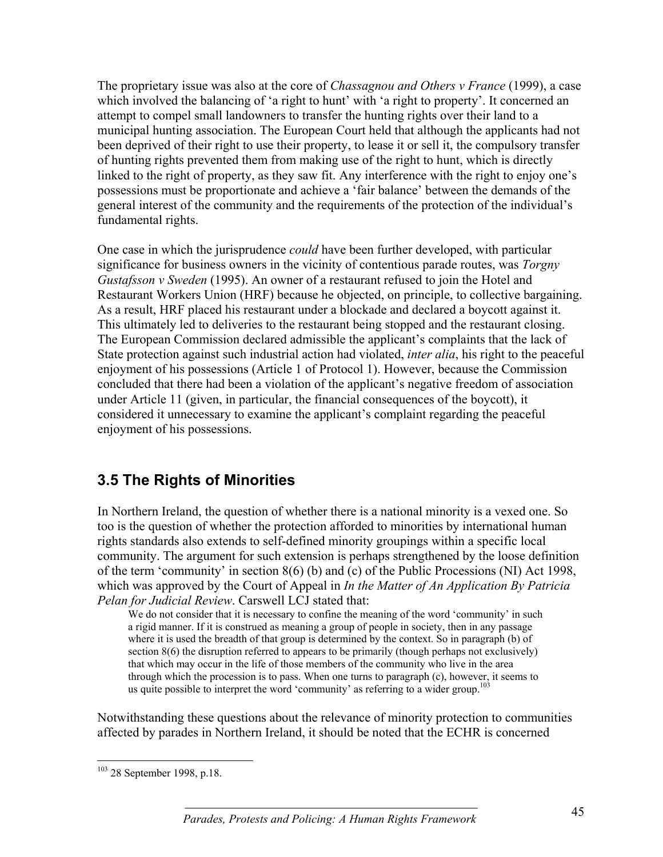The proprietary issue was also at the core of *Chassagnou and Others v France* (1999), a case which involved the balancing of 'a right to hunt' with 'a right to property'. It concerned an attempt to compel small landowners to transfer the hunting rights over their land to a municipal hunting association. The European Court held that although the applicants had not been deprived of their right to use their property, to lease it or sell it, the compulsory transfer of hunting rights prevented them from making use of the right to hunt, which is directly linked to the right of property, as they saw fit. Any interference with the right to enjoy one's possessions must be proportionate and achieve a 'fair balance' between the demands of the general interest of the community and the requirements of the protection of the individual's fundamental rights.

One case in which the jurisprudence *could* have been further developed, with particular significance for business owners in the vicinity of contentious parade routes, was *Torgny Gustafsson v Sweden* (1995). An owner of a restaurant refused to join the Hotel and Restaurant Workers Union (HRF) because he objected, on principle, to collective bargaining. As a result, HRF placed his restaurant under a blockade and declared a boycott against it. This ultimately led to deliveries to the restaurant being stopped and the restaurant closing. The European Commission declared admissible the applicant's complaints that the lack of State protection against such industrial action had violated, *inter alia*, his right to the peaceful enjoyment of his possessions (Article 1 of Protocol 1). However, because the Commission concluded that there had been a violation of the applicant's negative freedom of association under Article 11 (given, in particular, the financial consequences of the boycott), it considered it unnecessary to examine the applicant's complaint regarding the peaceful enjoyment of his possessions.

## **3.5 The Rights of Minorities**

In Northern Ireland, the question of whether there is a national minority is a vexed one. So too is the question of whether the protection afforded to minorities by international human rights standards also extends to self-defined minority groupings within a specific local community. The argument for such extension is perhaps strengthened by the loose definition of the term 'community' in section 8(6) (b) and (c) of the Public Processions (NI) Act 1998, which was approved by the Court of Appeal in *In the Matter of An Application By Patricia Pelan for Judicial Review*. Carswell LCJ stated that:

We do not consider that it is necessary to confine the meaning of the word 'community' in such a rigid manner. If it is construed as meaning a group of people in society, then in any passage where it is used the breadth of that group is determined by the context. So in paragraph (b) of section 8(6) the disruption referred to appears to be primarily (though perhaps not exclusively) that which may occur in the life of those members of the community who live in the area through which the procession is to pass. When one turns to paragraph (c), however, it seems to us quite possible to interpret the word 'community' as referring to a wider group.<sup>103</sup>

Notwithstanding these questions about the relevance of minority protection to communities affected by parades in Northern Ireland, it should be noted that the ECHR is concerned

 $\overline{a}$ 

 $103$  28 September 1998, p.18.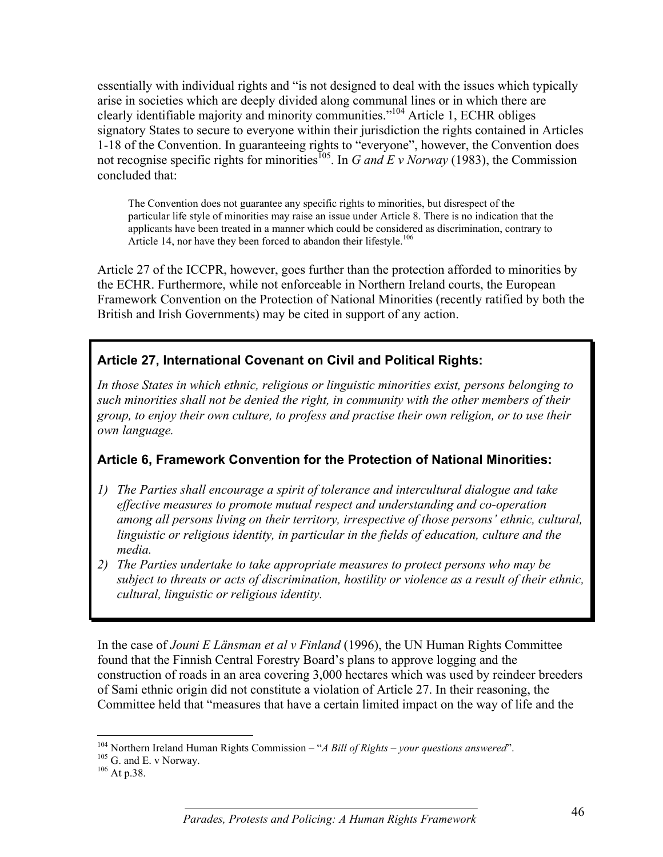essentially with individual rights and "is not designed to deal with the issues which typically arise in societies which are deeply divided along communal lines or in which there are clearly identifiable majority and minority communities."104 Article 1, ECHR obliges signatory States to secure to everyone within their jurisdiction the rights contained in Articles 1-18 of the Convention. In guaranteeing rights to "everyone", however, the Convention does not recognise specific rights for minorities<sup>105</sup>. In *G and E v Norway* (1983), the Commission concluded that:

The Convention does not guarantee any specific rights to minorities, but disrespect of the particular life style of minorities may raise an issue under Article 8. There is no indication that the applicants have been treated in a manner which could be considered as discrimination, contrary to Article 14, nor have they been forced to abandon their lifestyle.<sup>106</sup>

Article 27 of the ICCPR, however, goes further than the protection afforded to minorities by the ECHR. Furthermore, while not enforceable in Northern Ireland courts, the European Framework Convention on the Protection of National Minorities (recently ratified by both the British and Irish Governments) may be cited in support of any action.

#### **Article 27, International Covenant on Civil and Political Rights:**

*In those States in which ethnic, religious or linguistic minorities exist, persons belonging to such minorities shall not be denied the right, in community with the other members of their group, to enjoy their own culture, to profess and practise their own religion, or to use their own language.*

### **Article 6, Framework Convention for the Protection of National Minorities:**

- *1) The Parties shall encourage a spirit of tolerance and intercultural dialogue and take effective measures to promote mutual respect and understanding and co-operation among all persons living on their territory, irrespective of those persons' ethnic, cultural, linguistic or religious identity, in particular in the fields of education, culture and the media.*
- *2) The Parties undertake to take appropriate measures to protect persons who may be subject to threats or acts of discrimination, hostility or violence as a result of their ethnic, cultural, linguistic or religious identity.*

In the case of *Jouni E Länsman et al v Finland* (1996), the UN Human Rights Committee found that the Finnish Central Forestry Board's plans to approve logging and the construction of roads in an area covering 3,000 hectares which was used by reindeer breeders of Sami ethnic origin did not constitute a violation of Article 27. In their reasoning, the Committee held that "measures that have a certain limited impact on the way of life and the

 $\overline{a}$ 

<sup>&</sup>lt;sup>104</sup> Northern Ireland Human Rights Commission – "*A Bill of Rights – your questions answered*".<br><sup>105</sup> G. and E. v Norway.<br><sup>106</sup> At p.38.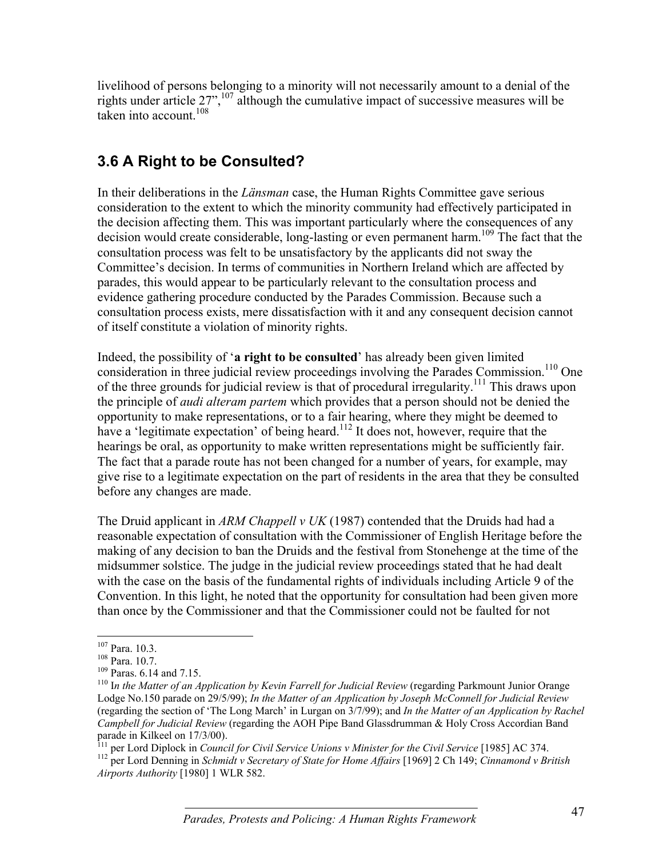livelihood of persons belonging to a minority will not necessarily amount to a denial of the rights under article  $27$ ",  $107$  although the cumulative impact of successive measures will be taken into account.<sup>108</sup>

## **3.6 A Right to be Consulted?**

In their deliberations in the *Länsman* case, the Human Rights Committee gave serious consideration to the extent to which the minority community had effectively participated in the decision affecting them. This was important particularly where the consequences of any decision would create considerable, long-lasting or even permanent harm.<sup>109</sup> The fact that the consultation process was felt to be unsatisfactory by the applicants did not sway the Committee's decision. In terms of communities in Northern Ireland which are affected by parades, this would appear to be particularly relevant to the consultation process and evidence gathering procedure conducted by the Parades Commission. Because such a consultation process exists, mere dissatisfaction with it and any consequent decision cannot of itself constitute a violation of minority rights.

Indeed, the possibility of '**a right to be consulted**' has already been given limited consideration in three judicial review proceedings involving the Parades Commission.<sup>110</sup> One of the three grounds for judicial review is that of procedural irregularity.<sup>111</sup> This draws upon the principle of *audi alteram partem* which provides that a person should not be denied the opportunity to make representations, or to a fair hearing, where they might be deemed to have a 'legitimate expectation' of being heard.<sup>112</sup> It does not, however, require that the hearings be oral, as opportunity to make written representations might be sufficiently fair. The fact that a parade route has not been changed for a number of years, for example, may give rise to a legitimate expectation on the part of residents in the area that they be consulted before any changes are made.

The Druid applicant in *ARM Chappell v UK* (1987) contended that the Druids had had a reasonable expectation of consultation with the Commissioner of English Heritage before the making of any decision to ban the Druids and the festival from Stonehenge at the time of the midsummer solstice. The judge in the judicial review proceedings stated that he had dealt with the case on the basis of the fundamental rights of individuals including Article 9 of the Convention. In this light, he noted that the opportunity for consultation had been given more than once by the Commissioner and that the Commissioner could not be faulted for not

<sup>112</sup> per Lord Denning in Schmidt v Secretary of State for Home Affairs [1969] 2 Ch 149; Cinnamond v British *Airports Authority* [1980] 1 WLR 582.

<sup>&</sup>lt;sup>107</sup> Para. 10.3.

<sup>&</sup>lt;sup>108</sup> Para. 10.7.<br><sup>109</sup> Paras. 6.14 and 7.15.<br><sup>110</sup> In the Matter of an Application by Kevin Farrell for Judicial Review (regarding Parkmount Junior Orange Lodge No.150 parade on 29/5/99); *In the Matter of an Application by Joseph McConnell for Judicial Review* (regarding the section of 'The Long March' in Lurgan on 3/7/99); and *In the Matter of an Application by Rachel Campbell for Judicial Review* (regarding the AOH Pipe Band Glassdrumman & Holy Cross Accordian Band parade in Kilkeel on 17/3/00).<br><sup>111</sup> per Lord Diplock in Council for Civil Service Unions v Minister for the Civil Service [1985] AC 374.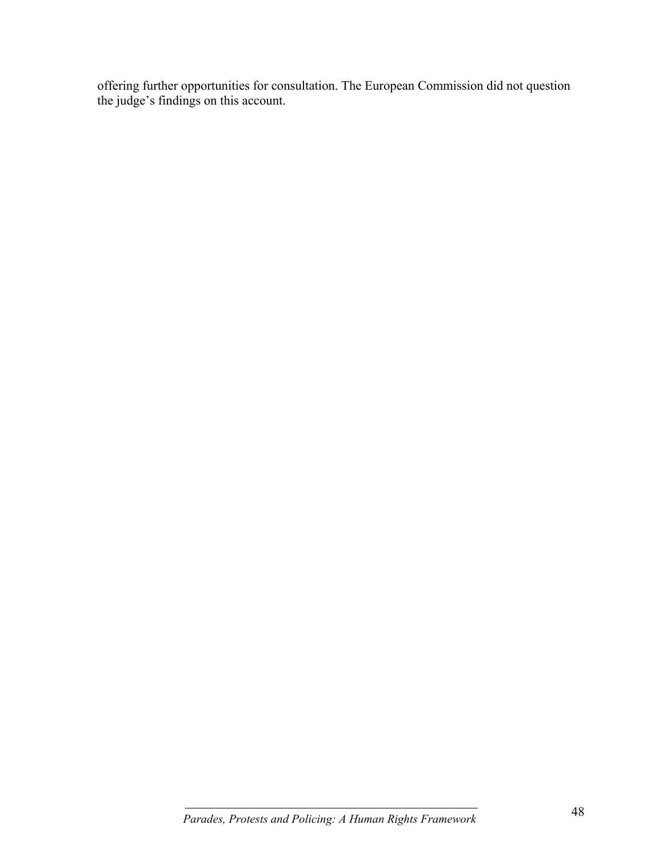offering further opportunities for consultation. The European Commission did not question the judge's findings on this account.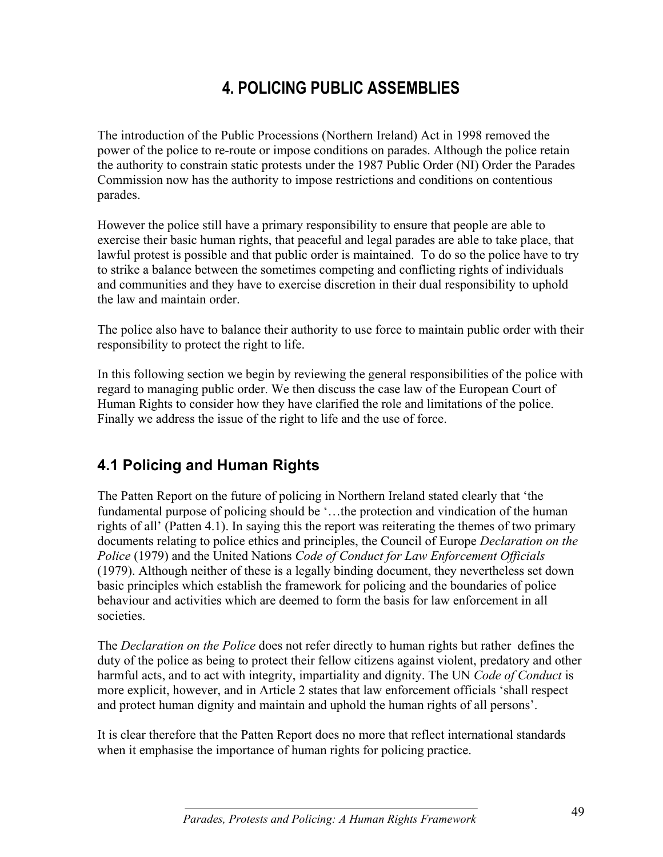# **4. POLICING PUBLIC ASSEMBLIES**

The introduction of the Public Processions (Northern Ireland) Act in 1998 removed the power of the police to re-route or impose conditions on parades. Although the police retain the authority to constrain static protests under the 1987 Public Order (NI) Order the Parades Commission now has the authority to impose restrictions and conditions on contentious parades.

However the police still have a primary responsibility to ensure that people are able to exercise their basic human rights, that peaceful and legal parades are able to take place, that lawful protest is possible and that public order is maintained. To do so the police have to try to strike a balance between the sometimes competing and conflicting rights of individuals and communities and they have to exercise discretion in their dual responsibility to uphold the law and maintain order.

The police also have to balance their authority to use force to maintain public order with their responsibility to protect the right to life.

In this following section we begin by reviewing the general responsibilities of the police with regard to managing public order. We then discuss the case law of the European Court of Human Rights to consider how they have clarified the role and limitations of the police. Finally we address the issue of the right to life and the use of force.

## **4.1 Policing and Human Rights**

The Patten Report on the future of policing in Northern Ireland stated clearly that 'the fundamental purpose of policing should be '…the protection and vindication of the human rights of all' (Patten 4.1). In saying this the report was reiterating the themes of two primary documents relating to police ethics and principles, the Council of Europe *Declaration on the Police* (1979) and the United Nations *Code of Conduct for Law Enforcement Officials* (1979). Although neither of these is a legally binding document, they nevertheless set down basic principles which establish the framework for policing and the boundaries of police behaviour and activities which are deemed to form the basis for law enforcement in all societies.

The *Declaration on the Police* does not refer directly to human rights but rather defines the duty of the police as being to protect their fellow citizens against violent, predatory and other harmful acts, and to act with integrity, impartiality and dignity. The UN *Code of Conduct* is more explicit, however, and in Article 2 states that law enforcement officials 'shall respect and protect human dignity and maintain and uphold the human rights of all persons'.

It is clear therefore that the Patten Report does no more that reflect international standards when it emphasise the importance of human rights for policing practice.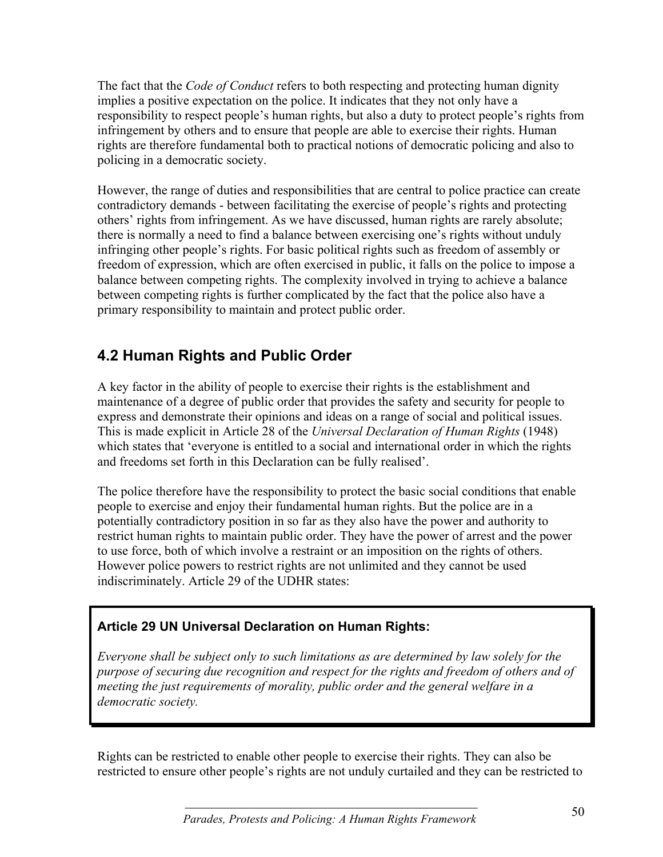The fact that the *Code of Conduct* refers to both respecting and protecting human dignity implies a positive expectation on the police. It indicates that they not only have a responsibility to respect people's human rights, but also a duty to protect people's rights from infringement by others and to ensure that people are able to exercise their rights. Human rights are therefore fundamental both to practical notions of democratic policing and also to policing in a democratic society.

However, the range of duties and responsibilities that are central to police practice can create contradictory demands - between facilitating the exercise of people's rights and protecting others' rights from infringement. As we have discussed, human rights are rarely absolute; there is normally a need to find a balance between exercising one's rights without unduly infringing other people's rights. For basic political rights such as freedom of assembly or freedom of expression, which are often exercised in public, it falls on the police to impose a balance between competing rights. The complexity involved in trying to achieve a balance between competing rights is further complicated by the fact that the police also have a primary responsibility to maintain and protect public order.

## **4.2 Human Rights and Public Order**

A key factor in the ability of people to exercise their rights is the establishment and maintenance of a degree of public order that provides the safety and security for people to express and demonstrate their opinions and ideas on a range of social and political issues. This is made explicit in Article 28 of the *Universal Declaration of Human Rights* (1948) which states that 'everyone is entitled to a social and international order in which the rights and freedoms set forth in this Declaration can be fully realised'.

The police therefore have the responsibility to protect the basic social conditions that enable people to exercise and enjoy their fundamental human rights. But the police are in a potentially contradictory position in so far as they also have the power and authority to restrict human rights to maintain public order. They have the power of arrest and the power to use force, both of which involve a restraint or an imposition on the rights of others. However police powers to restrict rights are not unlimited and they cannot be used indiscriminately. Article 29 of the UDHR states:

## **Article 29 UN Universal Declaration on Human Rights:**

*Everyone shall be subject only to such limitations as are determined by law solely for the purpose of securing due recognition and respect for the rights and freedom of others and of meeting the just requirements of morality, public order and the general welfare in a democratic society.*

Rights can be restricted to enable other people to exercise their rights. They can also be restricted to ensure other people's rights are not unduly curtailed and they can be restricted to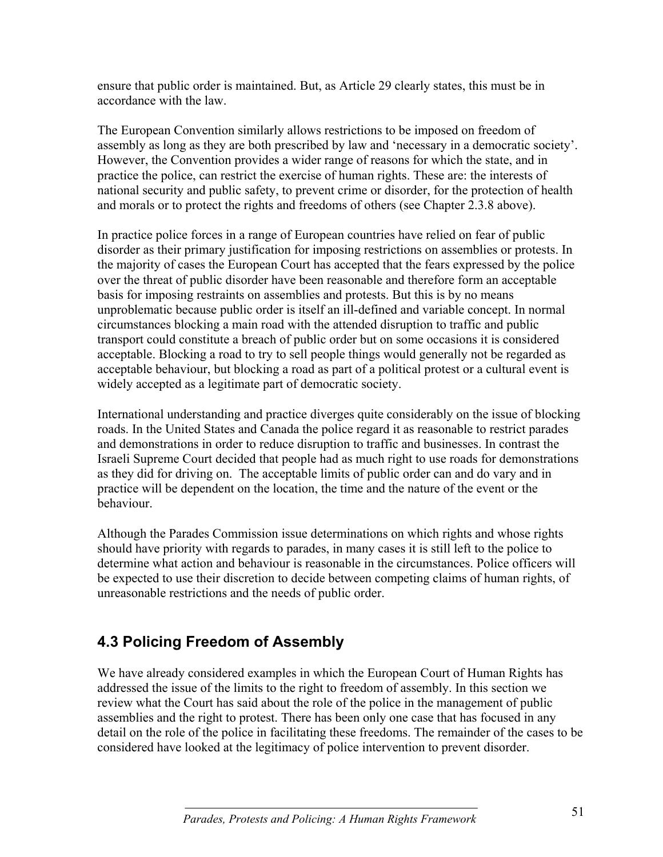ensure that public order is maintained. But, as Article 29 clearly states, this must be in accordance with the law.

The European Convention similarly allows restrictions to be imposed on freedom of assembly as long as they are both prescribed by law and 'necessary in a democratic society'. However, the Convention provides a wider range of reasons for which the state, and in practice the police, can restrict the exercise of human rights. These are: the interests of national security and public safety, to prevent crime or disorder, for the protection of health and morals or to protect the rights and freedoms of others (see Chapter 2.3.8 above).

In practice police forces in a range of European countries have relied on fear of public disorder as their primary justification for imposing restrictions on assemblies or protests. In the majority of cases the European Court has accepted that the fears expressed by the police over the threat of public disorder have been reasonable and therefore form an acceptable basis for imposing restraints on assemblies and protests. But this is by no means unproblematic because public order is itself an ill-defined and variable concept. In normal circumstances blocking a main road with the attended disruption to traffic and public transport could constitute a breach of public order but on some occasions it is considered acceptable. Blocking a road to try to sell people things would generally not be regarded as acceptable behaviour, but blocking a road as part of a political protest or a cultural event is widely accepted as a legitimate part of democratic society.

International understanding and practice diverges quite considerably on the issue of blocking roads. In the United States and Canada the police regard it as reasonable to restrict parades and demonstrations in order to reduce disruption to traffic and businesses. In contrast the Israeli Supreme Court decided that people had as much right to use roads for demonstrations as they did for driving on. The acceptable limits of public order can and do vary and in practice will be dependent on the location, the time and the nature of the event or the behaviour.

Although the Parades Commission issue determinations on which rights and whose rights should have priority with regards to parades, in many cases it is still left to the police to determine what action and behaviour is reasonable in the circumstances. Police officers will be expected to use their discretion to decide between competing claims of human rights, of unreasonable restrictions and the needs of public order.

## **4.3 Policing Freedom of Assembly**

We have already considered examples in which the European Court of Human Rights has addressed the issue of the limits to the right to freedom of assembly. In this section we review what the Court has said about the role of the police in the management of public assemblies and the right to protest. There has been only one case that has focused in any detail on the role of the police in facilitating these freedoms. The remainder of the cases to be considered have looked at the legitimacy of police intervention to prevent disorder.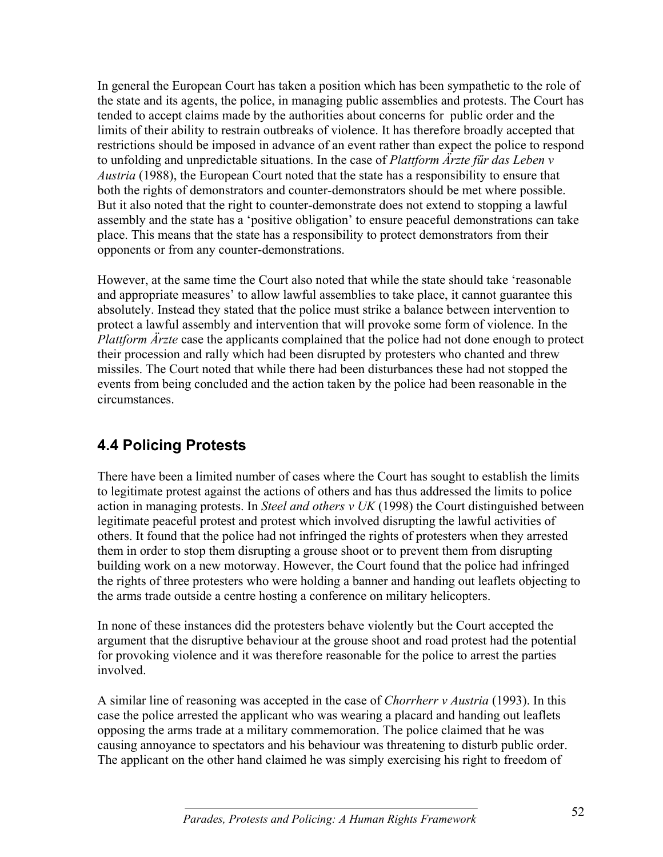In general the European Court has taken a position which has been sympathetic to the role of the state and its agents, the police, in managing public assemblies and protests. The Court has tended to accept claims made by the authorities about concerns for public order and the limits of their ability to restrain outbreaks of violence. It has therefore broadly accepted that restrictions should be imposed in advance of an event rather than expect the police to respond to unfolding and unpredictable situations. In the case of *Plattform Ärzte fűr das Leben v Austria* (1988), the European Court noted that the state has a responsibility to ensure that both the rights of demonstrators and counter-demonstrators should be met where possible. But it also noted that the right to counter-demonstrate does not extend to stopping a lawful assembly and the state has a 'positive obligation' to ensure peaceful demonstrations can take place. This means that the state has a responsibility to protect demonstrators from their opponents or from any counter-demonstrations.

However, at the same time the Court also noted that while the state should take 'reasonable and appropriate measures' to allow lawful assemblies to take place, it cannot guarantee this absolutely. Instead they stated that the police must strike a balance between intervention to protect a lawful assembly and intervention that will provoke some form of violence. In the *Plattform Ärzte* case the applicants complained that the police had not done enough to protect their procession and rally which had been disrupted by protesters who chanted and threw missiles. The Court noted that while there had been disturbances these had not stopped the events from being concluded and the action taken by the police had been reasonable in the circumstances.

## **4.4 Policing Protests**

There have been a limited number of cases where the Court has sought to establish the limits to legitimate protest against the actions of others and has thus addressed the limits to police action in managing protests. In *Steel and others v UK* (1998) the Court distinguished between legitimate peaceful protest and protest which involved disrupting the lawful activities of others. It found that the police had not infringed the rights of protesters when they arrested them in order to stop them disrupting a grouse shoot or to prevent them from disrupting building work on a new motorway. However, the Court found that the police had infringed the rights of three protesters who were holding a banner and handing out leaflets objecting to the arms trade outside a centre hosting a conference on military helicopters.

In none of these instances did the protesters behave violently but the Court accepted the argument that the disruptive behaviour at the grouse shoot and road protest had the potential for provoking violence and it was therefore reasonable for the police to arrest the parties involved.

A similar line of reasoning was accepted in the case of *Chorrherr v Austria* (1993). In this case the police arrested the applicant who was wearing a placard and handing out leaflets opposing the arms trade at a military commemoration. The police claimed that he was causing annoyance to spectators and his behaviour was threatening to disturb public order. The applicant on the other hand claimed he was simply exercising his right to freedom of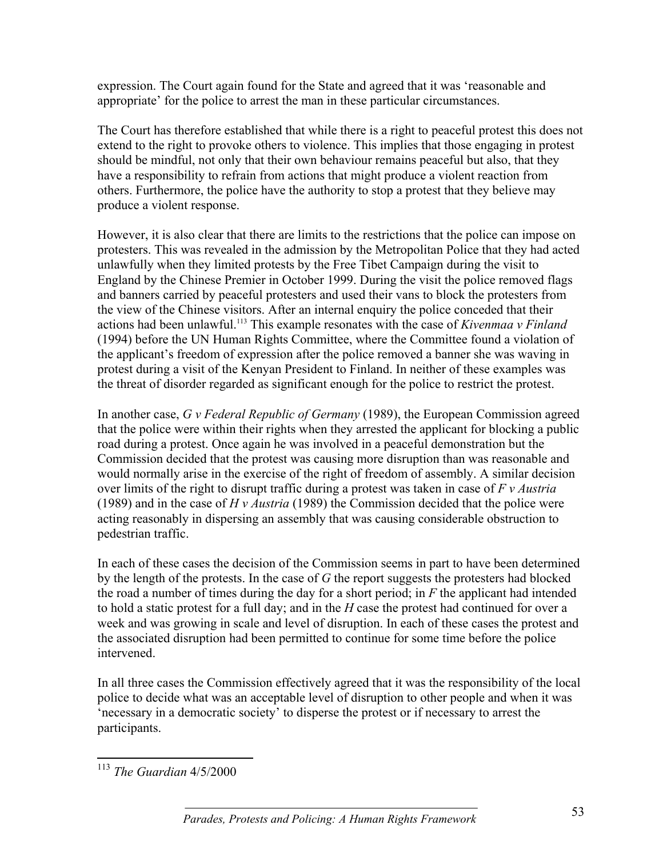expression. The Court again found for the State and agreed that it was 'reasonable and appropriate' for the police to arrest the man in these particular circumstances.

The Court has therefore established that while there is a right to peaceful protest this does not extend to the right to provoke others to violence. This implies that those engaging in protest should be mindful, not only that their own behaviour remains peaceful but also, that they have a responsibility to refrain from actions that might produce a violent reaction from others. Furthermore, the police have the authority to stop a protest that they believe may produce a violent response.

However, it is also clear that there are limits to the restrictions that the police can impose on protesters. This was revealed in the admission by the Metropolitan Police that they had acted unlawfully when they limited protests by the Free Tibet Campaign during the visit to England by the Chinese Premier in October 1999. During the visit the police removed flags and banners carried by peaceful protesters and used their vans to block the protesters from the view of the Chinese visitors. After an internal enquiry the police conceded that their actions had been unlawful.113 This example resonates with the case of *Kivenmaa v Finland* (1994) before the UN Human Rights Committee, where the Committee found a violation of the applicant's freedom of expression after the police removed a banner she was waving in protest during a visit of the Kenyan President to Finland. In neither of these examples was the threat of disorder regarded as significant enough for the police to restrict the protest.

In another case, *G v Federal Republic of Germany* (1989), the European Commission agreed that the police were within their rights when they arrested the applicant for blocking a public road during a protest. Once again he was involved in a peaceful demonstration but the Commission decided that the protest was causing more disruption than was reasonable and would normally arise in the exercise of the right of freedom of assembly. A similar decision over limits of the right to disrupt traffic during a protest was taken in case of *F v Austria* (1989) and in the case of *H v Austria* (1989) the Commission decided that the police were acting reasonably in dispersing an assembly that was causing considerable obstruction to pedestrian traffic.

In each of these cases the decision of the Commission seems in part to have been determined by the length of the protests. In the case of *G* the report suggests the protesters had blocked the road a number of times during the day for a short period; in *F* the applicant had intended to hold a static protest for a full day; and in the *H* case the protest had continued for over a week and was growing in scale and level of disruption. In each of these cases the protest and the associated disruption had been permitted to continue for some time before the police intervened.

In all three cases the Commission effectively agreed that it was the responsibility of the local police to decide what was an acceptable level of disruption to other people and when it was 'necessary in a democratic society' to disperse the protest or if necessary to arrest the participants.

 $\overline{a}$ <sup>113</sup> *The Guardian* 4/5/2000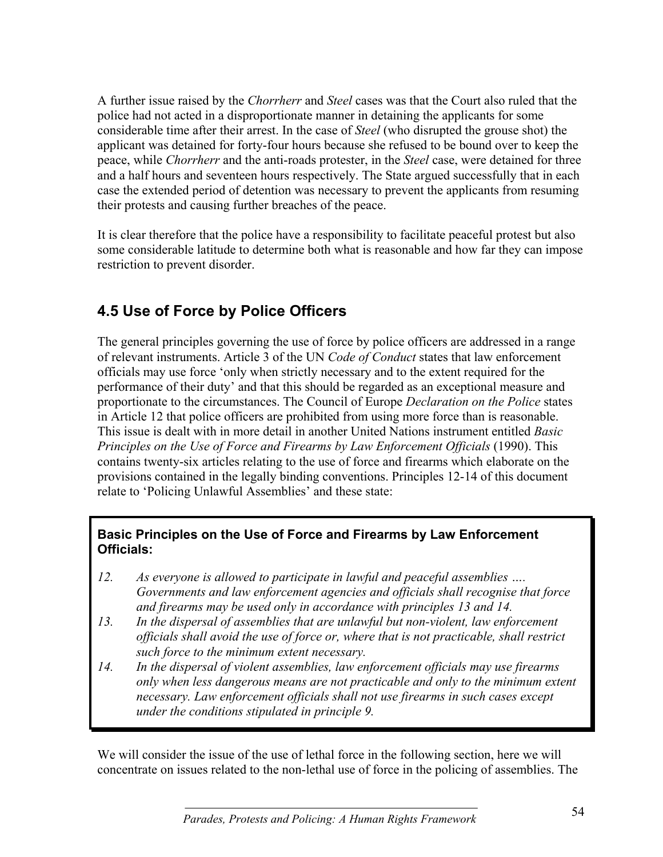A further issue raised by the *Chorrherr* and *Steel* cases was that the Court also ruled that the police had not acted in a disproportionate manner in detaining the applicants for some considerable time after their arrest. In the case of *Steel* (who disrupted the grouse shot) the applicant was detained for forty-four hours because she refused to be bound over to keep the peace, while *Chorrherr* and the anti-roads protester, in the *Steel* case, were detained for three and a half hours and seventeen hours respectively. The State argued successfully that in each case the extended period of detention was necessary to prevent the applicants from resuming their protests and causing further breaches of the peace.

It is clear therefore that the police have a responsibility to facilitate peaceful protest but also some considerable latitude to determine both what is reasonable and how far they can impose restriction to prevent disorder.

# **4.5 Use of Force by Police Officers**

The general principles governing the use of force by police officers are addressed in a range of relevant instruments. Article 3 of the UN *Code of Conduct* states that law enforcement officials may use force 'only when strictly necessary and to the extent required for the performance of their duty' and that this should be regarded as an exceptional measure and proportionate to the circumstances. The Council of Europe *Declaration on the Police* states in Article 12 that police officers are prohibited from using more force than is reasonable. This issue is dealt with in more detail in another United Nations instrument entitled *Basic Principles on the Use of Force and Firearms by Law Enforcement Officials (1990). This* contains twenty-six articles relating to the use of force and firearms which elaborate on the provisions contained in the legally binding conventions. Principles 12-14 of this document relate to 'Policing Unlawful Assemblies' and these state:

#### **Basic Principles on the Use of Force and Firearms by Law Enforcement Officials:**

- *12. As everyone is allowed to participate in lawful and peaceful assemblies …. Governments and law enforcement agencies and officials shall recognise that force and firearms may be used only in accordance with principles 13 and 14.*
- *13. In the dispersal of assemblies that are unlawful but non-violent, law enforcement officials shall avoid the use of force or, where that is not practicable, shall restrict such force to the minimum extent necessary.*
- *14. In the dispersal of violent assemblies, law enforcement officials may use firearms only when less dangerous means are not practicable and only to the minimum extent necessary. Law enforcement officials shall not use firearms in such cases except under the conditions stipulated in principle 9.*

We will consider the issue of the use of lethal force in the following section, here we will concentrate on issues related to the non-lethal use of force in the policing of assemblies. The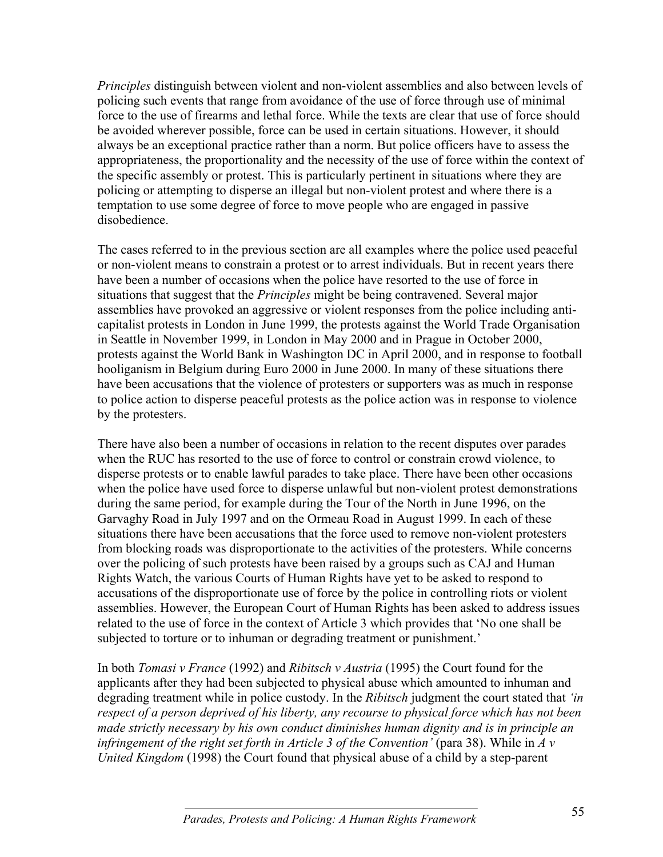*Principles* distinguish between violent and non-violent assemblies and also between levels of policing such events that range from avoidance of the use of force through use of minimal force to the use of firearms and lethal force. While the texts are clear that use of force should be avoided wherever possible, force can be used in certain situations. However, it should always be an exceptional practice rather than a norm. But police officers have to assess the appropriateness, the proportionality and the necessity of the use of force within the context of the specific assembly or protest. This is particularly pertinent in situations where they are policing or attempting to disperse an illegal but non-violent protest and where there is a temptation to use some degree of force to move people who are engaged in passive disobedience.

The cases referred to in the previous section are all examples where the police used peaceful or non-violent means to constrain a protest or to arrest individuals. But in recent years there have been a number of occasions when the police have resorted to the use of force in situations that suggest that the *Principles* might be being contravened. Several major assemblies have provoked an aggressive or violent responses from the police including anticapitalist protests in London in June 1999, the protests against the World Trade Organisation in Seattle in November 1999, in London in May 2000 and in Prague in October 2000, protests against the World Bank in Washington DC in April 2000, and in response to football hooliganism in Belgium during Euro 2000 in June 2000. In many of these situations there have been accusations that the violence of protesters or supporters was as much in response to police action to disperse peaceful protests as the police action was in response to violence by the protesters.

There have also been a number of occasions in relation to the recent disputes over parades when the RUC has resorted to the use of force to control or constrain crowd violence, to disperse protests or to enable lawful parades to take place. There have been other occasions when the police have used force to disperse unlawful but non-violent protest demonstrations during the same period, for example during the Tour of the North in June 1996, on the Garvaghy Road in July 1997 and on the Ormeau Road in August 1999. In each of these situations there have been accusations that the force used to remove non-violent protesters from blocking roads was disproportionate to the activities of the protesters. While concerns over the policing of such protests have been raised by a groups such as CAJ and Human Rights Watch, the various Courts of Human Rights have yet to be asked to respond to accusations of the disproportionate use of force by the police in controlling riots or violent assemblies. However, the European Court of Human Rights has been asked to address issues related to the use of force in the context of Article 3 which provides that 'No one shall be subjected to torture or to inhuman or degrading treatment or punishment.'

In both *Tomasi v France* (1992) and *Ribitsch v Austria* (1995) the Court found for the applicants after they had been subjected to physical abuse which amounted to inhuman and degrading treatment while in police custody. In the *Ribitsch* judgment the court stated that *'in respect of a person deprived of his liberty, any recourse to physical force which has not been made strictly necessary by his own conduct diminishes human dignity and is in principle an infringement of the right set forth in Article 3 of the Convention'* (para 38). While in *A v United Kingdom* (1998) the Court found that physical abuse of a child by a step-parent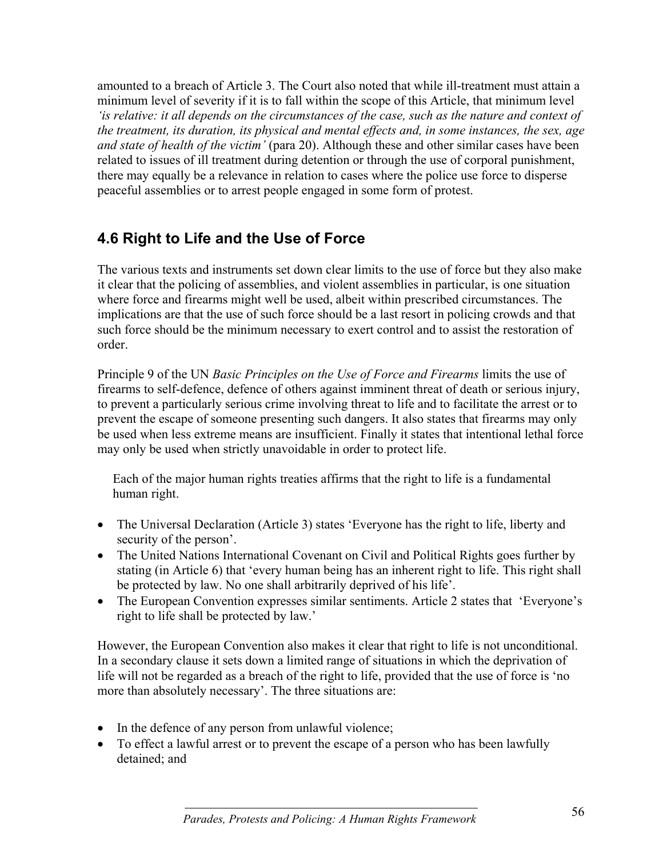amounted to a breach of Article 3. The Court also noted that while ill-treatment must attain a minimum level of severity if it is to fall within the scope of this Article, that minimum level *'is relative: it all depends on the circumstances of the case, such as the nature and context of the treatment, its duration, its physical and mental effects and, in some instances, the sex, age and state of health of the victim'* (para 20). Although these and other similar cases have been related to issues of ill treatment during detention or through the use of corporal punishment, there may equally be a relevance in relation to cases where the police use force to disperse peaceful assemblies or to arrest people engaged in some form of protest.

## **4.6 Right to Life and the Use of Force**

The various texts and instruments set down clear limits to the use of force but they also make it clear that the policing of assemblies, and violent assemblies in particular, is one situation where force and firearms might well be used, albeit within prescribed circumstances. The implications are that the use of such force should be a last resort in policing crowds and that such force should be the minimum necessary to exert control and to assist the restoration of order.

Principle 9 of the UN *Basic Principles on the Use of Force and Firearms* limits the use of firearms to self-defence, defence of others against imminent threat of death or serious injury, to prevent a particularly serious crime involving threat to life and to facilitate the arrest or to prevent the escape of someone presenting such dangers. It also states that firearms may only be used when less extreme means are insufficient. Finally it states that intentional lethal force may only be used when strictly unavoidable in order to protect life.

Each of the major human rights treaties affirms that the right to life is a fundamental human right.

- The Universal Declaration (Article 3) states 'Everyone has the right to life, liberty and security of the person'.
- The United Nations International Covenant on Civil and Political Rights goes further by stating (in Article 6) that 'every human being has an inherent right to life. This right shall be protected by law. No one shall arbitrarily deprived of his life'.
- The European Convention expresses similar sentiments. Article 2 states that 'Everyone's right to life shall be protected by law.'

However, the European Convention also makes it clear that right to life is not unconditional. In a secondary clause it sets down a limited range of situations in which the deprivation of life will not be regarded as a breach of the right to life, provided that the use of force is 'no more than absolutely necessary'. The three situations are:

- In the defence of any person from unlawful violence;
- To effect a lawful arrest or to prevent the escape of a person who has been lawfully detained; and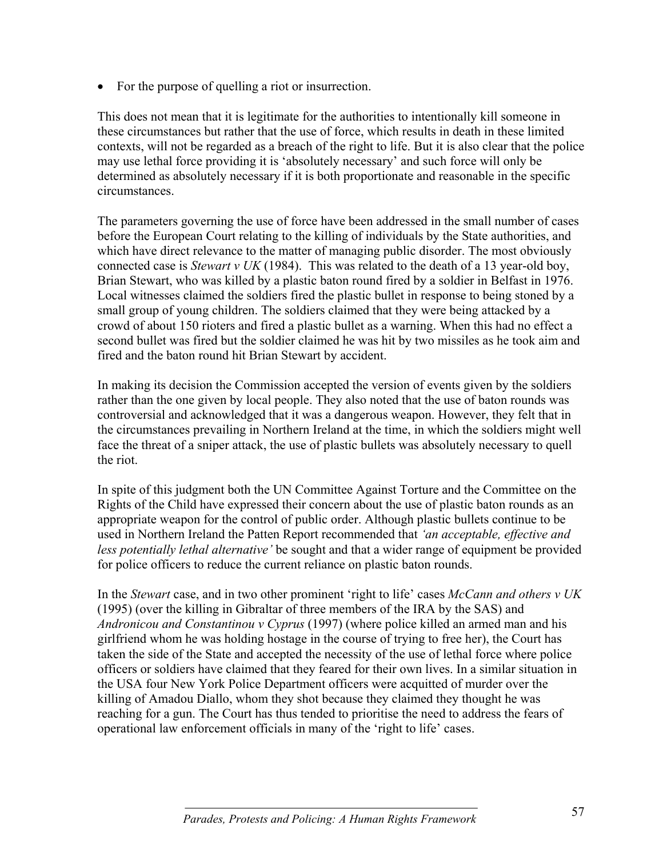• For the purpose of quelling a riot or insurrection.

This does not mean that it is legitimate for the authorities to intentionally kill someone in these circumstances but rather that the use of force, which results in death in these limited contexts, will not be regarded as a breach of the right to life. But it is also clear that the police may use lethal force providing it is 'absolutely necessary' and such force will only be determined as absolutely necessary if it is both proportionate and reasonable in the specific circumstances.

The parameters governing the use of force have been addressed in the small number of cases before the European Court relating to the killing of individuals by the State authorities, and which have direct relevance to the matter of managing public disorder. The most obviously connected case is *Stewart v UK* (1984). This was related to the death of a 13 year-old boy, Brian Stewart, who was killed by a plastic baton round fired by a soldier in Belfast in 1976. Local witnesses claimed the soldiers fired the plastic bullet in response to being stoned by a small group of young children. The soldiers claimed that they were being attacked by a crowd of about 150 rioters and fired a plastic bullet as a warning. When this had no effect a second bullet was fired but the soldier claimed he was hit by two missiles as he took aim and fired and the baton round hit Brian Stewart by accident.

In making its decision the Commission accepted the version of events given by the soldiers rather than the one given by local people. They also noted that the use of baton rounds was controversial and acknowledged that it was a dangerous weapon. However, they felt that in the circumstances prevailing in Northern Ireland at the time, in which the soldiers might well face the threat of a sniper attack, the use of plastic bullets was absolutely necessary to quell the riot.

In spite of this judgment both the UN Committee Against Torture and the Committee on the Rights of the Child have expressed their concern about the use of plastic baton rounds as an appropriate weapon for the control of public order. Although plastic bullets continue to be used in Northern Ireland the Patten Report recommended that *'an acceptable, effective and less potentially lethal alternative'* be sought and that a wider range of equipment be provided for police officers to reduce the current reliance on plastic baton rounds.

In the *Stewart* case, and in two other prominent 'right to life' cases *McCann and others v UK* (1995) (over the killing in Gibraltar of three members of the IRA by the SAS) and *Andronicou and Constantinou v Cyprus* (1997) (where police killed an armed man and his girlfriend whom he was holding hostage in the course of trying to free her), the Court has taken the side of the State and accepted the necessity of the use of lethal force where police officers or soldiers have claimed that they feared for their own lives. In a similar situation in the USA four New York Police Department officers were acquitted of murder over the killing of Amadou Diallo, whom they shot because they claimed they thought he was reaching for a gun. The Court has thus tended to prioritise the need to address the fears of operational law enforcement officials in many of the 'right to life' cases.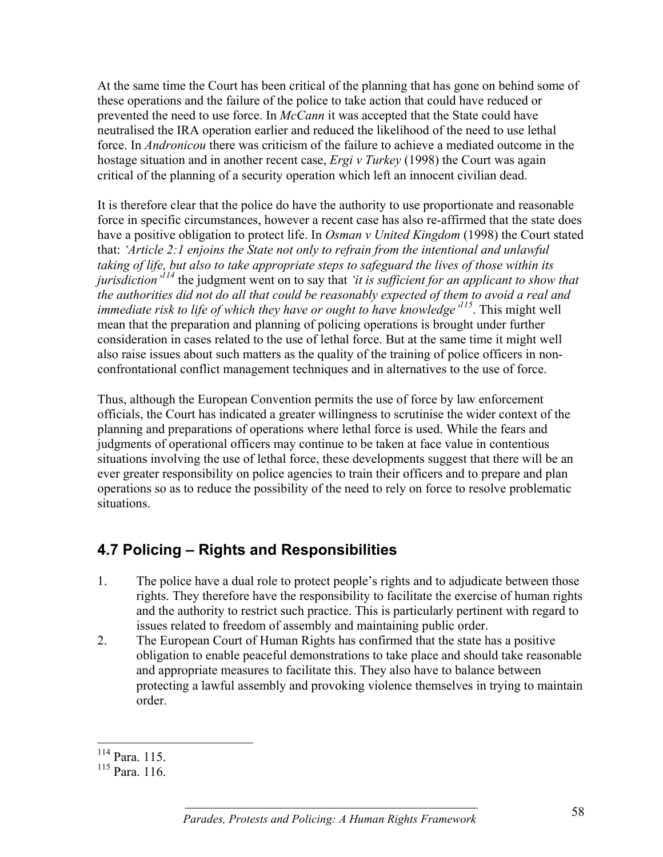At the same time the Court has been critical of the planning that has gone on behind some of these operations and the failure of the police to take action that could have reduced or prevented the need to use force. In *McCann* it was accepted that the State could have neutralised the IRA operation earlier and reduced the likelihood of the need to use lethal force. In *Andronicou* there was criticism of the failure to achieve a mediated outcome in the hostage situation and in another recent case, *Ergi v Turkey* (1998) the Court was again critical of the planning of a security operation which left an innocent civilian dead.

It is therefore clear that the police do have the authority to use proportionate and reasonable force in specific circumstances, however a recent case has also re-affirmed that the state does have a positive obligation to protect life. In *Osman v United Kingdom* (1998) the Court stated that: *'Article 2:1 enjoins the State not only to refrain from the intentional and unlawful taking of life, but also to take appropriate steps to safeguard the lives of those within its jurisdiction'114* the judgment went on to say that *'it is sufficient for an applicant to show that the authorities did not do all that could be reasonably expected of them to avoid a real and immediate risk to life of which they have or ought to have knowledge'115*. This might well mean that the preparation and planning of policing operations is brought under further consideration in cases related to the use of lethal force. But at the same time it might well also raise issues about such matters as the quality of the training of police officers in nonconfrontational conflict management techniques and in alternatives to the use of force.

Thus, although the European Convention permits the use of force by law enforcement officials, the Court has indicated a greater willingness to scrutinise the wider context of the planning and preparations of operations where lethal force is used. While the fears and judgments of operational officers may continue to be taken at face value in contentious situations involving the use of lethal force, these developments suggest that there will be an ever greater responsibility on police agencies to train their officers and to prepare and plan operations so as to reduce the possibility of the need to rely on force to resolve problematic situations.

# **4.7 Policing – Rights and Responsibilities**

- 1. The police have a dual role to protect people's rights and to adjudicate between those rights. They therefore have the responsibility to facilitate the exercise of human rights and the authority to restrict such practice. This is particularly pertinent with regard to issues related to freedom of assembly and maintaining public order.
- 2. The European Court of Human Rights has confirmed that the state has a positive obligation to enable peaceful demonstrations to take place and should take reasonable and appropriate measures to facilitate this. They also have to balance between protecting a lawful assembly and provoking violence themselves in trying to maintain order.

 $\overline{a}$ 114 Para. 115.

<sup>115</sup> Para. 116.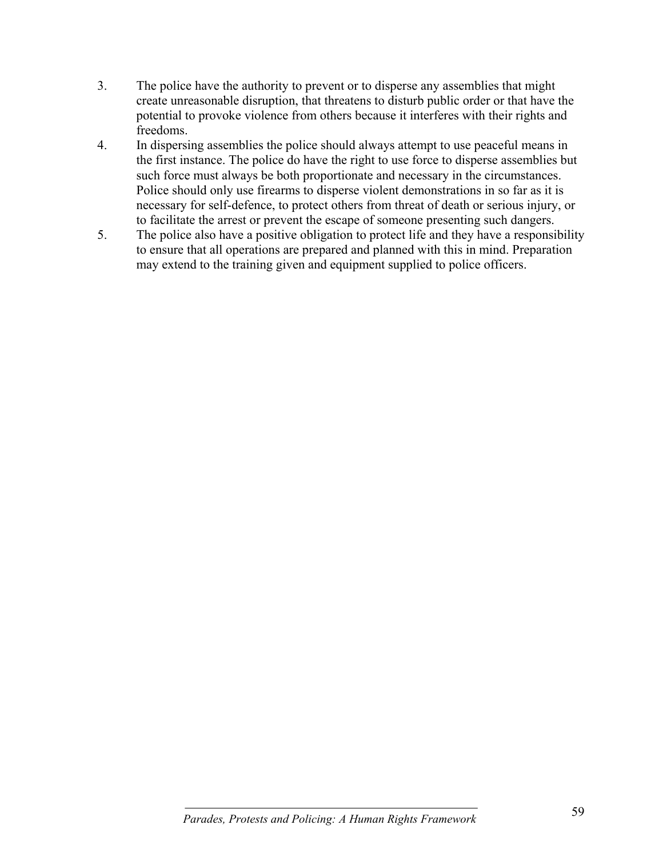- 3. The police have the authority to prevent or to disperse any assemblies that might create unreasonable disruption, that threatens to disturb public order or that have the potential to provoke violence from others because it interferes with their rights and freedoms.
- 4. In dispersing assemblies the police should always attempt to use peaceful means in the first instance. The police do have the right to use force to disperse assemblies but such force must always be both proportionate and necessary in the circumstances. Police should only use firearms to disperse violent demonstrations in so far as it is necessary for self-defence, to protect others from threat of death or serious injury, or to facilitate the arrest or prevent the escape of someone presenting such dangers.
- 5. The police also have a positive obligation to protect life and they have a responsibility to ensure that all operations are prepared and planned with this in mind. Preparation may extend to the training given and equipment supplied to police officers.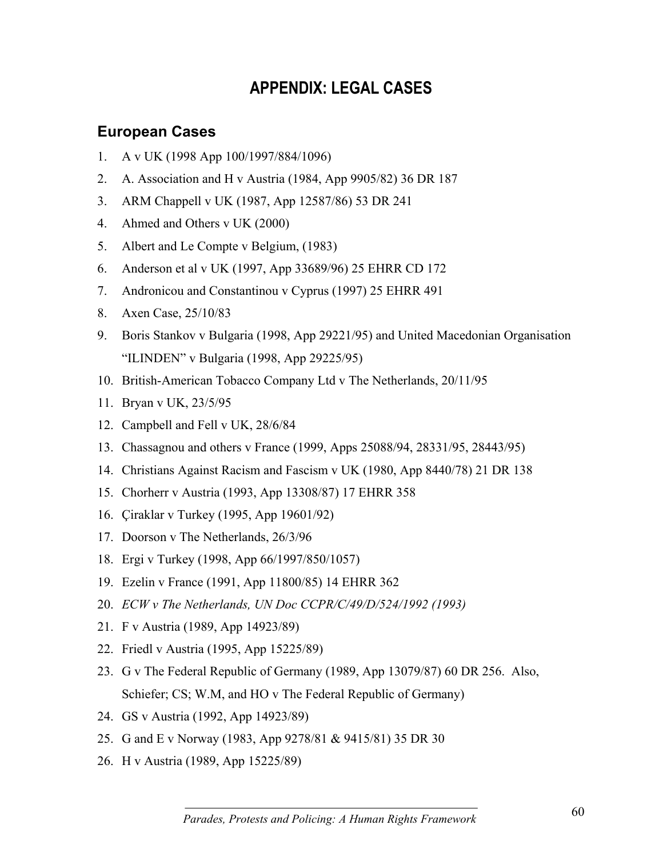# **APPENDIX: LEGAL CASES**

### **European Cases**

- 1. A v UK (1998 App 100/1997/884/1096)
- 2. A. Association and H v Austria (1984, App 9905/82) 36 DR 187
- 3. ARM Chappell v UK (1987, App 12587/86) 53 DR 241
- 4. Ahmed and Others v UK (2000)
- 5. Albert and Le Compte v Belgium, (1983)
- 6. Anderson et al v UK (1997, App 33689/96) 25 EHRR CD 172
- 7. Andronicou and Constantinou v Cyprus (1997) 25 EHRR 491
- 8. Axen Case, 25/10/83
- 9. Boris Stankov v Bulgaria (1998, App 29221/95) and United Macedonian Organisation "ILINDEN" v Bulgaria (1998, App 29225/95)
- 10. British-American Tobacco Company Ltd v The Netherlands, 20/11/95
- 11. Bryan v UK, 23/5/95
- 12. Campbell and Fell v UK, 28/6/84
- 13. Chassagnou and others v France (1999, Apps 25088/94, 28331/95, 28443/95)
- 14. Christians Against Racism and Fascism v UK (1980, App 8440/78) 21 DR 138
- 15. Chorherr v Austria (1993, App 13308/87) 17 EHRR 358
- 16. Çiraklar v Turkey (1995, App 19601/92)
- 17. Doorson v The Netherlands, 26/3/96
- 18. Ergi v Turkey (1998, App 66/1997/850/1057)
- 19. Ezelin v France (1991, App 11800/85) 14 EHRR 362
- 20. *ECW v The Netherlands, UN Doc CCPR/C/49/D/524/1992 (1993)*
- 21. F v Austria (1989, App 14923/89)
- 22. Friedl v Austria (1995, App 15225/89)
- 23. G v The Federal Republic of Germany (1989, App 13079/87) 60 DR 256. Also, Schiefer; CS; W.M, and HO v The Federal Republic of Germany)
- 24. GS v Austria (1992, App 14923/89)
- 25. G and E v Norway (1983, App 9278/81 & 9415/81) 35 DR 30
- 26. H v Austria (1989, App 15225/89)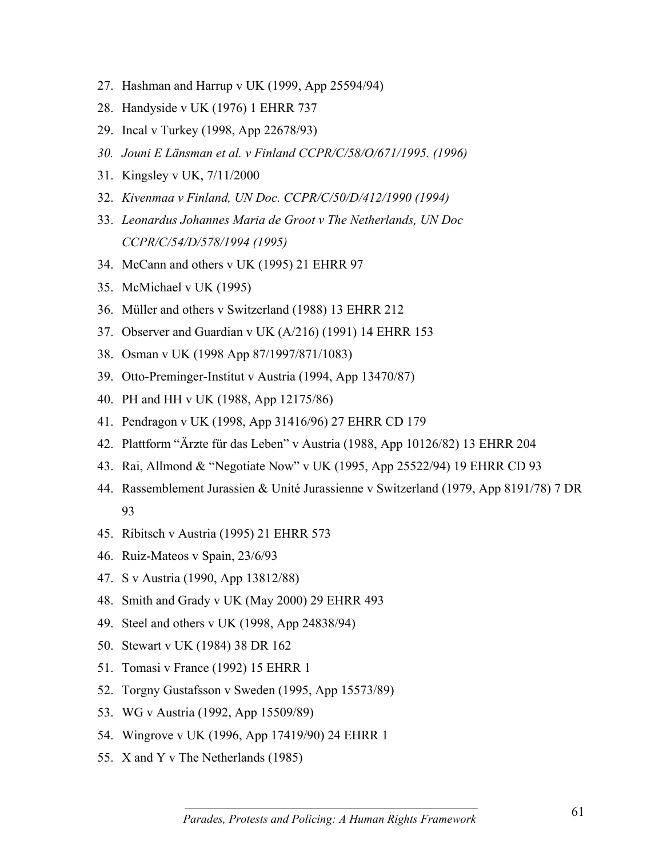- 27. Hashman and Harrup v UK (1999, App 25594/94)
- 28. Handyside v UK (1976) 1 EHRR 737
- 29. Incal v Turkey (1998, App 22678/93)
- *30. Jouni E Länsman et al. v Finland CCPR/C/58/O/671/1995. (1996)*
- 31. Kingsley v UK, 7/11/2000
- 32. *Kivenmaa v Finland, UN Doc. CCPR/C/50/D/412/1990 (1994)*
- 33. *Leonardus Johannes Maria de Groot v The Netherlands, UN Doc CCPR/C/54/D/578/1994 (1995)*
- 34. McCann and others v UK (1995) 21 EHRR 97
- 35. McMichael v UK (1995)
- 36. Müller and others v Switzerland (1988) 13 EHRR 212
- 37. Observer and Guardian v UK (A/216) (1991) 14 EHRR 153
- 38. Osman v UK (1998 App 87/1997/871/1083)
- 39. Otto-Preminger-Institut v Austria (1994, App 13470/87)
- 40. PH and HH v UK (1988, App 12175/86)
- 41. Pendragon v UK (1998, App 31416/96) 27 EHRR CD 179
- 42. Plattform "Ärzte für das Leben" v Austria (1988, App 10126/82) 13 EHRR 204
- 43. Rai, Allmond & "Negotiate Now" v UK (1995, App 25522/94) 19 EHRR CD 93
- 44. Rassemblement Jurassien & Unité Jurassienne v Switzerland (1979, App 8191/78) 7 DR 93
- 45. Ribitsch v Austria (1995) 21 EHRR 573
- 46. Ruiz-Mateos v Spain, 23/6/93
- 47. S v Austria (1990, App 13812/88)
- 48. Smith and Grady v UK (May 2000) 29 EHRR 493
- 49. Steel and others v UK (1998, App 24838/94)
- 50. Stewart v UK (1984) 38 DR 162
- 51. Tomasi v France (1992) 15 EHRR 1
- 52. Torgny Gustafsson v Sweden (1995, App 15573/89)
- 53. WG v Austria (1992, App 15509/89)
- 54. Wingrove v UK (1996, App 17419/90) 24 EHRR 1
- 55. X and Y v The Netherlands (1985)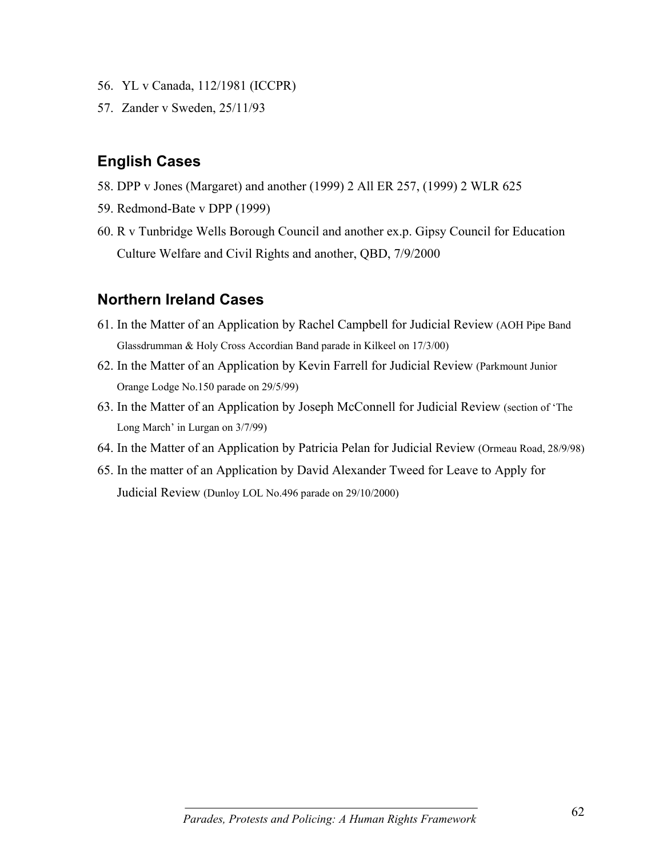- 56. YL v Canada, 112/1981 (ICCPR)
- 57. Zander v Sweden, 25/11/93

### **English Cases**

- 58. DPP v Jones (Margaret) and another (1999) 2 All ER 257, (1999) 2 WLR 625
- 59. Redmond-Bate v DPP (1999)
- 60. R v Tunbridge Wells Borough Council and another ex.p. Gipsy Council for Education Culture Welfare and Civil Rights and another, QBD, 7/9/2000

### **Northern Ireland Cases**

- 61. In the Matter of an Application by Rachel Campbell for Judicial Review (AOH Pipe Band Glassdrumman & Holy Cross Accordian Band parade in Kilkeel on 17/3/00)
- 62. In the Matter of an Application by Kevin Farrell for Judicial Review (Parkmount Junior Orange Lodge No.150 parade on 29/5/99)
- 63. In the Matter of an Application by Joseph McConnell for Judicial Review (section of 'The Long March' in Lurgan on 3/7/99)
- 64. In the Matter of an Application by Patricia Pelan for Judicial Review (Ormeau Road, 28/9/98)
- 65. In the matter of an Application by David Alexander Tweed for Leave to Apply for Judicial Review (Dunloy LOL No.496 parade on 29/10/2000)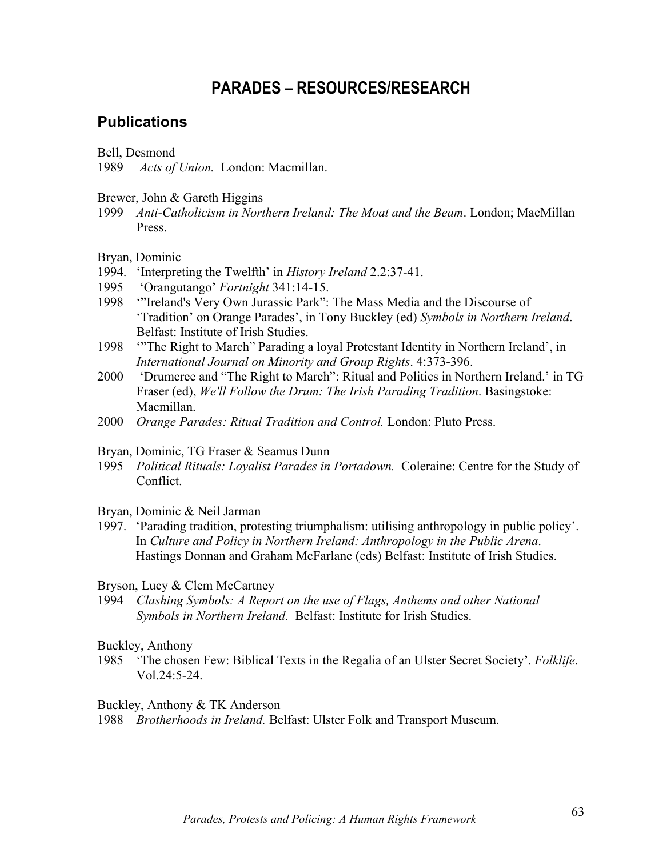# **PARADES – RESOURCES/RESEARCH**

### **Publications**

Bell, Desmond

1989 *Acts of Union.* London: Macmillan.

Brewer, John & Gareth Higgins

1999 *Anti-Catholicism in Northern Ireland: The Moat and the Beam*. London; MacMillan Press.

#### Bryan, Dominic

- 1994. 'Interpreting the Twelfth' in *History Ireland* 2.2:37-41.
- 1995 'Orangutango' *Fortnight* 341:14-15.
- 1998 '"Ireland's Very Own Jurassic Park": The Mass Media and the Discourse of 'Tradition' on Orange Parades', in Tony Buckley (ed) *Symbols in Northern Ireland*. Belfast: Institute of Irish Studies.
- 1998 '"The Right to March" Parading a loyal Protestant Identity in Northern Ireland', in *International Journal on Minority and Group Rights*. 4:373-396.
- 2000 'Drumcree and "The Right to March": Ritual and Politics in Northern Ireland.' in TG Fraser (ed), *We'll Follow the Drum: The Irish Parading Tradition*. Basingstoke: Macmillan.
- 2000 *Orange Parades: Ritual Tradition and Control.* London: Pluto Press.

Bryan, Dominic, TG Fraser & Seamus Dunn

1995 *Political Rituals: Loyalist Parades in Portadown.* Coleraine: Centre for the Study of Conflict.

Bryan, Dominic & Neil Jarman

1997. 'Parading tradition, protesting triumphalism: utilising anthropology in public policy'. In *Culture and Policy in Northern Ireland: Anthropology in the Public Arena*. Hastings Donnan and Graham McFarlane (eds) Belfast: Institute of Irish Studies.

Bryson, Lucy & Clem McCartney

1994 *Clashing Symbols: A Report on the use of Flags, Anthems and other National Symbols in Northern Ireland.* Belfast: Institute for Irish Studies.

#### Buckley, Anthony

1985 'The chosen Few: Biblical Texts in the Regalia of an Ulster Secret Society'. *Folklife*.  $Vol.24.5-24.$ 

Buckley, Anthony & TK Anderson

1988 *Brotherhoods in Ireland.* Belfast: Ulster Folk and Transport Museum.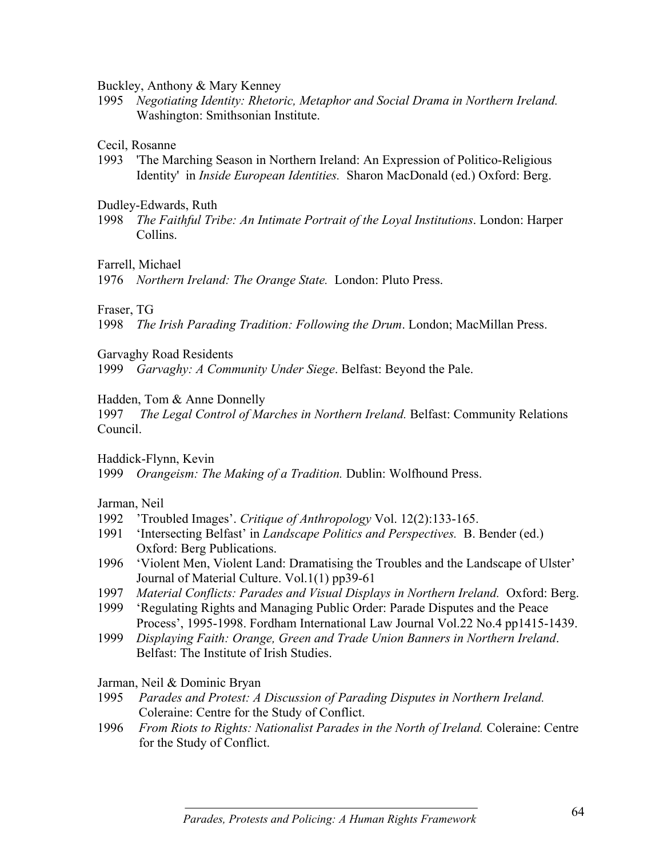Buckley, Anthony & Mary Kenney

1995 *Negotiating Identity: Rhetoric, Metaphor and Social Drama in Northern Ireland.* Washington: Smithsonian Institute.

#### Cecil, Rosanne

1993 'The Marching Season in Northern Ireland: An Expression of Politico-Religious Identity' in *Inside European Identities.* Sharon MacDonald (ed.) Oxford: Berg.

Dudley-Edwards, Ruth

1998 *The Faithful Tribe: An Intimate Portrait of the Loyal Institutions*. London: Harper Collins.

Farrell, Michael

1976 *Northern Ireland: The Orange State.* London: Pluto Press.

### Fraser, TG

1998 *The Irish Parading Tradition: Following the Drum*. London; MacMillan Press.

Garvaghy Road Residents

1999 *Garvaghy: A Community Under Siege*. Belfast: Beyond the Pale.

### Hadden, Tom & Anne Donnelly

1997 *The Legal Control of Marches in Northern Ireland.* Belfast: Community Relations Council.

Haddick-Flynn, Kevin

1999 *Orangeism: The Making of a Tradition.* Dublin: Wolfhound Press.

Jarman, Neil

- 1992 'Troubled Images'. *Critique of Anthropology* Vol. 12(2):133-165.
- 1991 'Intersecting Belfast' in *Landscape Politics and Perspectives.* B. Bender (ed.) Oxford: Berg Publications.
- 1996 'Violent Men, Violent Land: Dramatising the Troubles and the Landscape of Ulster' Journal of Material Culture. Vol.1(1) pp39-61
- 1997 *Material Conflicts: Parades and Visual Displays in Northern Ireland.* Oxford: Berg.
- 1999 'Regulating Rights and Managing Public Order: Parade Disputes and the Peace Process', 1995-1998. Fordham International Law Journal Vol.22 No.4 pp1415-1439.
- 1999 *Displaying Faith: Orange, Green and Trade Union Banners in Northern Ireland*. Belfast: The Institute of Irish Studies.

Jarman, Neil & Dominic Bryan

- 1995 *Parades and Protest: A Discussion of Parading Disputes in Northern Ireland.* Coleraine: Centre for the Study of Conflict.
- 1996 *From Riots to Rights: Nationalist Parades in the North of Ireland.* Coleraine: Centre for the Study of Conflict.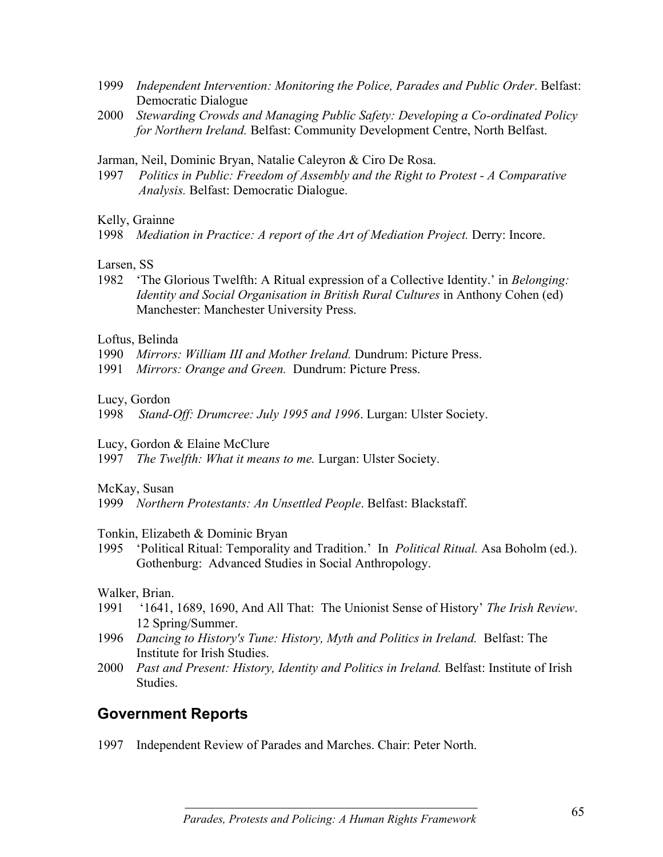- 1999 *Independent Intervention: Monitoring the Police, Parades and Public Order*. Belfast: Democratic Dialogue
- 2000 *Stewarding Crowds and Managing Public Safety: Developing a Co-ordinated Policy for Northern Ireland.* Belfast: Community Development Centre, North Belfast.

Jarman, Neil, Dominic Bryan, Natalie Caleyron & Ciro De Rosa.

1997 *Politics in Public: Freedom of Assembly and the Right to Protest - A Comparative Analysis.* Belfast: Democratic Dialogue.

Kelly, Grainne

1998 *Mediation in Practice: A report of the Art of Mediation Project.* Derry: Incore.

Larsen, SS

1982 'The Glorious Twelfth: A Ritual expression of a Collective Identity.' in *Belonging: Identity and Social Organisation in British Rural Cultures* in Anthony Cohen (ed) Manchester: Manchester University Press.

Loftus, Belinda

- 1990 *Mirrors: William III and Mother Ireland.* Dundrum: Picture Press.
- 1991 *Mirrors: Orange and Green.* Dundrum: Picture Press.

Lucy, Gordon

1998 *Stand-Off: Drumcree: July 1995 and 1996*. Lurgan: Ulster Society.

Lucy, Gordon & Elaine McClure

1997 *The Twelfth: What it means to me.* Lurgan: Ulster Society.

McKay, Susan

1999 *Northern Protestants: An Unsettled People*. Belfast: Blackstaff.

Tonkin, Elizabeth & Dominic Bryan

1995 'Political Ritual: Temporality and Tradition.' In *Political Ritual.* Asa Boholm (ed.). Gothenburg: Advanced Studies in Social Anthropology.

Walker, Brian.

- 1991 '1641, 1689, 1690, And All That: The Unionist Sense of History' *The Irish Review*. 12 Spring/Summer.
- 1996 *Dancing to History's Tune: History, Myth and Politics in Ireland.* Belfast: The Institute for Irish Studies.
- 2000 *Past and Present: History, Identity and Politics in Ireland.* Belfast: Institute of Irish Studies.

## **Government Reports**

1997 Independent Review of Parades and Marches. Chair: Peter North.